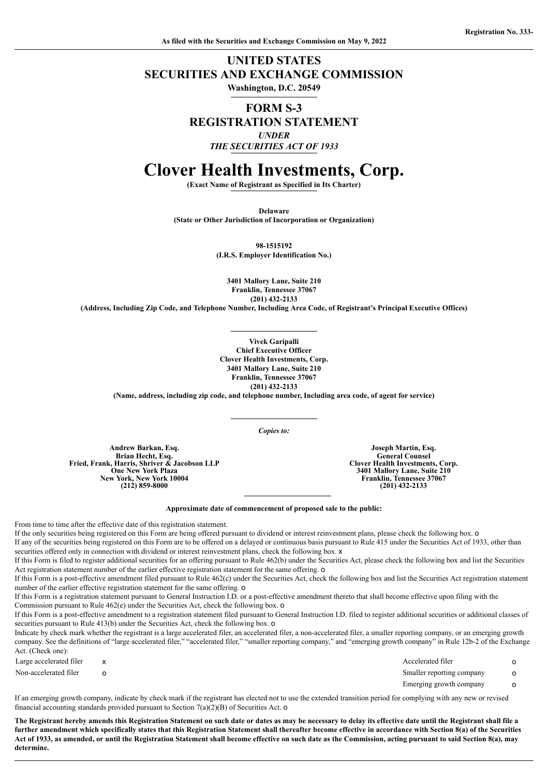## **UNITED STATES SECURITIES AND EXCHANGE COMMISSION**

**Washington, D.C. 20549**

## **FORM S-3 REGISTRATION STATEMENT** *UNDER THE SECURITIES ACT OF 1933*

# **Clover Health Investments, Corp.**

**(Exact Name of Registrant as Specified in Its Charter)**

**Delaware**

**(State or Other Jurisdiction of Incorporation or Organization)**

**98-1515192 (I.R.S. Employer Identification No.)**

**3401 Mallory Lane, Suite 210 Franklin, Tennessee 37067 (201) 432-2133**

**(Address, Including Zip Code, and Telephone Number, Including Area Code, of Registrant's Principal Executive Offices)**

**Vivek Garipalli Chief Executive Officer Clover Health Investments, Corp. 3401 Mallory Lane, Suite 210 Franklin, Tennessee 37067 (201) 432-2133**

**(Name, address, including zip code, and telephone number, Including area code, of agent for service)**

*Copies to:*

**Andrew Barkan, Esq. Brian Hecht, Esq. Fried, Frank, Harris, Shriver & Jacobson LLP One New York Plaza New York, New York 10004 (212) 859-8000**

**Joseph Martin, Esq. General Counsel Clover Health Investments, Corp. 3401 Mallory Lane, Suite 210 Franklin, Tennessee 37067 (201) 432-2133**

#### **Approximate date of commencement of proposed sale to the public:**

From time to time after the effective date of this registration statement.

If the only securities being registered on this Form are being offered pursuant to dividend or interest reinvestment plans, please check the following box. o If any of the securities being registered on this Form are to be offered on a delayed or continuous basis pursuant to Rule 415 under the Securities Act of 1933, other than

securities offered only in connection with dividend or interest reinvestment plans, check the following box.  $x$ 

If this Form is filed to register additional securities for an offering pursuant to Rule 462(b) under the Securities Act, please check the following box and list the Securities Act registration statement number of the earlier effective registration statement for the same offering. o

If this Form is a post-effective amendment filed pursuant to Rule 462(c) under the Securities Act, check the following box and list the Securities Act registration statement number of the earlier effective registration statement for the same offering. o

If this Form is a registration statement pursuant to General Instruction I.D. or a post-effective amendment thereto that shall become effective upon filing with the Commission pursuant to Rule 462(e) under the Securities Act, check the following box. o

If this Form is a post-effective amendment to a registration statement filed pursuant to General Instruction I.D. filed to register additional securities or additional classes of securities pursuant to Rule 413(b) under the Securities Act, check the following box. o

Indicate by check mark whether the registrant is a large accelerated filer, an accelerated filer, a non-accelerated filer, a smaller reporting company, or an emerging growth company. See the definitions of "large accelerated filer," "accelerated filer," "smaller reporting company," and "emerging growth company" in Rule 12b-2 of the Exchange Act. (Check one):

Large accelerated filer x and x and x and x accelerated filer on the Accelerated filer on the Accelerated filer on the Accelerated filer on the Accelerated filer on the Accelerated filer on the Accelerated filer on the Acc

Non-accelerated filer o contact the contact of Smaller reporting company of the Smaller reporting company of the Smaller reporting company of the Smaller reporting company of the Smaller reporting company of the Smaller re Emerging growth company o

If an emerging growth company, indicate by check mark if the registrant has elected not to use the extended transition period for complying with any new or revised financial accounting standards provided pursuant to Section 7(a)(2)(B) of Securities Act. o

The Registrant hereby amends this Registration Statement on such date or dates as may be necessary to delay its effective date until the Registrant shall file a further amendment which specifically states that this Registration Statement shall thereafter become effective in accordance with Section 8(a) of the Securities Act of 1933, as amended, or until the Registration Statement shall become effective on such date as the Commission, acting pursuant to said Section 8(a), may **determine.**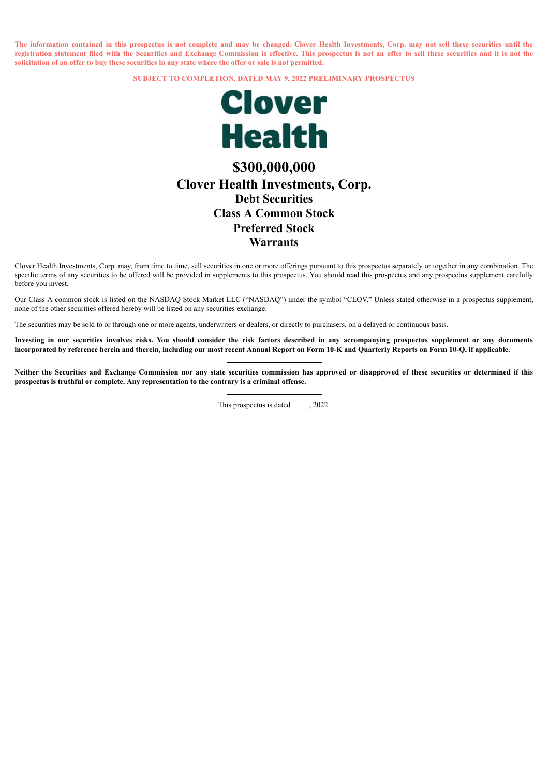The information contained in this prospectus is not complete and may be changed. Clover Health Investments, Corp. may not sell these securities until the registration statement filed with the Securities and Exchange Commission is effective. This prospectus is not an offer to sell these securities and it is not the solicitation of an offer to buy these securities in any state where the offer or sale is not permitted.

**SUBJECT TO COMPLETION, DATED MAY 9, 2022 PRELIMINARY PROSPECTUS**



## **\$300,000,000 Clover Health Investments, Corp. Debt Securities Class A Common Stock Preferred Stock Warrants**

Clover Health Investments, Corp. may, from time to time, sell securities in one or more offerings pursuant to this prospectus separately or together in any combination. The specific terms of any securities to be offered will be provided in supplements to this prospectus. You should read this prospectus and any prospectus supplement carefully before you invest.

Our Class A common stock is listed on the NASDAQ Stock Market LLC ("NASDAQ") under the symbol "CLOV." Unless stated otherwise in a prospectus supplement, none of the other securities offered hereby will be listed on any securities exchange.

The securities may be sold to or through one or more agents, underwriters or dealers, or directly to purchasers, on a delayed or continuous basis.

Investing in our securities involves risks. You should consider the risk factors described in any accompanying prospectus supplement or any documents incorporated by reference herein and therein, including our most recent Annual Report on Form 10-K and Quarterly Reports on Form 10-Q, if applicable.

Neither the Securities and Exchange Commission nor any state securities commission has approved or disapproved of these securities or determined if this **prospectus is truthful or complete. Any representation to the contrary is a criminal offense.**

This prospectus is dated  $.2022$ .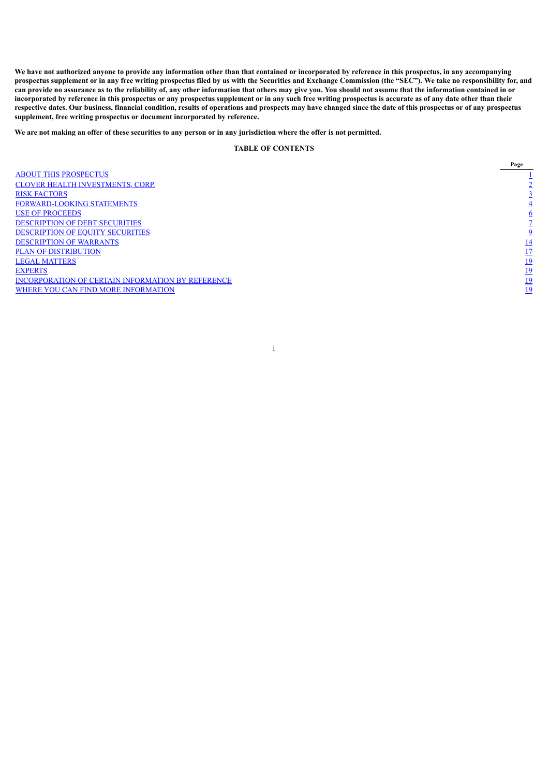We have not authorized anyone to provide any information other than that contained or incorporated by reference in this prospectus, in any accompanying prospectus supplement or in any free writing prospectus filed by us with the Securities and Exchange Commission (the "SEC"). We take no responsibility for, and can provide no assurance as to the reliability of, any other information that others may give you. You should not assume that the information contained in or incorporated by reference in this prospectus or any prospectus supplement or in any such free writing prospectus is accurate as of any date other than their respective dates. Our business, financial condition, results of operations and prospects may have changed since the date of this prospectus or of any prospectus **supplement, free writing prospectus or document incorporated by reference.**

We are not making an offer of these securities to any person or in any jurisdiction where the offer is not permitted.

### **TABLE OF CONTENTS**

i

<span id="page-3-0"></span>ABOUT THIS [PROSPECTUS](#page-3-0)<br>
ALOVER HEALTH INVESTMENTS.<br>
CONVARD-LOOKING STATEMENTS<br> [1](#page-3-0)2<br>
<u>AUSE OF PROCEEDS</u><br>
23<br>
<u>DESCRIPTION OF DEPIT SECURITIES</u><br>
<u>DESCRIPTION OF POUTY SECURITIES</u><br>
23<br>
<u>DESCRIPTION OF POUTY SECURITIES</u><br>
23<br>
<u>D</u> CLOVER HEALTH [INVESTMENTS,](#page-4-0) CORP. **RISK [FACTORS](#page-5-0)** [FORWARD-LOOKING](#page-6-0) STATEMENTS USE OF [PROCEEDS](#page-8-0) [DESCRIPTION](#page-9-0) OF DEBT SECURITIES [DESCRIPTION](#page-11-0) OF EQUITY SECURITIES [DESCRIPTION](#page-16-0) OF WARRANTS PLAN OF [DISTRIBUTION](#page-19-0) LEGAL [MATTERS](#page-21-0) [EXPERTS](#page-22-0) [19](#page-22-0) [INCORPORATION](#page-22-1) OF CERTAIN INFORMATION BY REFERENCE WHERE YOU CAN FIND MORE [INFORMATION](#page-22-2)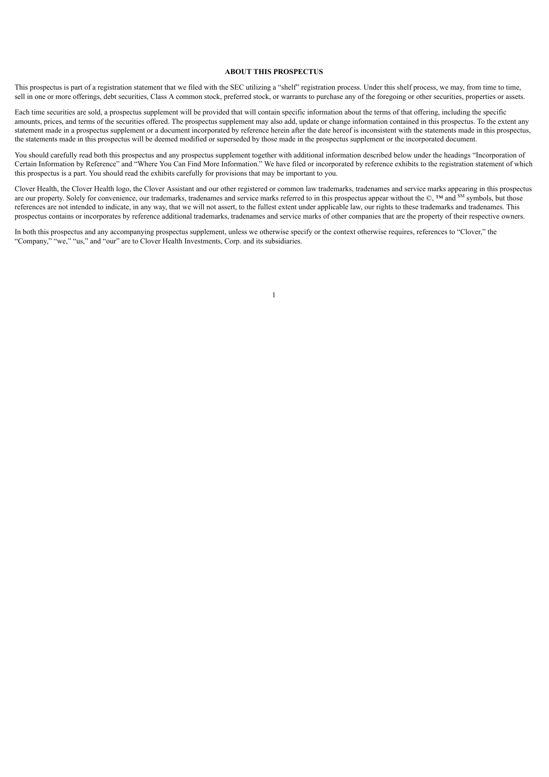#### **ABOUT THIS PROSPECTUS**

This prospectus is part of a registration statement that we filed with the SEC utilizing a "shelf" registration process. Under this shelf process, we may, from time to time, sell in one or more offerings, debt securities, Class A common stock, preferred stock, or warrants to purchase any of the foregoing or other securities, properties or assets.

Each time securities are sold, a prospectus supplement will be provided that will contain specific information about the terms of that offering, including the specific amounts, prices, and terms of the securities offered. The prospectus supplement may also add, update or change information contained in this prospectus. To the extent any statement made in a prospectus supplement or a document incorporated by reference herein after the date hereof is inconsistent with the statements made in this prospectus, the statements made in this prospectus will be deemed modified or superseded by those made in the prospectus supplement or the incorporated document.

You should carefully read both this prospectus and any prospectus supplement together with additional information described below under the headings "Incorporation of Certain Information by Reference" and "Where You Can Find More Information." We have filed or incorporated by reference exhibits to the registration statement of which this prospectus is a part. You should read the exhibits carefully for provisions that may be important to you.

Clover Health, the Clover Health logo, the Clover Assistant and our other registered or common law trademarks, tradenames and service marks appearing in this prospectus are our property. Solely for convenience, our trademarks, tradenames and service marks referred to in this prospectus appear without the  $\mathbb{O}$ ,  $^{\text{TM}}$  and  $^{\text{SM}}$  symbols, but those references are not intended to indicate, in any way, that we will not assert, to the fullest extent under applicable law, our rights to these trademarks and tradenames. This prospectus contains or incorporates by reference additional trademarks, tradenames and service marks of other companies that are the property of their respective owners.

1

<span id="page-4-0"></span>In both this prospectus and any accompanying prospectus supplement, unless we otherwise specify or the context otherwise requires, references to "Clover," the "Company," "we," "us," and "our" are to Clover Health Investments, Corp. and its subsidiaries.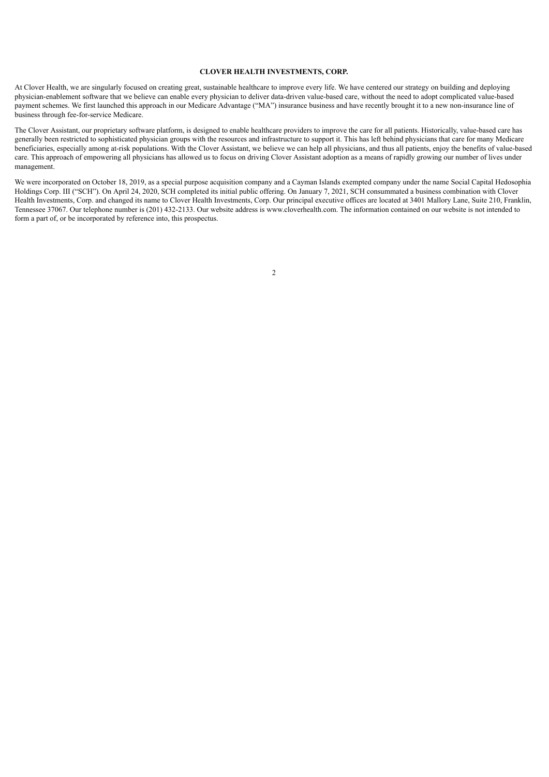#### **CLOVER HEALTH INVESTMENTS, CORP.**

At Clover Health, we are singularly focused on creating great, sustainable healthcare to improve every life. We have centered our strategy on building and deploying physician-enablement software that we believe can enable every physician to deliver data-driven value-based care, without the need to adopt complicated value-based payment schemes. We first launched this approach in our Medicare Advantage ("MA") insurance business and have recently brought it to a new non-insurance line of business through fee-for-service Medicare.

The Clover Assistant, our proprietary software platform, is designed to enable healthcare providers to improve the care for all patients. Historically, value-based care has generally been restricted to sophisticated physician groups with the resources and infrastructure to support it. This has left behind physicians that care for many Medicare beneficiaries, especially among at-risk populations. With the Clover Assistant, we believe we can help all physicians, and thus all patients, enjoy the benefits of value-based care. This approach of empowering all physicians has allowed us to focus on driving Clover Assistant adoption as a means of rapidly growing our number of lives under management.

<span id="page-5-0"></span>We were incorporated on October 18, 2019, as a special purpose acquisition company and a Cayman Islands exempted company under the name Social Capital Hedosophia Holdings Corp. III ("SCH"). On April 24, 2020, SCH completed its initial public offering. On January 7, 2021, SCH consummated a business combination with Clover Health Investments, Corp. and changed its name to Clover Health Investments, Corp. Our principal executive offices are located at 3401 Mallory Lane, Suite 210, Franklin, Tennessee 37067. Our telephone number is (201) 432-2133. Our website address is www.cloverhealth.com. The information contained on our website is not intended to form a part of, or be incorporated by reference into, this prospectus.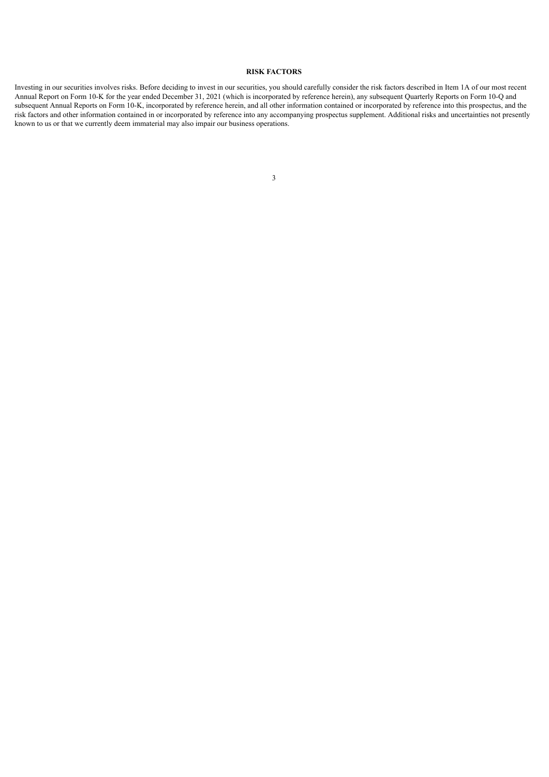### **RISK FACTORS**

<span id="page-6-0"></span>Investing in our securities involves risks. Before deciding to invest in our securities, you should carefully consider the risk factors described in Item 1A of our most recent Annual Report on Form 10-K for the year ended December 31, 2021 (which is incorporated by reference herein), any subsequent Quarterly Reports on Form 10-Q and subsequent Annual Reports on Form 10-K, incorporated by reference herein, and all other information contained or incorporated by reference into this prospectus, and the risk factors and other information contained in or incorporated by reference into any accompanying prospectus supplement. Additional risks and uncertainties not presently known to us or that we currently deem immaterial may also impair our business operations.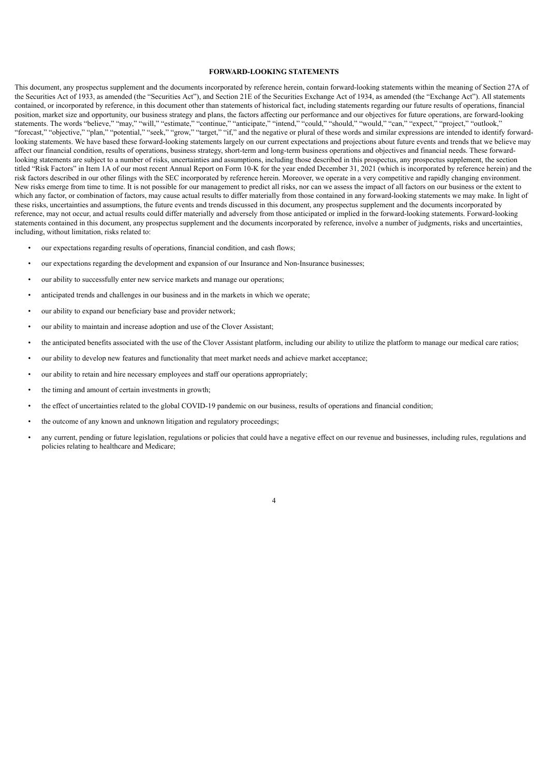#### **FORWARD-LOOKING STATEMENTS**

This document, any prospectus supplement and the documents incorporated by reference herein, contain forward-looking statements within the meaning of Section 27A of the Securities Act of 1933, as amended (the "Securities Act"), and Section 21E of the Securities Exchange Act of 1934, as amended (the "Exchange Act"). All statements contained, or incorporated by reference, in this document other than statements of historical fact, including statements regarding our future results of operations, financial position, market size and opportunity, our business strategy and plans, the factors affecting our performance and our objectives for future operations, are forward-looking statements. The words "believe," "may," "will," "estimate," "continue," "anticipate," "intend," "could," "should," "would," "can," "expect," "project," "outlook," "forecast," "objective," "plan," "potential," "seek," "grow," "target," "if," and the negative or plural of these words and similar expressions are intended to identify forwardlooking statements. We have based these forward-looking statements largely on our current expectations and projections about future events and trends that we believe may affect our financial condition, results of operations, business strategy, short-term and long-term business operations and objectives and financial needs. These forwardlooking statements are subject to a number of risks, uncertainties and assumptions, including those described in this prospectus, any prospectus supplement, the section titled "Risk Factors" in Item 1A of our most recent Annual Report on Form 10-K for the year ended December 31, 2021 (which is incorporated by reference herein) and the risk factors described in our other filings with the SEC incorporated by reference herein. Moreover, we operate in a very competitive and rapidly changing environment. New risks emerge from time to time. It is not possible for our management to predict all risks, nor can we assess the impact of all factors on our business or the extent to which any factor, or combination of factors, may cause actual results to differ materially from those contained in any forward-looking statements we may make. In light of these risks, uncertainties and assumptions, the future events and trends discussed in this document, any prospectus supplement and the documents incorporated by reference, may not occur, and actual results could differ materially and adversely from those anticipated or implied in the forward-looking statements. Forward-looking statements contained in this document, any prospectus supplement and the documents incorporated by reference, involve a number of judgments, risks and uncertainties, including, without limitation, risks related to:

- our expectations regarding results of operations, financial condition, and cash flows;
- our expectations regarding the development and expansion of our Insurance and Non-Insurance businesses;
- our ability to successfully enter new service markets and manage our operations;
- anticipated trends and challenges in our business and in the markets in which we operate;
- our ability to expand our beneficiary base and provider network;
- our ability to maintain and increase adoption and use of the Clover Assistant;
- the anticipated benefits associated with the use of the Clover Assistant platform, including our ability to utilize the platform to manage our medical care ratios;
- our ability to develop new features and functionality that meet market needs and achieve market acceptance;
- our ability to retain and hire necessary employees and staff our operations appropriately;
- the timing and amount of certain investments in growth;
- the effect of uncertainties related to the global COVID-19 pandemic on our business, results of operations and financial condition;
- the outcome of any known and unknown litigation and regulatory proceedings;
- any current, pending or future legislation, regulations or policies that could have a negative effect on our revenue and businesses, including rules, regulations and policies relating to healthcare and Medicare;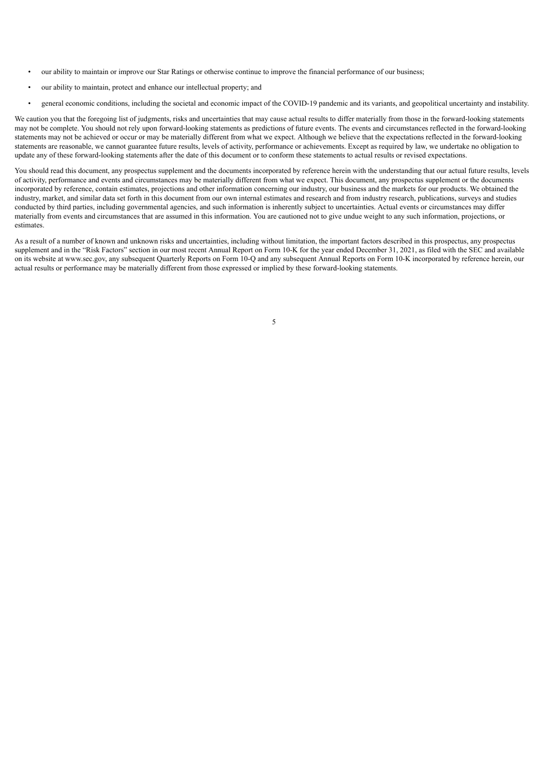- our ability to maintain or improve our Star Ratings or otherwise continue to improve the financial performance of our business;
- our ability to maintain, protect and enhance our intellectual property; and
- general economic conditions, including the societal and economic impact of the COVID-19 pandemic and its variants, and geopolitical uncertainty and instability.

We caution you that the foregoing list of judgments, risks and uncertainties that may cause actual results to differ materially from those in the forward-looking statements may not be complete. You should not rely upon forward-looking statements as predictions of future events. The events and circumstances reflected in the forward-looking statements may not be achieved or occur or may be materially different from what we expect. Although we believe that the expectations reflected in the forward-looking statements are reasonable, we cannot guarantee future results, levels of activity, performance or achievements. Except as required by law, we undertake no obligation to update any of these forward-looking statements after the date of this document or to conform these statements to actual results or revised expectations.

You should read this document, any prospectus supplement and the documents incorporated by reference herein with the understanding that our actual future results, levels of activity, performance and events and circumstances may be materially different from what we expect. This document, any prospectus supplement or the documents incorporated by reference, contain estimates, projections and other information concerning our industry, our business and the markets for our products. We obtained the industry, market, and similar data set forth in this document from our own internal estimates and research and from industry research, publications, surveys and studies conducted by third parties, including governmental agencies, and such information is inherently subject to uncertainties. Actual events or circumstances may differ materially from events and circumstances that are assumed in this information. You are cautioned not to give undue weight to any such information, projections, or estimates.

<span id="page-8-0"></span>As a result of a number of known and unknown risks and uncertainties, including without limitation, the important factors described in this prospectus, any prospectus supplement and in the "Risk Factors" section in our most recent Annual Report on Form 10-K for the year ended December 31, 2021, as filed with the SEC and available on its website at www.sec.gov, any subsequent Quarterly Reports on Form 10-Q and any subsequent Annual Reports on Form 10-K incorporated by reference herein, our actual results or performance may be materially different from those expressed or implied by these forward-looking statements.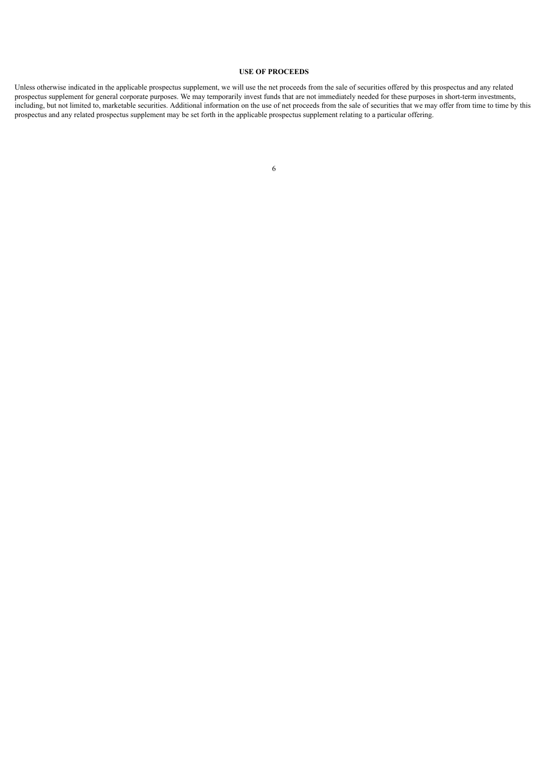#### **USE OF PROCEEDS**

<span id="page-9-0"></span>Unless otherwise indicated in the applicable prospectus supplement, we will use the net proceeds from the sale of securities offered by this prospectus and any related prospectus supplement for general corporate purposes. We may temporarily invest funds that are not immediately needed for these purposes in short-term investments, including, but not limited to, marketable securities. Additional information on the use of net proceeds from the sale of securities that we may offer from time to time by this prospectus and any related prospectus supplement may be set forth in the applicable prospectus supplement relating to a particular offering.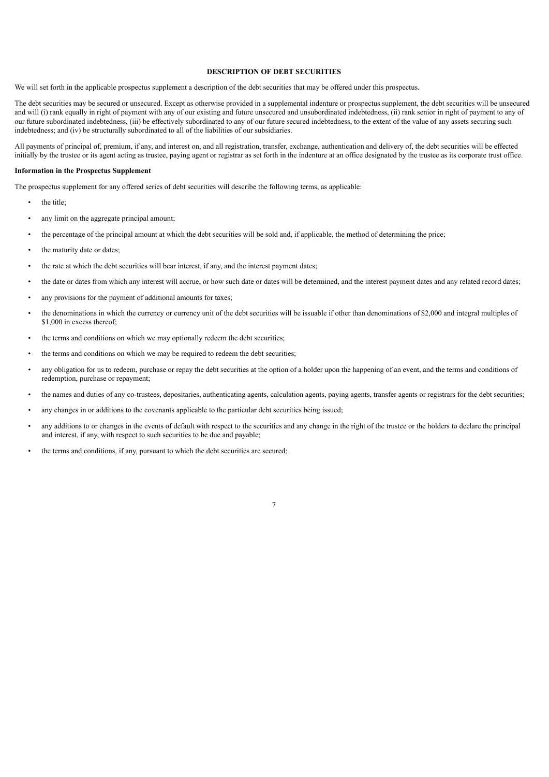#### **DESCRIPTION OF DEBT SECURITIES**

We will set forth in the applicable prospectus supplement a description of the debt securities that may be offered under this prospectus.

The debt securities may be secured or unsecured. Except as otherwise provided in a supplemental indenture or prospectus supplement, the debt securities will be unsecured and will (i) rank equally in right of payment with any of our existing and future unsecured and unsubordinated indebtedness, (ii) rank senior in right of payment to any of our future subordinated indebtedness, (iii) be effectively subordinated to any of our future secured indebtedness, to the extent of the value of any assets securing such indebtedness; and (iv) be structurally subordinated to all of the liabilities of our subsidiaries.

All payments of principal of, premium, if any, and interest on, and all registration, transfer, exchange, authentication and delivery of, the debt securities will be effected initially by the trustee or its agent acting as trustee, paying agent or registrar as set forth in the indenture at an office designated by the trustee as its corporate trust office.

#### **Information in the Prospectus Supplement**

The prospectus supplement for any offered series of debt securities will describe the following terms, as applicable:

- the title:
- any limit on the aggregate principal amount:
- the percentage of the principal amount at which the debt securities will be sold and, if applicable, the method of determining the price;
- the maturity date or dates;
- the rate at which the debt securities will bear interest, if any, and the interest payment dates;
- the date or dates from which any interest will accrue, or how such date or dates will be determined, and the interest payment dates and any related record dates;
- any provisions for the payment of additional amounts for taxes;
- the denominations in which the currency or currency unit of the debt securities will be issuable if other than denominations of \$2,000 and integral multiples of \$1,000 in excess thereof:
- the terms and conditions on which we may optionally redeem the debt securities;
- the terms and conditions on which we may be required to redeem the debt securities;
- any obligation for us to redeem, purchase or repay the debt securities at the option of a holder upon the happening of an event, and the terms and conditions of redemption, purchase or repayment;
- the names and duties of any co-trustees, depositaries, authenticating agents, calculation agents, paying agents, transfer agents or registrars for the debt securities;
- any changes in or additions to the covenants applicable to the particular debt securities being issued;
- any additions to or changes in the events of default with respect to the securities and any change in the right of the trustee or the holders to declare the principal and interest, if any, with respect to such securities to be due and payable;

7

• the terms and conditions, if any, pursuant to which the debt securities are secured;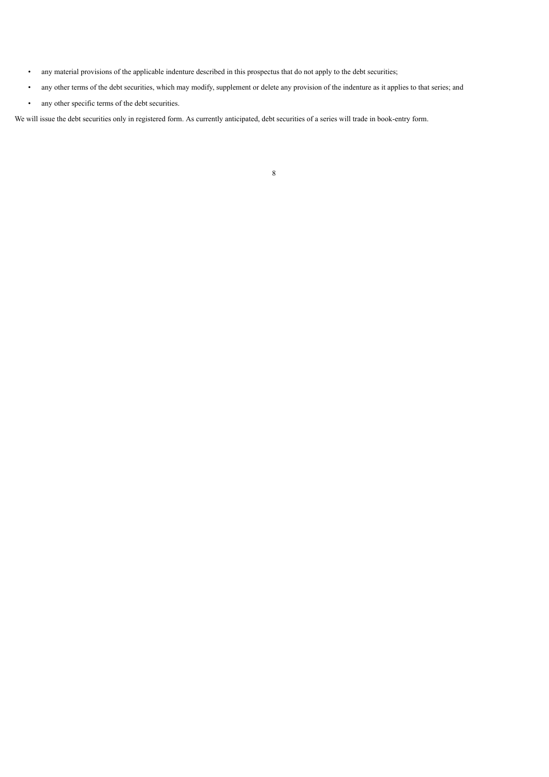- any material provisions of the applicable indenture described in this prospectus that do not apply to the debt securities;
- any other terms of the debt securities, which may modify, supplement or delete any provision of the indenture as it applies to that series; and
- any other specific terms of the debt securities.

<span id="page-11-0"></span>We will issue the debt securities only in registered form. As currently anticipated, debt securities of a series will trade in book-entry form.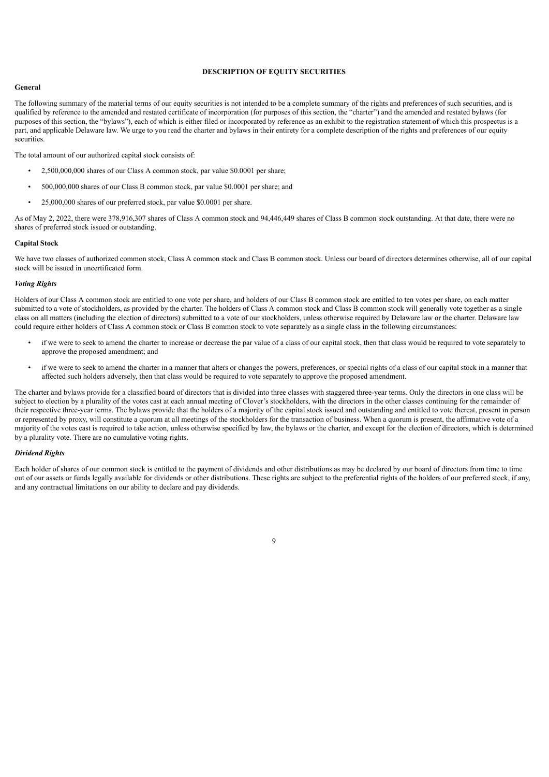#### **DESCRIPTION OF EQUITY SECURITIES**

#### **General**

The following summary of the material terms of our equity securities is not intended to be a complete summary of the rights and preferences of such securities, and is qualified by reference to the amended and restated certificate of incorporation (for purposes of this section, the "charter") and the amended and restated bylaws (for purposes of this section, the "bylaws"), each of which is either filed or incorporated by reference as an exhibit to the registration statement of which this prospectus is a part, and applicable Delaware law. We urge to you read the charter and bylaws in their entirety for a complete description of the rights and preferences of our equity securities.

The total amount of our authorized capital stock consists of:

- 2,500,000,000 shares of our Class A common stock, par value \$0.0001 per share;
- 500,000,000 shares of our Class B common stock, par value \$0.0001 per share; and
- 25,000,000 shares of our preferred stock, par value \$0.0001 per share.

As of May 2, 2022, there were 378,916,307 shares of Class A common stock and 94,446,449 shares of Class B common stock outstanding. At that date, there were no shares of preferred stock issued or outstanding.

#### **Capital Stock**

We have two classes of authorized common stock, Class A common stock and Class B common stock. Unless our board of directors determines otherwise, all of our capital stock will be issued in uncertificated form.

#### *Voting Rights*

Holders of our Class A common stock are entitled to one vote per share, and holders of our Class B common stock are entitled to ten votes per share, on each matter submitted to a vote of stockholders, as provided by the charter. The holders of Class A common stock and Class B common stock will generally vote together as a single class on all matters (including the election of directors) submitted to a vote of our stockholders, unless otherwise required by Delaware law or the charter. Delaware law could require either holders of Class A common stock or Class B common stock to vote separately as a single class in the following circumstances:

- if we were to seek to amend the charter to increase or decrease the par value of a class of our capital stock, then that class would be required to vote separately to approve the proposed amendment; and
- if we were to seek to amend the charter in a manner that alters or changes the powers, preferences, or special rights of a class of our capital stock in a manner that affected such holders adversely, then that class would be required to vote separately to approve the proposed amendment.

The charter and bylaws provide for a classified board of directors that is divided into three classes with staggered three-year terms. Only the directors in one class will be subject to election by a plurality of the votes cast at each annual meeting of Clover's stockholders, with the directors in the other classes continuing for the remainder of their respective three-year terms. The bylaws provide that the holders of a majority of the capital stock issued and outstanding and entitled to vote thereat, present in person or represented by proxy, will constitute a quorum at all meetings of the stockholders for the transaction of business. When a quorum is present, the affirmative vote of a majority of the votes cast is required to take action, unless otherwise specified by law, the bylaws or the charter, and except for the election of directors, which is determined by a plurality vote. There are no cumulative voting rights.

#### *Dividend Rights*

Each holder of shares of our common stock is entitled to the payment of dividends and other distributions as may be declared by our board of directors from time to time out of our assets or funds legally available for dividends or other distributions. These rights are subject to the preferential rights of the holders of our preferred stock, if any, and any contractual limitations on our ability to declare and pay dividends.

 $\overline{9}$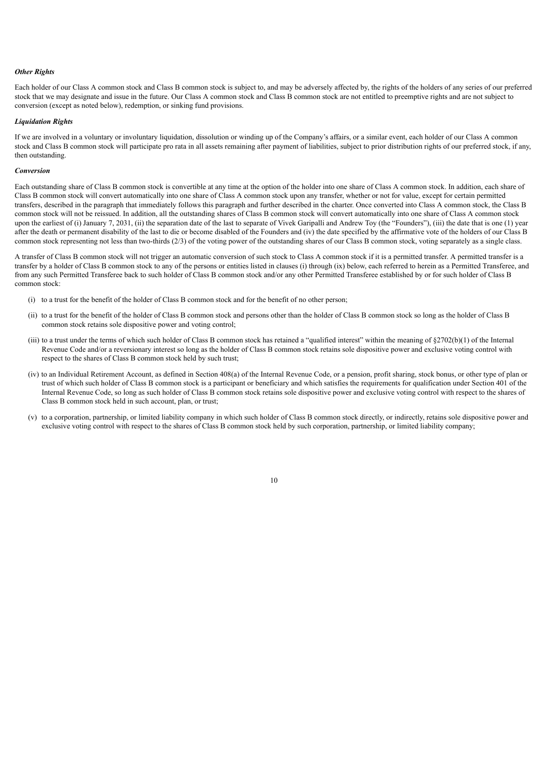#### *Other Rights*

Each holder of our Class A common stock and Class B common stock is subject to, and may be adversely affected by, the rights of the holders of any series of our preferred stock that we may designate and issue in the future. Our Class A common stock and Class B common stock are not entitled to preemptive rights and are not subject to conversion (except as noted below), redemption, or sinking fund provisions.

#### *Liquidation Rights*

If we are involved in a voluntary or involuntary liquidation, dissolution or winding up of the Company's affairs, or a similar event, each holder of our Class A common stock and Class B common stock will participate pro rata in all assets remaining after payment of liabilities, subject to prior distribution rights of our preferred stock, if any, then outstanding.

#### *Conversion*

Each outstanding share of Class B common stock is convertible at any time at the option of the holder into one share of Class A common stock. In addition, each share of Class B common stock will convert automatically into one share of Class A common stock upon any transfer, whether or not for value, except for certain permitted transfers, described in the paragraph that immediately follows this paragraph and further described in the charter. Once converted into Class A common stock, the Class B common stock will not be reissued. In addition, all the outstanding shares of Class B common stock will convert automatically into one share of Class A common stock upon the earliest of (i) January 7, 2031, (ii) the separation date of the last to separate of Vivek Garipalli and Andrew Toy (the "Founders"), (iii) the date that is one (1) year after the death or permanent disability of the last to die or become disabled of the Founders and (iv) the date specified by the affirmative vote of the holders of our Class B common stock representing not less than two-thirds (2/3) of the voting power of the outstanding shares of our Class B common stock, voting separately as a single class.

A transfer of Class B common stock will not trigger an automatic conversion of such stock to Class A common stock if it is a permitted transfer. A permitted transfer is a transfer by a holder of Class B common stock to any of the persons or entities listed in clauses (i) through (ix) below, each referred to herein as a Permitted Transferee, and from any such Permitted Transferee back to such holder of Class B common stock and/or any other Permitted Transferee established by or for such holder of Class B common stock:

- (i) to a trust for the benefit of the holder of Class B common stock and for the benefit of no other person;
- (ii) to a trust for the benefit of the holder of Class B common stock and persons other than the holder of Class B common stock so long as the holder of Class B common stock retains sole dispositive power and voting control;
- (iii) to a trust under the terms of which such holder of Class B common stock has retained a "qualified interest" within the meaning of §2702(b)(1) of the Internal Revenue Code and/or a reversionary interest so long as the holder of Class B common stock retains sole dispositive power and exclusive voting control with respect to the shares of Class B common stock held by such trust;
- (iv) to an Individual Retirement Account, as defined in Section 408(a) of the Internal Revenue Code, or a pension, profit sharing, stock bonus, or other type of plan or trust of which such holder of Class B common stock is a participant or beneficiary and which satisfies the requirements for qualification under Section 401 of the Internal Revenue Code, so long as such holder of Class B common stock retains sole dispositive power and exclusive voting control with respect to the shares of Class B common stock held in such account, plan, or trust;
- (v) to a corporation, partnership, or limited liability company in which such holder of Class B common stock directly, or indirectly, retains sole dispositive power and exclusive voting control with respect to the shares of Class B common stock held by such corporation, partnership, or limited liability company;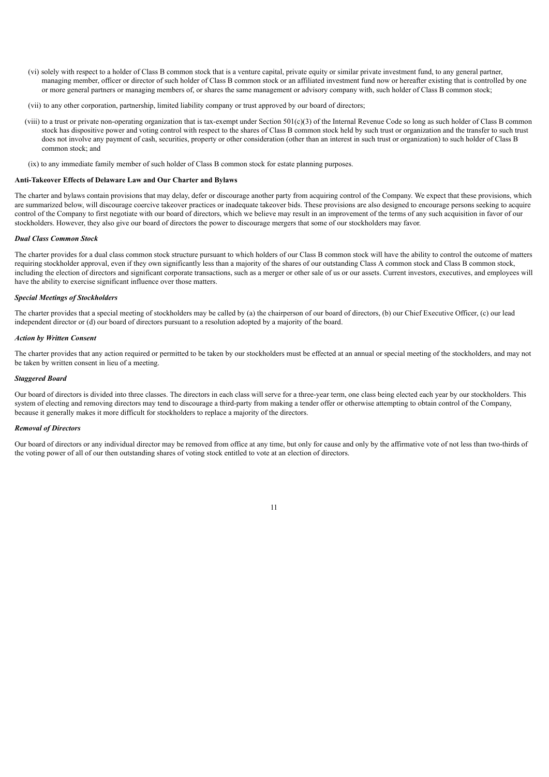- (vi) solely with respect to a holder of Class B common stock that is a venture capital, private equity or similar private investment fund, to any general partner, managing member, officer or director of such holder of Class B common stock or an affiliated investment fund now or hereafter existing that is controlled by one or more general partners or managing members of, or shares the same management or advisory company with, such holder of Class B common stock;
- (vii) to any other corporation, partnership, limited liability company or trust approved by our board of directors;
- (viii) to a trust or private non-operating organization that is tax-exempt under Section 501(c)(3) of the Internal Revenue Code so long as such holder of Class B common stock has dispositive power and voting control with respect to the shares of Class B common stock held by such trust or organization and the transfer to such trust does not involve any payment of cash, securities, property or other consideration (other than an interest in such trust or organization) to such holder of Class B common stock; and
- (ix) to any immediate family member of such holder of Class B common stock for estate planning purposes.

#### **Anti-Takeover Effects of Delaware Law and Our Charter and Bylaws**

The charter and bylaws contain provisions that may delay, defer or discourage another party from acquiring control of the Company. We expect that these provisions, which are summarized below, will discourage coercive takeover practices or inadequate takeover bids. These provisions are also designed to encourage persons seeking to acquire control of the Company to first negotiate with our board of directors, which we believe may result in an improvement of the terms of any such acquisition in favor of our stockholders. However, they also give our board of directors the power to discourage mergers that some of our stockholders may favor.

#### *Dual Class Common Stock*

The charter provides for a dual class common stock structure pursuant to which holders of our Class B common stock will have the ability to control the outcome of matters requiring stockholder approval, even if they own significantly less than a majority of the shares of our outstanding Class A common stock and Class B common stock, including the election of directors and significant corporate transactions, such as a merger or other sale of us or our assets. Current investors, executives, and employees will have the ability to exercise significant influence over those matters.

#### *Special Meetings of Stockholders*

The charter provides that a special meeting of stockholders may be called by (a) the chairperson of our board of directors, (b) our Chief Executive Officer, (c) our lead independent director or (d) our board of directors pursuant to a resolution adopted by a majority of the board.

#### *Action by Written Consent*

The charter provides that any action required or permitted to be taken by our stockholders must be effected at an annual or special meeting of the stockholders, and may not be taken by written consent in lieu of a meeting.

#### *Staggered Board*

Our board of directors is divided into three classes. The directors in each class will serve for a three-year term, one class being elected each year by our stockholders. This system of electing and removing directors may tend to discourage a third-party from making a tender offer or otherwise attempting to obtain control of the Company, because it generally makes it more difficult for stockholders to replace a majority of the directors.

#### *Removal of Directors*

Our board of directors or any individual director may be removed from office at any time, but only for cause and only by the affirmative vote of not less than two-thirds of the voting power of all of our then outstanding shares of voting stock entitled to vote at an election of directors.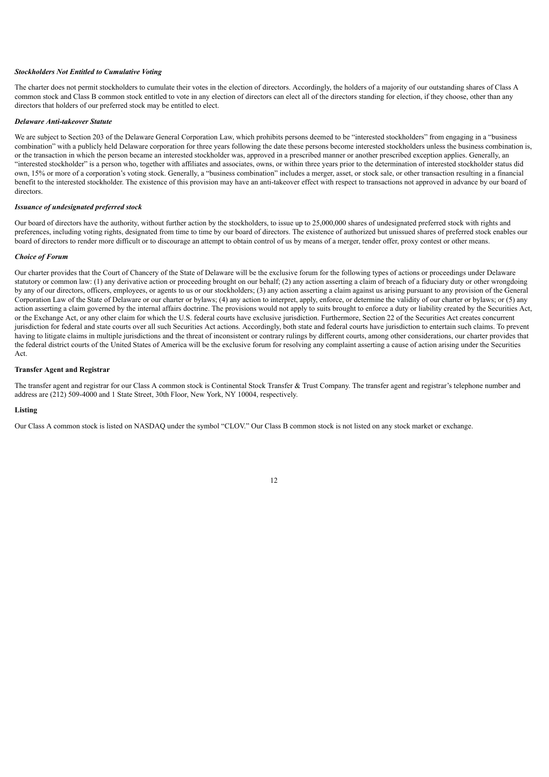#### *Stockholders Not Entitled to Cumulative Voting*

The charter does not permit stockholders to cumulate their votes in the election of directors. Accordingly, the holders of a majority of our outstanding shares of Class A common stock and Class B common stock entitled to vote in any election of directors can elect all of the directors standing for election, if they choose, other than any directors that holders of our preferred stock may be entitled to elect.

#### *Delaware Anti-takeover Statute*

We are subject to Section 203 of the Delaware General Corporation Law, which prohibits persons deemed to be "interested stockholders" from engaging in a "business" combination" with a publicly held Delaware corporation for three years following the date these persons become interested stockholders unless the business combination is, or the transaction in which the person became an interested stockholder was, approved in a prescribed manner or another prescribed exception applies. Generally, an "interested stockholder" is a person who, together with affiliates and associates, owns, or within three years prior to the determination of interested stockholder status did own, 15% or more of a corporation's voting stock. Generally, a "business combination" includes a merger, asset, or stock sale, or other transaction resulting in a financial benefit to the interested stockholder. The existence of this provision may have an anti-takeover effect with respect to transactions not approved in advance by our board of directors.

#### *Issuance of undesignated preferred stock*

Our board of directors have the authority, without further action by the stockholders, to issue up to 25,000,000 shares of undesignated preferred stock with rights and preferences, including voting rights, designated from time to time by our board of directors. The existence of authorized but unissued shares of preferred stock enables our board of directors to render more difficult or to discourage an attempt to obtain control of us by means of a merger, tender offer, proxy contest or other means.

#### *Choice of Forum*

Our charter provides that the Court of Chancery of the State of Delaware will be the exclusive forum for the following types of actions or proceedings under Delaware statutory or common law: (1) any derivative action or proceeding brought on our behalf; (2) any action asserting a claim of breach of a fiduciary duty or other wrongdoing by any of our directors, officers, employees, or agents to us or our stockholders; (3) any action asserting a claim against us arising pursuant to any provision of the General Corporation Law of the State of Delaware or our charter or bylaws; (4) any action to interpret, apply, enforce, or determine the validity of our charter or bylaws; or (5) any action asserting a claim governed by the internal affairs doctrine. The provisions would not apply to suits brought to enforce a duty or liability created by the Securities Act, or the Exchange Act, or any other claim for which the U.S. federal courts have exclusive jurisdiction. Furthermore, Section 22 of the Securities Act creates concurrent jurisdiction for federal and state courts over all such Securities Act actions. Accordingly, both state and federal courts have jurisdiction to entertain such claims. To prevent having to litigate claims in multiple jurisdictions and the threat of inconsistent or contrary rulings by different courts, among other considerations, our charter provides that the federal district courts of the United States of America will be the exclusive forum for resolving any complaint asserting a cause of action arising under the Securities Act.

#### **Transfer Agent and Registrar**

The transfer agent and registrar for our Class A common stock is Continental Stock Transfer & Trust Company. The transfer agent and registrar's telephone number and address are (212) 509-4000 and 1 State Street, 30th Floor, New York, NY 10004, respectively.

#### **Listing**

Our Class A common stock is listed on NASDAQ under the symbol "CLOV." Our Class B common stock is not listed on any stock market or exchange.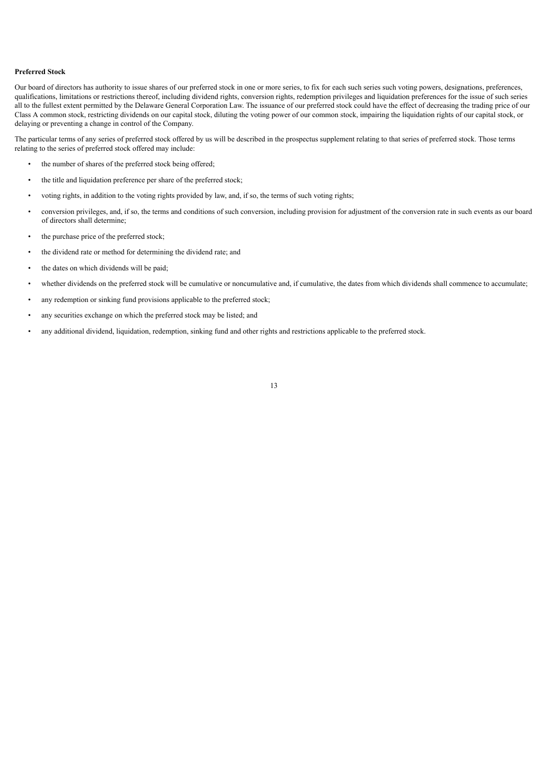#### **Preferred Stock**

Our board of directors has authority to issue shares of our preferred stock in one or more series, to fix for each such series such voting powers, designations, preferences, qualifications, limitations or restrictions thereof, including dividend rights, conversion rights, redemption privileges and liquidation preferences for the issue of such series all to the fullest extent permitted by the Delaware General Corporation Law. The issuance of our preferred stock could have the effect of decreasing the trading price of our Class A common stock, restricting dividends on our capital stock, diluting the voting power of our common stock, impairing the liquidation rights of our capital stock, or delaying or preventing a change in control of the Company.

The particular terms of any series of preferred stock offered by us will be described in the prospectus supplement relating to that series of preferred stock. Those terms relating to the series of preferred stock offered may include:

- the number of shares of the preferred stock being offered;
- the title and liquidation preference per share of the preferred stock;
- voting rights, in addition to the voting rights provided by law, and, if so, the terms of such voting rights;
- conversion privileges, and, if so, the terms and conditions of such conversion, including provision for adjustment of the conversion rate in such events as our board of directors shall determine;
- the purchase price of the preferred stock;
- the dividend rate or method for determining the dividend rate; and
- the dates on which dividends will be paid;
- whether dividends on the preferred stock will be cumulative or noncumulative and, if cumulative, the dates from which dividends shall commence to accumulate;
- any redemption or sinking fund provisions applicable to the preferred stock;
- any securities exchange on which the preferred stock may be listed; and
- <span id="page-16-0"></span>• any additional dividend, liquidation, redemption, sinking fund and other rights and restrictions applicable to the preferred stock.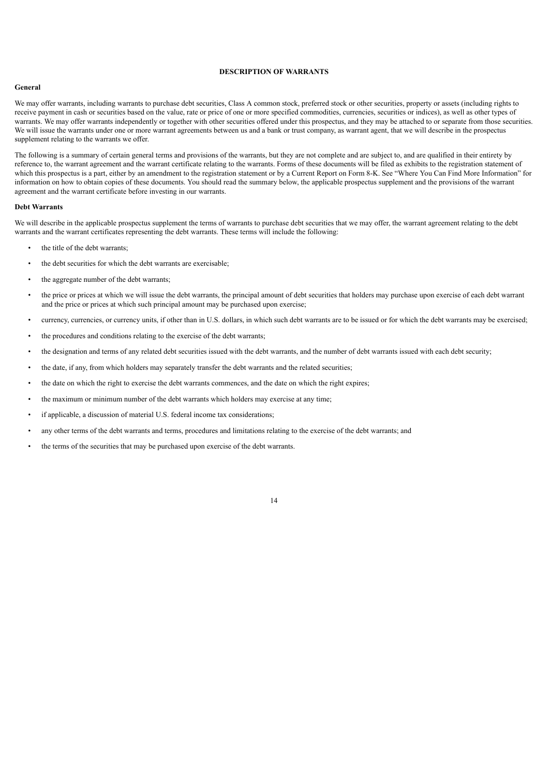#### **DESCRIPTION OF WARRANTS**

#### **General**

We may offer warrants, including warrants to purchase debt securities, Class A common stock, preferred stock or other securities, property or assets (including rights to receive payment in cash or securities based on the value, rate or price of one or more specified commodities, currencies, securities or indices), as well as other types of warrants. We may offer warrants independently or together with other securities offered under this prospectus, and they may be attached to or separate from those securities. We will issue the warrants under one or more warrant agreements between us and a bank or trust company, as warrant agent, that we will describe in the prospectus supplement relating to the warrants we offer.

The following is a summary of certain general terms and provisions of the warrants, but they are not complete and are subject to, and are qualified in their entirety by reference to, the warrant agreement and the warrant certificate relating to the warrants. Forms of these documents will be filed as exhibits to the registration statement of which this prospectus is a part, either by an amendment to the registration statement or by a Current Report on Form 8-K. See "Where You Can Find More Information" for information on how to obtain copies of these documents. You should read the summary below, the applicable prospectus supplement and the provisions of the warrant agreement and the warrant certificate before investing in our warrants.

#### **Debt Warrants**

We will describe in the applicable prospectus supplement the terms of warrants to purchase debt securities that we may offer, the warrant agreement relating to the debt warrants and the warrant certificates representing the debt warrants. These terms will include the following:

- the title of the debt warrants;
- the debt securities for which the debt warrants are exercisable;
- the aggregate number of the debt warrants:
- the price or prices at which we will issue the debt warrants, the principal amount of debt securities that holders may purchase upon exercise of each debt warrant and the price or prices at which such principal amount may be purchased upon exercise;
- currency, currencies, or currency units, if other than in U.S. dollars, in which such debt warrants are to be issued or for which the debt warrants may be exercised;

- the procedures and conditions relating to the exercise of the debt warrants;
- the designation and terms of any related debt securities issued with the debt warrants, and the number of debt warrants issued with each debt security;
- the date, if any, from which holders may separately transfer the debt warrants and the related securities;
- the date on which the right to exercise the debt warrants commences, and the date on which the right expires;
- the maximum or minimum number of the debt warrants which holders may exercise at any time;
- if applicable, a discussion of material U.S. federal income tax considerations;
- any other terms of the debt warrants and terms, procedures and limitations relating to the exercise of the debt warrants; and
- the terms of the securities that may be purchased upon exercise of the debt warrants.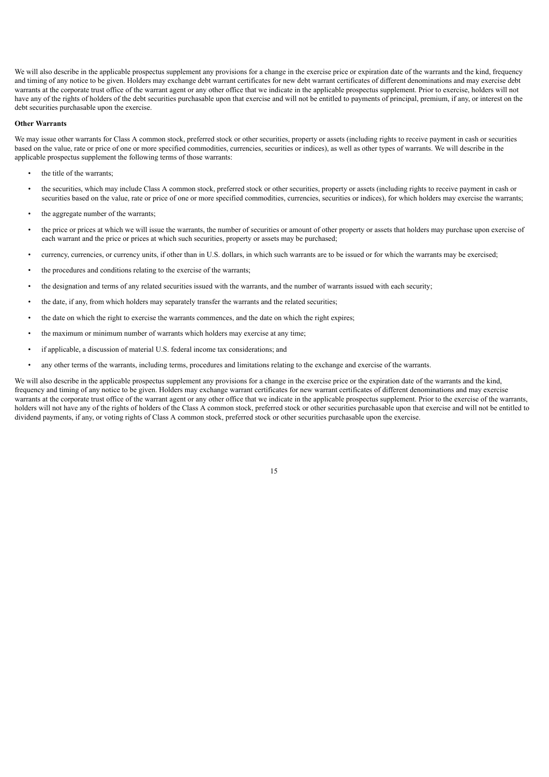We will also describe in the applicable prospectus supplement any provisions for a change in the exercise price or expiration date of the warrants and the kind, frequency and timing of any notice to be given. Holders may exchange debt warrant certificates for new debt warrant certificates of different denominations and may exercise debt warrants at the corporate trust office of the warrant agent or any other office that we indicate in the applicable prospectus supplement. Prior to exercise, holders will not have any of the rights of holders of the debt securities purchasable upon that exercise and will not be entitled to payments of principal, premium, if any, or interest on the debt securities purchasable upon the exercise.

#### **Other Warrants**

We may issue other warrants for Class A common stock, preferred stock or other securities, property or assets (including rights to receive payment in cash or securities based on the value, rate or price of one or more specified commodities, currencies, securities or indices), as well as other types of warrants. We will describe in the applicable prospectus supplement the following terms of those warrants:

- the title of the warrants;
- the securities, which may include Class A common stock, preferred stock or other securities, property or assets (including rights to receive payment in cash or securities based on the value, rate or price of one or more specified commodities, currencies, securities or indices), for which holders may exercise the warrants;
- the aggregate number of the warrants;
- the price or prices at which we will issue the warrants, the number of securities or amount of other property or assets that holders may purchase upon exercise of each warrant and the price or prices at which such securities, property or assets may be purchased;
- currency, currencies, or currency units, if other than in U.S. dollars, in which such warrants are to be issued or for which the warrants may be exercised;
- the procedures and conditions relating to the exercise of the warrants;
- the designation and terms of any related securities issued with the warrants, and the number of warrants issued with each security;
- the date, if any, from which holders may separately transfer the warrants and the related securities;
- the date on which the right to exercise the warrants commences, and the date on which the right expires;
- the maximum or minimum number of warrants which holders may exercise at any time;
- if applicable, a discussion of material U.S. federal income tax considerations; and
- any other terms of the warrants, including terms, procedures and limitations relating to the exchange and exercise of the warrants.

We will also describe in the applicable prospectus supplement any provisions for a change in the exercise price or the expiration date of the warrants and the kind, frequency and timing of any notice to be given. Holders may exchange warrant certificates for new warrant certificates of different denominations and may exercise warrants at the corporate trust office of the warrant agent or any other office that we indicate in the applicable prospectus supplement. Prior to the exercise of the warrants, holders will not have any of the rights of holders of the Class A common stock, preferred stock or other securities purchasable upon that exercise and will not be entitled to dividend payments, if any, or voting rights of Class A common stock, preferred stock or other securities purchasable upon the exercise.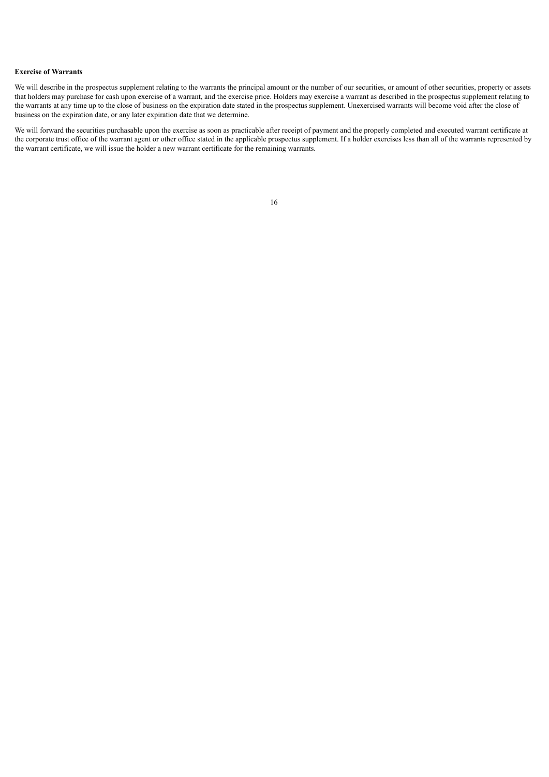#### **Exercise of Warrants**

We will describe in the prospectus supplement relating to the warrants the principal amount or the number of our securities, or amount of other securities, property or assets that holders may purchase for cash upon exercise of a warrant, and the exercise price. Holders may exercise a warrant as described in the prospectus supplement relating to the warrants at any time up to the close of business on the expiration date stated in the prospectus supplement. Unexercised warrants will become void after the close of business on the expiration date, or any later expiration date that we determine.

<span id="page-19-0"></span>We will forward the securities purchasable upon the exercise as soon as practicable after receipt of payment and the properly completed and executed warrant certificate at the corporate trust office of the warrant agent or other office stated in the applicable prospectus supplement. If a holder exercises less than all of the warrants represented by the warrant certificate, we will issue the holder a new warrant certificate for the remaining warrants.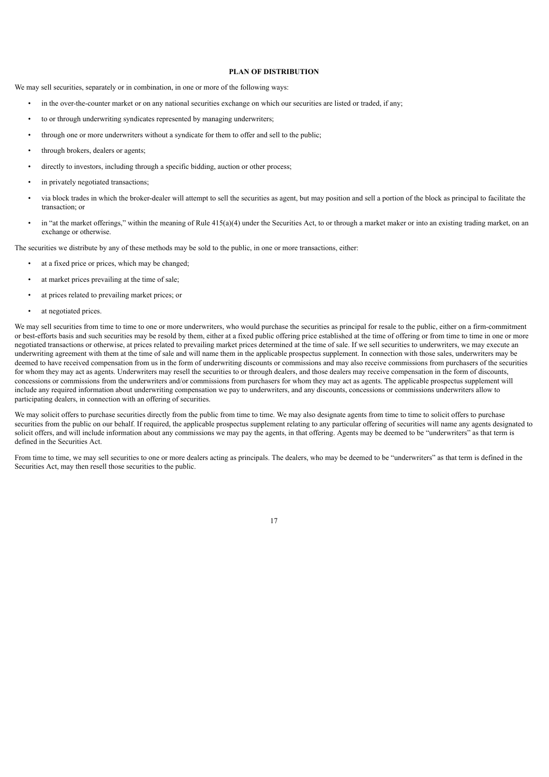#### **PLAN OF DISTRIBUTION**

We may sell securities, separately or in combination, in one or more of the following ways:

- in the over-the-counter market or on any national securities exchange on which our securities are listed or traded, if any;
- to or through underwriting syndicates represented by managing underwriters;
- through one or more underwriters without a syndicate for them to offer and sell to the public;
- through brokers, dealers or agents;
- directly to investors, including through a specific bidding, auction or other process;
- in privately negotiated transactions;
- via block trades in which the broker-dealer will attempt to sell the securities as agent, but may position and sell a portion of the block as principal to facilitate the transaction; or
- in "at the market offerings," within the meaning of Rule  $415(a)(4)$  under the Securities Act, to or through a market maker or into an existing trading market, on an exchange or otherwise.

The securities we distribute by any of these methods may be sold to the public, in one or more transactions, either:

- at a fixed price or prices, which may be changed;
- at market prices prevailing at the time of sale:
- at prices related to prevailing market prices; or
- at negotiated prices.

We may sell securities from time to time to one or more underwriters, who would purchase the securities as principal for resale to the public, either on a firm-commitment or best-efforts basis and such securities may be resold by them, either at a fixed public offering price established at the time of offering or from time to time in one or more negotiated transactions or otherwise, at prices related to prevailing market prices determined at the time of sale. If we sell securities to underwriters, we may execute an underwriting agreement with them at the time of sale and will name them in the applicable prospectus supplement. In connection with those sales, underwriters may be deemed to have received compensation from us in the form of underwriting discounts or commissions and may also receive commissions from purchasers of the securities for whom they may act as agents. Underwriters may resell the securities to or through dealers, and those dealers may receive compensation in the form of discounts, concessions or commissions from the underwriters and/or commissions from purchasers for whom they may act as agents. The applicable prospectus supplement will include any required information about underwriting compensation we pay to underwriters, and any discounts, concessions or commissions underwriters allow to participating dealers, in connection with an offering of securities.

We may solicit offers to purchase securities directly from the public from time to time. We may also designate agents from time to time to solicit offers to purchase securities from the public on our behalf. If required, the applicable prospectus supplement relating to any particular offering of securities will name any agents designated to solicit offers, and will include information about any commissions we may pay the agents, in that offering. Agents may be deemed to be "underwriters" as that term is defined in the Securities Act.

From time to time, we may sell securities to one or more dealers acting as principals. The dealers, who may be deemed to be "underwriters" as that term is defined in the Securities Act, may then resell those securities to the public.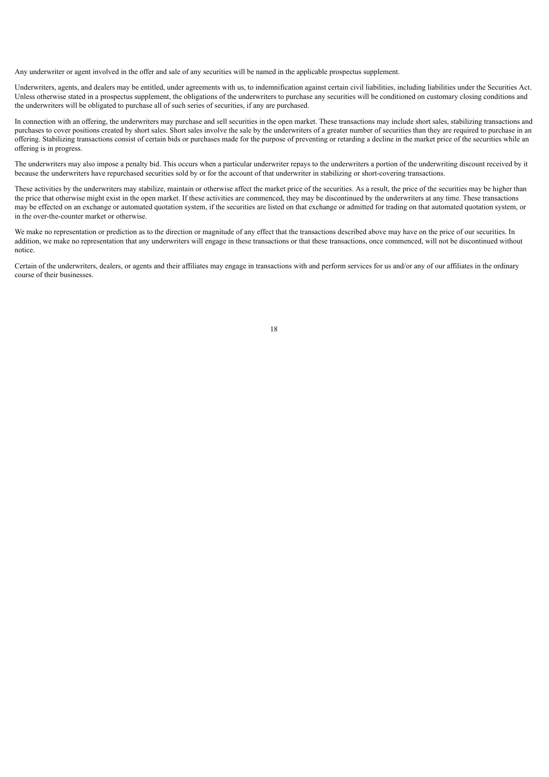Any underwriter or agent involved in the offer and sale of any securities will be named in the applicable prospectus supplement.

Underwriters, agents, and dealers may be entitled, under agreements with us, to indemnification against certain civil liabilities, including liabilities under the Securities Act. Unless otherwise stated in a prospectus supplement, the obligations of the underwriters to purchase any securities will be conditioned on customary closing conditions and the underwriters will be obligated to purchase all of such series of securities, if any are purchased.

In connection with an offering, the underwriters may purchase and sell securities in the open market. These transactions may include short sales, stabilizing transactions and purchases to cover positions created by short sales. Short sales involve the sale by the underwriters of a greater number of securities than they are required to purchase in an offering. Stabilizing transactions consist of certain bids or purchases made for the purpose of preventing or retarding a decline in the market price of the securities while an offering is in progress.

The underwriters may also impose a penalty bid. This occurs when a particular underwriter repays to the underwriters a portion of the underwriting discount received by it because the underwriters have repurchased securities sold by or for the account of that underwriter in stabilizing or short-covering transactions.

These activities by the underwriters may stabilize, maintain or otherwise affect the market price of the securities. As a result, the price of the securities may be higher than the price that otherwise might exist in the open market. If these activities are commenced, they may be discontinued by the underwriters at any time. These transactions may be effected on an exchange or automated quotation system, if the securities are listed on that exchange or admitted for trading on that automated quotation system, or in the over-the-counter market or otherwise.

We make no representation or prediction as to the direction or magnitude of any effect that the transactions described above may have on the price of our securities. In addition, we make no representation that any underwriters will engage in these transactions or that these transactions, once commenced, will not be discontinued without notice.

<span id="page-21-0"></span>Certain of the underwriters, dealers, or agents and their affiliates may engage in transactions with and perform services for us and/or any of our affiliates in the ordinary course of their businesses.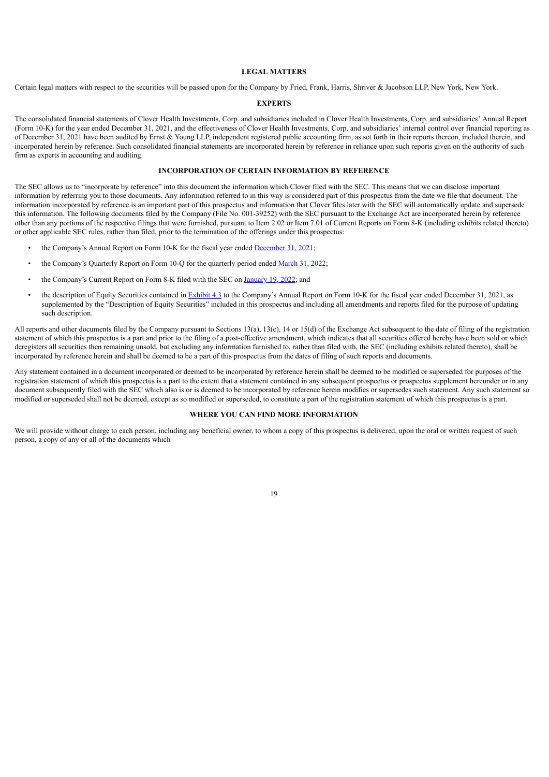#### **LEGAL MATTERS**

<span id="page-22-0"></span>Certain legal matters with respect to the securities will be passed upon for the Company by Fried, Frank, Harris, Shriver & Jacobson LLP, New York, New York.

#### **EXPERTS**

The consolidated financial statements of Clover Health Investments, Corp. and subsidiaries included in Clover Health Investments, Corp. and subsidiaries' Annual Report (Form 10-K) for the year ended December 31, 2021, and the effectiveness of Clover Health Investments, Corp. and subsidiaries' internal control over financial reporting as of December 31, 2021 have been audited by Ernst & Young LLP, independent registered public accounting firm, as set forth in their reports thereon, included therein, and incorporated herein by reference. Such consolidated financial statements are incorporated herein by reference in reliance upon such reports given on the authority of such firm as experts in accounting and auditing.

#### **INCORPORATION OF CERTAIN INFORMATION BY REFERENCE**

<span id="page-22-1"></span>The SEC allows us to "incorporate by reference" into this document the information which Clover filed with the SEC. This means that we can disclose important information by referring you to those documents. Any information referred to in this way is considered part of this prospectus from the date we file that document. The information incorporated by reference is an important part of this prospectus and information that Clover files later with the SEC will automatically update and supersede this information. The following documents filed by the Company (File No. 001-39252) with the SEC pursuant to the Exchange Act are incorporated herein by reference other than any portions of the respective filings that were furnished, pursuant to Item 2.02 or Item 7.01 of Current Reports on Form 8-K (including exhibits related thereto) or other applicable SEC rules, rather than filed, prior to the termination of the offerings under this prospectus:

- the Company's Annual Report on Form 10-K for the fiscal year ended [December](https://www.sec.gov/ix?doc=/Archives/edgar/data/1801170/000180117022000015/clov-20211231.htm) 31, 2021;
- the Company's Quarterly Report on Form 10-Q for the quarterly period ended [March](https://www.sec.gov/ix?doc=/Archives/edgar/data/0001801170/000180117022000027/clov-20220331.htm) 31, 2022;
- the Company's Current Report on Form 8-K filed with the SEC on [January](https://www.sec.gov/ix?doc=/Archives/edgar/data/1801170/000180117022000006/clov-20220113.htm) 19, 2022; and
- the description of Equity Securities contained in **[Exhibit](https://www.sec.gov/Archives/edgar/data/1801170/000180117022000015/descriptionofsecurities.htm) 4.3** to the Company's Annual Report on Form 10-K for the fiscal year ended December 31, 2021, as supplemented by the "Description of Equity Securities" included in this prospectus and including all amendments and reports filed for the purpose of updating such description.

All reports and other documents filed by the Company pursuant to Sections 13(a), 13(c), 14 or 15(d) of the Exchange Act subsequent to the date of filing of the registration statement of which this prospectus is a part and prior to the filing of a post-effective amendment, which indicates that all securities offered hereby have been sold or which deregisters all securities then remaining unsold, but excluding any information furnished to, rather than filed with, the SEC (including exhibits related thereto), shall be incorporated by reference herein and shall be deemed to be a part of this prospectus from the dates of filing of such reports and documents.

Any statement contained in a document incorporated or deemed to be incorporated by reference herein shall be deemed to be modified or superseded for purposes of the registration statement of which this prospectus is a part to the extent that a statement contained in any subsequent prospectus or prospectus supplement hereunder or in any document subsequently filed with the SEC which also is or is deemed to be incorporated by reference herein modifies or supersedes such statement. Any such statement so modified or superseded shall not be deemed, except as so modified or superseded, to constitute a part of the registration statement of which this prospectus is a part.

#### **WHERE YOU CAN FIND MORE INFORMATION**

<span id="page-22-2"></span>We will provide without charge to each person, including any beneficial owner, to whom a copy of this prospectus is delivered, upon the oral or written request of such person, a copy of any or all of the documents which

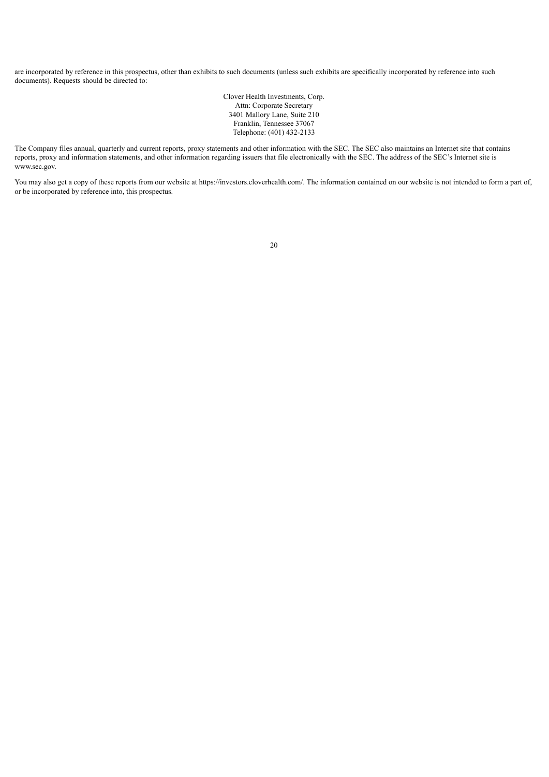are incorporated by reference in this prospectus, other than exhibits to such documents (unless such exhibits are specifically incorporated by reference into such documents). Requests should be directed to:

> Clover Health Investments, Corp. Attn: Corporate Secretary 3401 Mallory Lane, Suite 210 Franklin, Tennessee 37067 Telephone: (401) 432-2133

The Company files annual, quarterly and current reports, proxy statements and other information with the SEC. The SEC also maintains an Internet site that contains reports, proxy and information statements, and other information regarding issuers that file electronically with the SEC. The address of the SEC's Internet site is www.sec.gov.

You may also get a copy of these reports from our website at https://investors.cloverhealth.com/. The information contained on our website is not intended to form a part of, or be incorporated by reference into, this prospectus.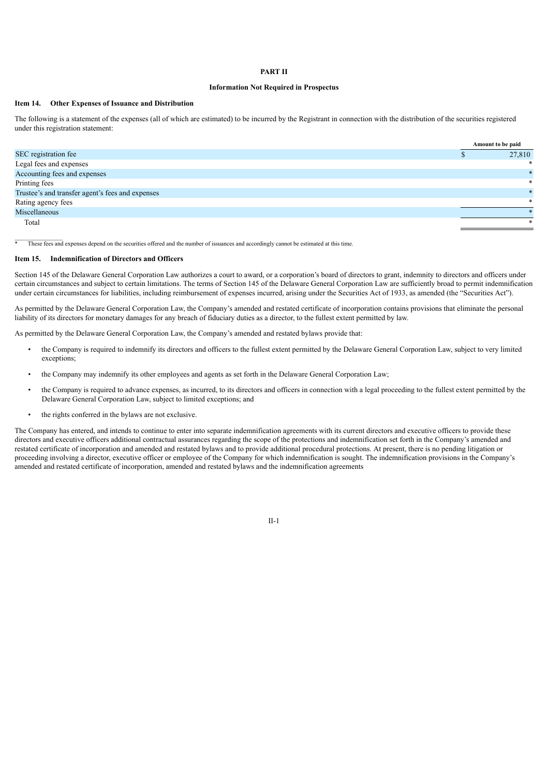#### **PART II**

#### **Information Not Required in Prospectus**

#### **Item 14. Other Expenses of Issuance and Distribution**

The following is a statement of the expenses (all of which are estimated) to be incurred by the Registrant in connection with the distribution of the securities registered under this registration statement:

|                                                  | Amount to be paid |
|--------------------------------------------------|-------------------|
| SEC registration fee                             | 27,810            |
| Legal fees and expenses                          | *                 |
| Accounting fees and expenses                     |                   |
| Printing fees                                    | $\ast$            |
| Trustee's and transfer agent's fees and expenses |                   |
| Rating agency fees                               |                   |
| Miscellaneous                                    |                   |
| Total                                            | *                 |

These fees and expenses depend on the securities offered and the number of issuances and accordingly cannot be estimated at this time.

#### **Item 15. Indemnification of Directors and Officers**

Section 145 of the Delaware General Corporation Law authorizes a court to award, or a corporation's board of directors to grant, indemnity to directors and officers under certain circumstances and subject to certain limitations. The terms of Section 145 of the Delaware General Corporation Law are sufficiently broad to permit indemnification under certain circumstances for liabilities, including reimbursement of expenses incurred, arising under the Securities Act of 1933, as amended (the "Securities Act").

As permitted by the Delaware General Corporation Law, the Company's amended and restated certificate of incorporation contains provisions that eliminate the personal liability of its directors for monetary damages for any breach of fiduciary duties as a director, to the fullest extent permitted by law.

As permitted by the Delaware General Corporation Law, the Company's amended and restated bylaws provide that:

- the Company is required to indemnify its directors and officers to the fullest extent permitted by the Delaware General Corporation Law, subject to very limited exceptions;
- the Company may indemnify its other employees and agents as set forth in the Delaware General Corporation Law;
- the Company is required to advance expenses, as incurred, to its directors and officers in connection with a legal proceeding to the fullest extent permitted by the Delaware General Corporation Law, subject to limited exceptions; and
- the rights conferred in the bylaws are not exclusive.

The Company has entered, and intends to continue to enter into separate indemnification agreements with its current directors and executive officers to provide these directors and executive officers additional contractual assurances regarding the scope of the protections and indemnification set forth in the Company's amended and restated certificate of incorporation and amended and restated bylaws and to provide additional procedural protections. At present, there is no pending litigation or proceeding involving a director, executive officer or employee of the Company for which indemnification is sought. The indemnification provisions in the Company's amended and restated certificate of incorporation, amended and restated bylaws and the indemnification agreements

II-1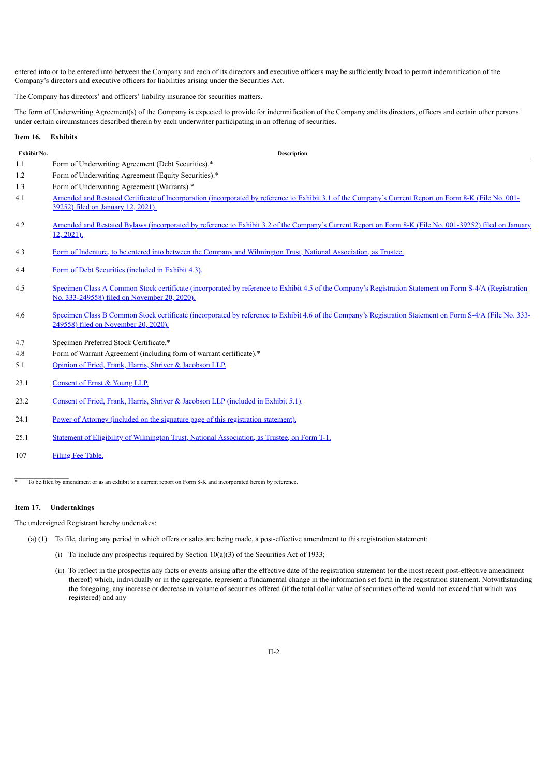entered into or to be entered into between the Company and each of its directors and executive officers may be sufficiently broad to permit indemnification of the Company's directors and executive officers for liabilities arising under the Securities Act.

The Company has directors' and officers' liability insurance for securities matters.

The form of Underwriting Agreement(s) of the Company is expected to provide for indemnification of the Company and its directors, officers and certain other persons under certain circumstances described therein by each underwriter participating in an offering of securities.

#### **Item 16. Exhibits**

| Exhibit No. | <b>Description</b>                                                                                                                                                                                      |
|-------------|---------------------------------------------------------------------------------------------------------------------------------------------------------------------------------------------------------|
| 1.1         | Form of Underwriting Agreement (Debt Securities).*                                                                                                                                                      |
| 1.2         | Form of Underwriting Agreement (Equity Securities).*                                                                                                                                                    |
| 1.3         | Form of Underwriting Agreement (Warrants).*                                                                                                                                                             |
| 4.1         | Amended and Restated Certificate of Incorporation (incorporated by reference to Exhibit 3.1 of the Company's Current Report on Form 8-K (File No. 001-<br>39252) filed on January 12, 2021).            |
| 4.2         | Amended and Restated Bylaws (incorporated by reference to Exhibit 3.2 of the Company's Current Report on Form 8-K (File No. 001-39252) filed on January<br>$12, 2021$ ).                                |
| 4.3         | Form of Indenture, to be entered into between the Company and Wilmington Trust, National Association, as Trustee.                                                                                       |
| 4.4         | Form of Debt Securities (included in Exhibit 4.3).                                                                                                                                                      |
| 4.5         | Specimen Class A Common Stock certificate (incorporated by reference to Exhibit 4.5 of the Company's Registration Statement on Form S-4/A (Registration<br>No. 333-249558) filed on November 20, 2020). |
| 4.6         | Specimen Class B Common Stock certificate (incorporated by reference to Exhibit 4.6 of the Company's Registration Statement on Form S-4/A (File No. 333-<br>249558) filed on November 20, 2020).        |
| 4.7         | Specimen Preferred Stock Certificate.*                                                                                                                                                                  |
| 4.8         | Form of Warrant Agreement (including form of warrant certificate).*                                                                                                                                     |
| 5.1         | Opinion of Fried, Frank, Harris, Shriver & Jacobson LLP.                                                                                                                                                |
| 23.1        | Consent of Ernst & Young LLP.                                                                                                                                                                           |
| 23.2        | Consent of Fried, Frank, Harris, Shriver & Jacobson LLP (included in Exhibit 5.1).                                                                                                                      |
| 24.1        | Power of Attorney (included on the signature page of this registration statement).                                                                                                                      |
| 25.1        | Statement of Eligibility of Wilmington Trust, National Association, as Trustee, on Form T-1.                                                                                                            |

107 Filing Fee [Table.](#page-115-0)

<sup>\*</sup> To be filed by amendment or as an exhibit to a current report on Form 8-K and incorporated herein by reference.

#### **Item 17. Undertakings**

The undersigned Registrant hereby undertakes:

- (a) (1) To file, during any period in which offers or sales are being made, a post-effective amendment to this registration statement:
	- (i) To include any prospectus required by Section  $10(a)(3)$  of the Securities Act of 1933;
	- (ii) To reflect in the prospectus any facts or events arising after the effective date of the registration statement (or the most recent post-effective amendment thereof) which, individually or in the aggregate, represent a fundamental change in the information set forth in the registration statement. Notwithstanding the foregoing, any increase or decrease in volume of securities offered (if the total dollar value of securities offered would not exceed that which was registered) and any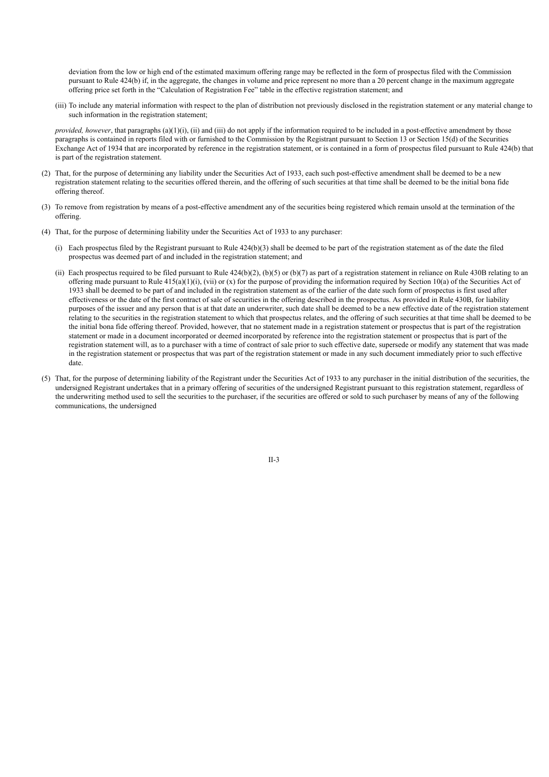deviation from the low or high end of the estimated maximum offering range may be reflected in the form of prospectus filed with the Commission pursuant to Rule 424(b) if, in the aggregate, the changes in volume and price represent no more than a 20 percent change in the maximum aggregate offering price set forth in the "Calculation of Registration Fee" table in the effective registration statement; and

(iii) To include any material information with respect to the plan of distribution not previously disclosed in the registration statement or any material change to such information in the registration statement;

*provided, however*, that paragraphs (a)(1)(i), (ii) and (iii) do not apply if the information required to be included in a post-effective amendment by those paragraphs is contained in reports filed with or furnished to the Commission by the Registrant pursuant to Section 13 or Section 15(d) of the Securities Exchange Act of 1934 that are incorporated by reference in the registration statement, or is contained in a form of prospectus filed pursuant to Rule 424(b) that is part of the registration statement.

- (2) That, for the purpose of determining any liability under the Securities Act of 1933, each such post-effective amendment shall be deemed to be a new registration statement relating to the securities offered therein, and the offering of such securities at that time shall be deemed to be the initial bona fide offering thereof.
- (3) To remove from registration by means of a post-effective amendment any of the securities being registered which remain unsold at the termination of the offering.
- (4) That, for the purpose of determining liability under the Securities Act of 1933 to any purchaser:
	- (i) Each prospectus filed by the Registrant pursuant to Rule 424(b)(3) shall be deemed to be part of the registration statement as of the date the filed prospectus was deemed part of and included in the registration statement; and
	- (ii) Each prospectus required to be filed pursuant to Rule  $424(b)(2)$ , (b)(5) or (b)(7) as part of a registration statement in reliance on Rule 430B relating to an offering made pursuant to Rule  $415(a)(1)(i)$ , (vii) or (x) for the purpose of providing the information required by Section 10(a) of the Securities Act of 1933 shall be deemed to be part of and included in the registration statement as of the earlier of the date such form of prospectus is first used after effectiveness or the date of the first contract of sale of securities in the offering described in the prospectus. As provided in Rule 430B, for liability purposes of the issuer and any person that is at that date an underwriter, such date shall be deemed to be a new effective date of the registration statement relating to the securities in the registration statement to which that prospectus relates, and the offering of such securities at that time shall be deemed to be the initial bona fide offering thereof. Provided, however, that no statement made in a registration statement or prospectus that is part of the registration statement or made in a document incorporated or deemed incorporated by reference into the registration statement or prospectus that is part of the registration statement will, as to a purchaser with a time of contract of sale prior to such effective date, supersede or modify any statement that was made in the registration statement or prospectus that was part of the registration statement or made in any such document immediately prior to such effective date.
- (5) That, for the purpose of determining liability of the Registrant under the Securities Act of 1933 to any purchaser in the initial distribution of the securities, the undersigned Registrant undertakes that in a primary offering of securities of the undersigned Registrant pursuant to this registration statement, regardless of the underwriting method used to sell the securities to the purchaser, if the securities are offered or sold to such purchaser by means of any of the following communications, the undersigned

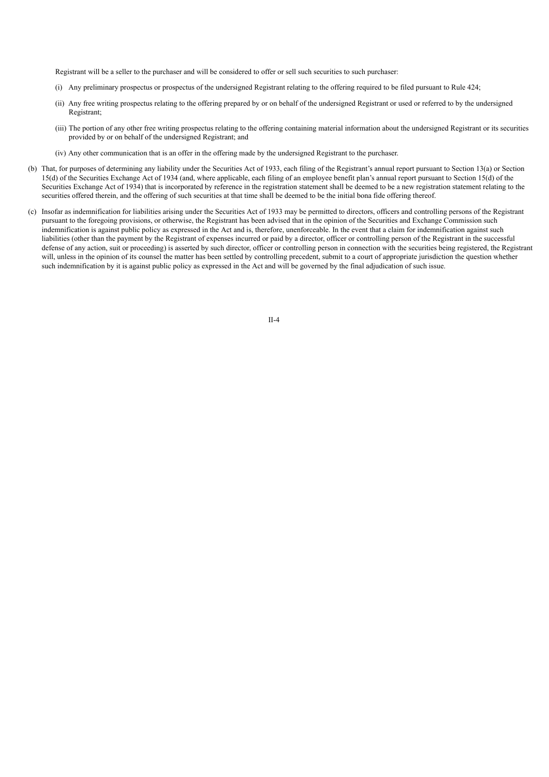Registrant will be a seller to the purchaser and will be considered to offer or sell such securities to such purchaser:

- (i) Any preliminary prospectus or prospectus of the undersigned Registrant relating to the offering required to be filed pursuant to Rule 424;
- (ii) Any free writing prospectus relating to the offering prepared by or on behalf of the undersigned Registrant or used or referred to by the undersigned Registrant;
- (iii) The portion of any other free writing prospectus relating to the offering containing material information about the undersigned Registrant or its securities provided by or on behalf of the undersigned Registrant; and
- (iv) Any other communication that is an offer in the offering made by the undersigned Registrant to the purchaser.
- (b) That, for purposes of determining any liability under the Securities Act of 1933, each filing of the Registrant's annual report pursuant to Section 13(a) or Section 15(d) of the Securities Exchange Act of 1934 (and, where applicable, each filing of an employee benefit plan's annual report pursuant to Section 15(d) of the Securities Exchange Act of 1934) that is incorporated by reference in the registration statement shall be deemed to be a new registration statement relating to the securities offered therein, and the offering of such securities at that time shall be deemed to be the initial bona fide offering thereof.
- <span id="page-27-0"></span>(c) Insofar as indemnification for liabilities arising under the Securities Act of 1933 may be permitted to directors, officers and controlling persons of the Registrant pursuant to the foregoing provisions, or otherwise, the Registrant has been advised that in the opinion of the Securities and Exchange Commission such indemnification is against public policy as expressed in the Act and is, therefore, unenforceable. In the event that a claim for indemnification against such liabilities (other than the payment by the Registrant of expenses incurred or paid by a director, officer or controlling person of the Registrant in the successful defense of any action, suit or proceeding) is asserted by such director, officer or controlling person in connection with the securities being registered, the Registrant will, unless in the opinion of its counsel the matter has been settled by controlling precedent, submit to a court of appropriate jurisdiction the question whether such indemnification by it is against public policy as expressed in the Act and will be governed by the final adjudication of such issue.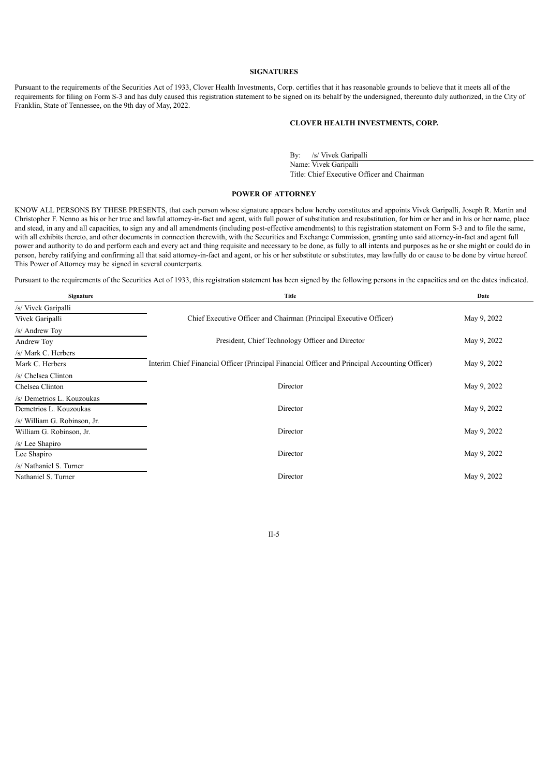#### **SIGNATURES**

Pursuant to the requirements of the Securities Act of 1933, Clover Health Investments, Corp. certifies that it has reasonable grounds to believe that it meets all of the requirements for filing on Form S-3 and has duly caused this registration statement to be signed on its behalf by the undersigned, thereunto duly authorized, in the City of Franklin, State of Tennessee, on the 9th day of May, 2022.

#### **CLOVER HEALTH INVESTMENTS, CORP.**

By: /s/ Vivek Garipalli Name: Vivek Garipalli Title: Chief Executive Officer and Chairman

#### **POWER OF ATTORNEY**

KNOW ALL PERSONS BY THESE PRESENTS, that each person whose signature appears below hereby constitutes and appoints Vivek Garipalli, Joseph R. Martin and Christopher F. Nenno as his or her true and lawful attorney-in-fact and agent, with full power of substitution and resubstitution, for him or her and in his or her name, place and stead, in any and all capacities, to sign any and all amendments (including post-effective amendments) to this registration statement on Form S-3 and to file the same, with all exhibits thereto, and other documents in connection therewith, with the Securities and Exchange Commission, granting unto said attorney-in-fact and agent full with all exhibits thereto, and other documents in conn power and authority to do and perform each and every act and thing requisite and necessary to be done, as fully to all intents and purposes as he or she might or could do in person, hereby ratifying and confirming all that said attorney-in-fact and agent, or his or her substitute or substitutes, may lawfully do or cause to be done by virtue hereof. This Power of Attorney may be signed in several counterparts.

Pursuant to the requirements of the Securities Act of 1933, this registration statement has been signed by the following persons in the capacities and on the dates indicated.

| Signature                    | <b>Title</b>                                                                                   | Date        |
|------------------------------|------------------------------------------------------------------------------------------------|-------------|
| /s/ Vivek Garipalli          |                                                                                                |             |
| Vivek Garipalli              | Chief Executive Officer and Chairman (Principal Executive Officer)                             | May 9, 2022 |
| /s/ Andrew Toy               |                                                                                                |             |
| Andrew Toy                   | President, Chief Technology Officer and Director                                               | May 9, 2022 |
| /s/ Mark C. Herbers          |                                                                                                |             |
| Mark C. Herbers              | Interim Chief Financial Officer (Principal Financial Officer and Principal Accounting Officer) | May 9, 2022 |
| /s/ Chelsea Clinton          |                                                                                                |             |
| Chelsea Clinton              | Director                                                                                       | May 9, 2022 |
| /s/ Demetrios L. Kouzoukas   |                                                                                                |             |
| Demetrios L. Kouzoukas       | Director                                                                                       | May 9, 2022 |
| /s/ William G. Robinson, Jr. |                                                                                                |             |
| William G. Robinson, Jr.     | Director                                                                                       | May 9, 2022 |
| /s/ Lee Shapiro              |                                                                                                |             |
| Lee Shapiro                  | Director                                                                                       | May 9, 2022 |
| /s/ Nathaniel S. Turner      |                                                                                                |             |
| Nathaniel S. Turner          | Director                                                                                       | May 9, 2022 |

II-5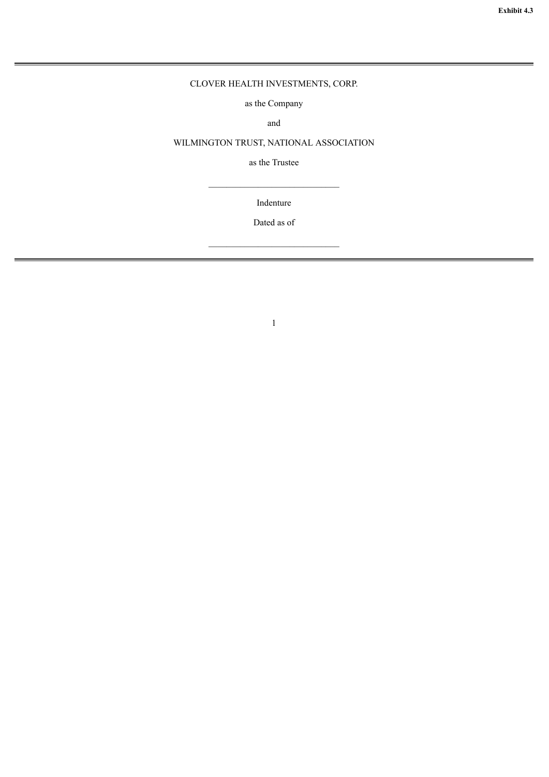## <span id="page-29-0"></span>CLOVER HEALTH INVESTMENTS, CORP.

as the Company

and

## WILMINGTON TRUST, NATIONAL ASSOCIATION

as the Trustee

Indenture

Dated as of

 $\mathcal{L}_\text{max}$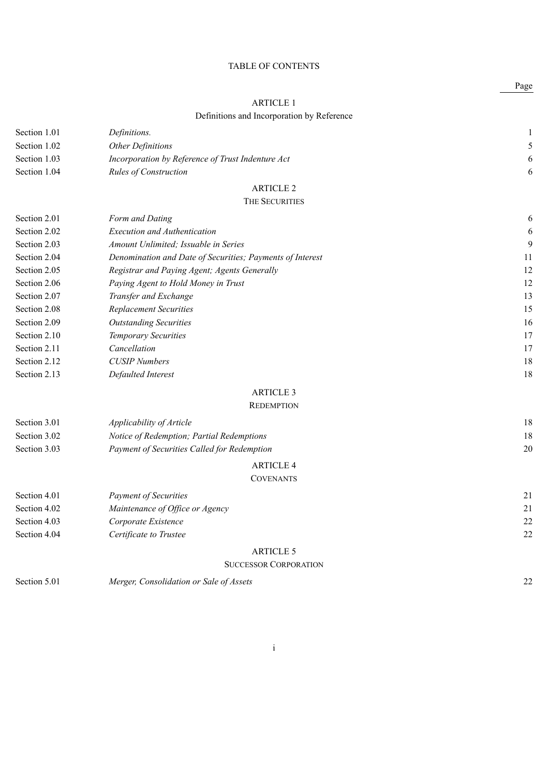## TABLE OF CONTENTS

## ARTICLE 1

## Definitions and Incorporation by Reference

| Section 1.01 | Definitions.                                      |   |
|--------------|---------------------------------------------------|---|
| Section 1.02 | <i><b>Other Definitions</b></i>                   |   |
| Section 1.03 | Incorporation by Reference of Trust Indenture Act | 6 |
| Section 1.04 | <b>Rules of Construction</b>                      | 6 |
|              | ARTICLE 2                                         |   |

## THE SECURITIES

| Section 2.01 | Form and Dating                                           | 6  |
|--------------|-----------------------------------------------------------|----|
| Section 2.02 | <i>Execution and Authentication</i>                       | 6  |
| Section 2.03 | Amount Unlimited; Issuable in Series                      | 9  |
| Section 2.04 | Denomination and Date of Securities; Payments of Interest | 11 |
| Section 2.05 | Registrar and Paying Agent; Agents Generally              | 12 |
| Section 2.06 | Paying Agent to Hold Money in Trust                       | 12 |
| Section 2.07 | Transfer and Exchange                                     | 13 |
| Section 2.08 | <b>Replacement Securities</b>                             | 15 |
| Section 2.09 | <b>Outstanding Securities</b>                             | 16 |
| Section 2.10 | <b>Temporary Securities</b>                               | 17 |
| Section 2.11 | Cancellation                                              | 17 |
| Section 2.12 | <b>CUSIP</b> Numbers                                      | 18 |
| Section 2.13 | Defaulted Interest                                        | 18 |
|              |                                                           |    |

## ARTICLE 3

## **REDEMPTION**

| Section 3.01 | Applicability of Article                    | 18 |
|--------------|---------------------------------------------|----|
| Section 3.02 | Notice of Redemption; Partial Redemptions   | 18 |
| Section 3.03 | Payment of Securities Called for Redemption | 20 |
|              | <b>ARTICLE 4</b>                            |    |
|              | <b>COVENANTS</b>                            |    |
| Section 4.01 | <b>Payment of Securities</b>                | 21 |
| Section 4.02 | Maintenance of Office or Agency             | 21 |
| Section 4.03 | Corporate Existence                         | 22 |

| Section 4.04 | Certificate to Trustee | 22 |
|--------------|------------------------|----|
|              |                        |    |
|              |                        |    |

## ARTICLE 5

## SUCCESSOR CORPORATION

| Section 5.01<br>Merger, Consolidation or Sale of Assets |  |
|---------------------------------------------------------|--|
|---------------------------------------------------------|--|

Page

## i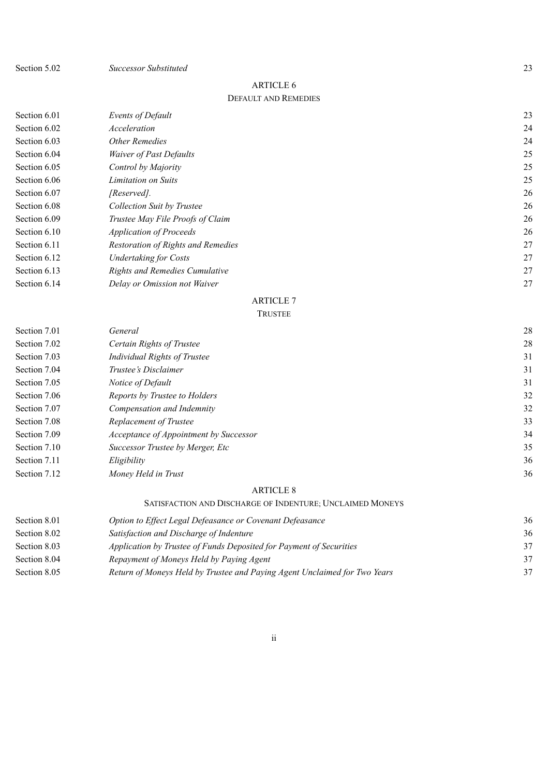Section 5.02 *Successor Substituted* 23

## ARTICLE 6 DEFAULT AND REMEDIES

| Section 6.01 | Events of Default                     | 23 |
|--------------|---------------------------------------|----|
| Section 6.02 | Acceleration                          | 24 |
| Section 6.03 | Other Remedies                        | 24 |
| Section 6.04 | <i>Waiver of Past Defaults</i>        | 25 |
| Section 6.05 | Control by Majority                   | 25 |
| Section 6.06 | Limitation on Suits                   | 25 |
| Section 6.07 | [Reserved].                           | 26 |
| Section 6.08 | <b>Collection Suit by Trustee</b>     | 26 |
| Section 6.09 | Trustee May File Proofs of Claim      | 26 |
| Section 6.10 | <i>Application of Proceeds</i>        | 26 |
| Section 6.11 | Restoration of Rights and Remedies    | 27 |
| Section 6.12 | <b>Undertaking for Costs</b>          | 27 |
| Section 6.13 | <b>Rights and Remedies Cumulative</b> | 27 |
| Section 6.14 | Delay or Omission not Waiver          | 27 |
|              |                                       |    |

## ARTICLE 7

## TRUSTEE

| Section 7.01 | General                                | 28 |
|--------------|----------------------------------------|----|
| Section 7.02 | Certain Rights of Trustee              | 28 |
| Section 7.03 | <b>Individual Rights of Trustee</b>    | 31 |
| Section 7.04 | Trustee's Disclaimer                   | 31 |
| Section 7.05 | Notice of Default                      | 31 |
| Section 7.06 | Reports by Trustee to Holders          | 32 |
| Section 7.07 | Compensation and Indemnity             | 32 |
| Section 7.08 | Replacement of Trustee                 | 33 |
| Section 7.09 | Acceptance of Appointment by Successor | 34 |
| Section 7.10 | Successor Trustee by Merger, Etc       | 35 |
| Section 7.11 | Eligibility                            | 36 |
| Section 7.12 | Money Held in Trust                    | 36 |

## ARTICLE 8

## SATISFACTION AND DISCHARGE OF INDENTURE; UNCLAIMED MONEYS

| 36 |
|----|
| 36 |
| 37 |
| 37 |
| 37 |
|    |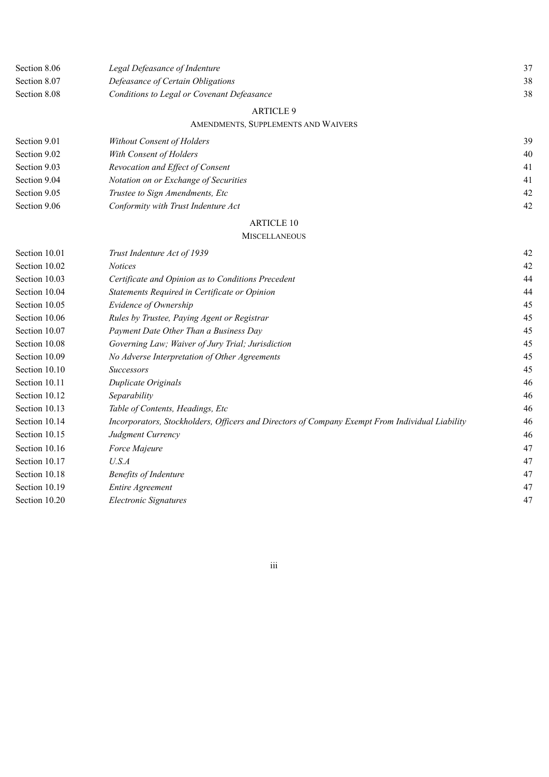| Section 8.06  | Legal Defeasance of Indenture                                                                   | 37 |
|---------------|-------------------------------------------------------------------------------------------------|----|
| Section 8.07  | Defeasance of Certain Obligations                                                               | 38 |
| Section 8.08  | Conditions to Legal or Covenant Defeasance                                                      | 38 |
|               | <b>ARTICLE 9</b>                                                                                |    |
|               | AMENDMENTS, SUPPLEMENTS AND WAIVERS                                                             |    |
| Section 9.01  | Without Consent of Holders                                                                      | 39 |
| Section 9.02  | With Consent of Holders                                                                         | 40 |
| Section 9.03  | Revocation and Effect of Consent                                                                | 41 |
| Section 9.04  | Notation on or Exchange of Securities                                                           | 41 |
| Section 9.05  | Trustee to Sign Amendments, Etc                                                                 | 42 |
| Section 9.06  | Conformity with Trust Indenture Act                                                             | 42 |
|               | <b>ARTICLE 10</b>                                                                               |    |
|               | <b>MISCELLANEOUS</b>                                                                            |    |
| Section 10.01 | Trust Indenture Act of 1939                                                                     | 42 |
| Section 10.02 | <b>Notices</b>                                                                                  | 42 |
| Section 10.03 | Certificate and Opinion as to Conditions Precedent                                              | 44 |
| Section 10.04 | Statements Required in Certificate or Opinion                                                   | 44 |
| Section 10.05 | Evidence of Ownership                                                                           | 45 |
| Section 10.06 | Rules by Trustee, Paying Agent or Registrar                                                     | 45 |
| Section 10.07 | Payment Date Other Than a Business Day                                                          | 45 |
| Section 10.08 | Governing Law; Waiver of Jury Trial; Jurisdiction                                               | 45 |
| Section 10.09 | No Adverse Interpretation of Other Agreements                                                   | 45 |
| Section 10.10 | <b>Successors</b>                                                                               | 45 |
| Section 10.11 | Duplicate Originals                                                                             | 46 |
| Section 10.12 | Separability                                                                                    | 46 |
| Section 10.13 | Table of Contents, Headings, Etc                                                                | 46 |
| Section 10.14 | Incorporators, Stockholders, Officers and Directors of Company Exempt From Individual Liability | 46 |
| Section 10.15 | Judgment Currency                                                                               | 46 |
| Section 10.16 | Force Majeure                                                                                   | 47 |
| Section 10.17 | U.S.A                                                                                           | 47 |
| Section 10.18 | <b>Benefits of Indenture</b>                                                                    | 47 |
| Section 10.19 | <b>Entire Agreement</b>                                                                         | 47 |
| Section 10.20 | <b>Electronic Signatures</b>                                                                    | 47 |

iii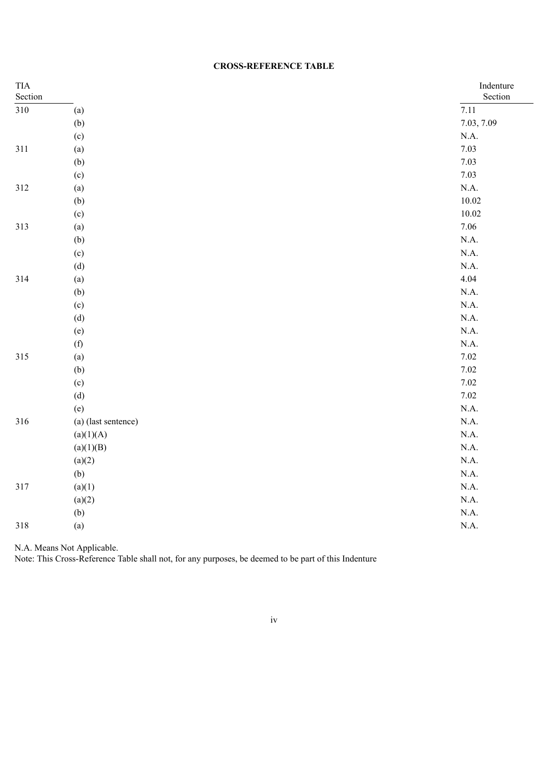| <b>TIA</b><br>Section |                     | Indenture<br>Section |
|-----------------------|---------------------|----------------------|
| $310\,$               | (a)                 | 7.11                 |
|                       | (b)                 | 7.03, 7.09           |
|                       | (c)                 | $\rm N.A.$           |
| 311                   | (a)                 | 7.03                 |
|                       | (b)                 | 7.03                 |
|                       | (c)                 | 7.03                 |
| 312                   | (a)                 | $\rm N.A.$           |
|                       | (b)                 | $10.02\,$            |
|                       | (c)                 | $10.02\,$            |
| 313                   | (a)                 | 7.06                 |
|                       | (b)                 | N.A.                 |
|                       | (c)                 | N.A.                 |
|                       | (d)                 | N.A.                 |
| 314                   | (a)                 | 4.04                 |
|                       | (b)                 | N.A.                 |
|                       | (c)                 | N.A.                 |
|                       | (d)                 | N.A.                 |
|                       | (e)                 | N.A.                 |
|                       | (f)                 | N.A.                 |
| 315                   | (a)                 | $7.02\,$             |
|                       | (b)                 | 7.02                 |
|                       | (c)                 | 7.02                 |
|                       | (d)                 | 7.02                 |
|                       | (e)                 | N.A.                 |
| 316                   | (a) (last sentence) | N.A.                 |
|                       | (a)(1)(A)           | N.A.                 |
|                       | (a)(1)(B)           | N.A.                 |
|                       | (a)(2)              | N.A.                 |
|                       | (b)                 | N.A.                 |
| 317                   | (a)(1)              | N.A.                 |
|                       | (a)(2)              | N.A.                 |
|                       | (b)                 | N.A.                 |
| 318                   | (a)                 | N.A.                 |

N.A. Means Not Applicable.

Note: This Cross-Reference Table shall not, for any purposes, be deemed to be part of this Indenture

iv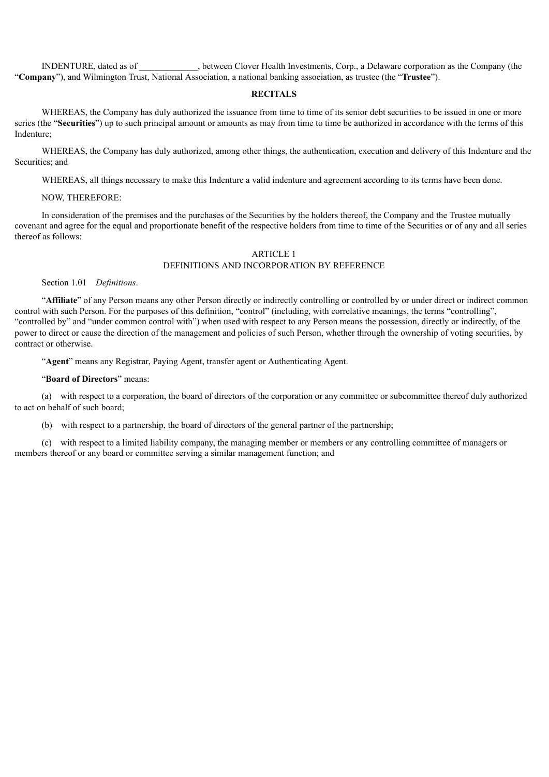INDENTURE, dated as of \_\_\_\_\_\_\_\_\_\_\_\_\_, between Clover Health Investments, Corp., a Delaware corporation as the Company (the "**Company**"), and Wilmington Trust, National Association, a national banking association, as trustee (the "**Trustee**").

#### **RECITALS**

WHEREAS, the Company has duly authorized the issuance from time to time of its senior debt securities to be issued in one or more series (the "**Securities**") up to such principal amount or amounts as may from time to time be authorized in accordance with the terms of this Indenture;

WHEREAS, the Company has duly authorized, among other things, the authentication, execution and delivery of this Indenture and the Securities; and

WHEREAS, all things necessary to make this Indenture a valid indenture and agreement according to its terms have been done.

#### NOW, THEREFORE:

In consideration of the premises and the purchases of the Securities by the holders thereof, the Company and the Trustee mutually covenant and agree for the equal and proportionate benefit of the respective holders from time to time of the Securities or of any and all series thereof as follows:

## ARTICLE 1 DEFINITIONS AND INCORPORATION BY REFERENCE

Section 1.01 *Definitions*.

"**Affiliate**" of any Person means any other Person directly or indirectly controlling or controlled by or under direct or indirect common control with such Person. For the purposes of this definition, "control" (including, with correlative meanings, the terms "controlling", "controlled by" and "under common control with") when used with respect to any Person means the possession, directly or indirectly, of the power to direct or cause the direction of the management and policies of such Person, whether through the ownership of voting securities, by contract or otherwise.

"**Agent**" means any Registrar, Paying Agent, transfer agent or Authenticating Agent.

"**Board of Directors**" means:

(a) with respect to a corporation, the board of directors of the corporation or any committee or subcommittee thereof duly authorized to act on behalf of such board;

(b) with respect to a partnership, the board of directors of the general partner of the partnership;

(c) with respect to a limited liability company, the managing member or members or any controlling committee of managers or members thereof or any board or committee serving a similar management function; and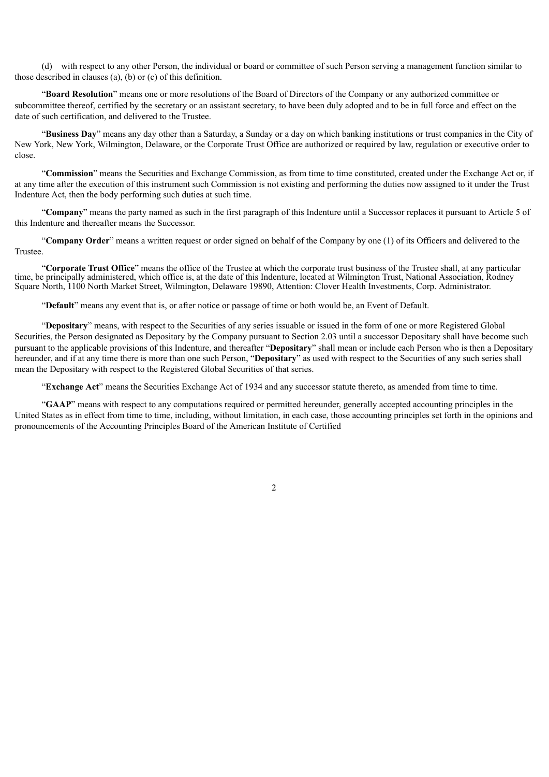(d) with respect to any other Person, the individual or board or committee of such Person serving a management function similar to those described in clauses (a), (b) or (c) of this definition.

"**Board Resolution**" means one or more resolutions of the Board of Directors of the Company or any authorized committee or subcommittee thereof, certified by the secretary or an assistant secretary, to have been duly adopted and to be in full force and effect on the date of such certification, and delivered to the Trustee.

"**Business Day**" means any day other than a Saturday, a Sunday or a day on which banking institutions or trust companies in the City of New York, New York, Wilmington, Delaware, or the Corporate Trust Office are authorized or required by law, regulation or executive order to close.

"**Commission**" means the Securities and Exchange Commission, as from time to time constituted, created under the Exchange Act or, if at any time after the execution of this instrument such Commission is not existing and performing the duties now assigned to it under the Trust Indenture Act, then the body performing such duties at such time.

"**Company**" means the party named as such in the first paragraph of this Indenture until a Successor replaces it pursuant to Article 5 of this Indenture and thereafter means the Successor.

"**Company Order**" means a written request or order signed on behalf of the Company by one (1) of its Officers and delivered to the Trustee.

"**Corporate Trust Office**" means the office of the Trustee at which the corporate trust business of the Trustee shall, at any particular time, be principally administered, which office is, at the date of this Indenture, located at Wilmington Trust, National Association, Rodney Square North, 1100 North Market Street, Wilmington, Delaware 19890, Attention: Clover Health Investments, Corp. Administrator.

"**Default**" means any event that is, or after notice or passage of time or both would be, an Event of Default.

"**Depositary**" means, with respect to the Securities of any series issuable or issued in the form of one or more Registered Global Securities, the Person designated as Depositary by the Company pursuant to Section 2.03 until a successor Depositary shall have become such pursuant to the applicable provisions of this Indenture, and thereafter "**Depositary**" shall mean or include each Person who is then a Depositary hereunder, and if at any time there is more than one such Person, "**Depositary**" as used with respect to the Securities of any such series shall mean the Depositary with respect to the Registered Global Securities of that series.

"**Exchange Act**" means the Securities Exchange Act of 1934 and any successor statute thereto, as amended from time to time.

"**GAAP**" means with respect to any computations required or permitted hereunder, generally accepted accounting principles in the United States as in effect from time to time, including, without limitation, in each case, those accounting principles set forth in the opinions and pronouncements of the Accounting Principles Board of the American Institute of Certified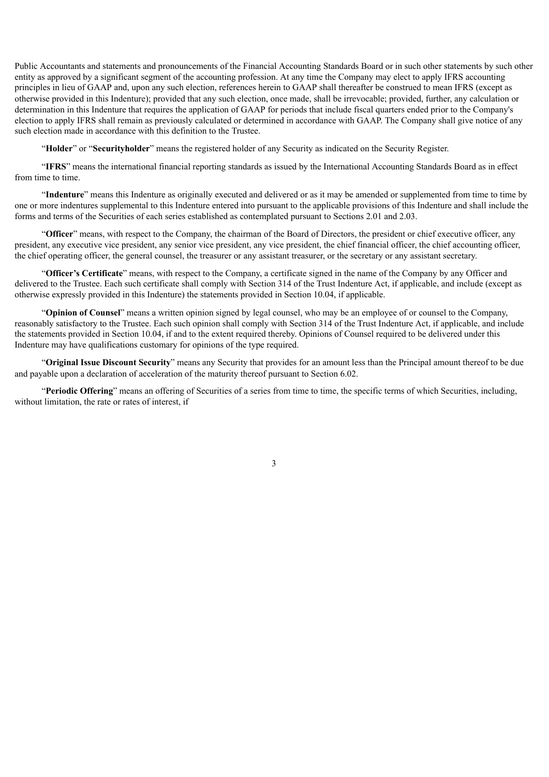Public Accountants and statements and pronouncements of the Financial Accounting Standards Board or in such other statements by such other entity as approved by a significant segment of the accounting profession. At any time the Company may elect to apply IFRS accounting principles in lieu of GAAP and, upon any such election, references herein to GAAP shall thereafter be construed to mean IFRS (except as otherwise provided in this Indenture); provided that any such election, once made, shall be irrevocable; provided, further, any calculation or determination in this Indenture that requires the application of GAAP for periods that include fiscal quarters ended prior to the Company's election to apply IFRS shall remain as previously calculated or determined in accordance with GAAP. The Company shall give notice of any such election made in accordance with this definition to the Trustee.

"**Holder**" or "**Securityholder**" means the registered holder of any Security as indicated on the Security Register.

"**IFRS**" means the international financial reporting standards as issued by the International Accounting Standards Board as in effect from time to time.

"**Indenture**" means this Indenture as originally executed and delivered or as it may be amended or supplemented from time to time by one or more indentures supplemental to this Indenture entered into pursuant to the applicable provisions of this Indenture and shall include the forms and terms of the Securities of each series established as contemplated pursuant to Sections 2.01 and 2.03.

"**Officer**" means, with respect to the Company, the chairman of the Board of Directors, the president or chief executive officer, any president, any executive vice president, any senior vice president, any vice president, the chief financial officer, the chief accounting officer, the chief operating officer, the general counsel, the treasurer or any assistant treasurer, or the secretary or any assistant secretary.

"**Officer's Certificate**" means, with respect to the Company, a certificate signed in the name of the Company by any Officer and delivered to the Trustee. Each such certificate shall comply with Section 314 of the Trust Indenture Act, if applicable, and include (except as otherwise expressly provided in this Indenture) the statements provided in Section 10.04, if applicable.

"**Opinion of Counsel**" means a written opinion signed by legal counsel, who may be an employee of or counsel to the Company, reasonably satisfactory to the Trustee. Each such opinion shall comply with Section 314 of the Trust Indenture Act, if applicable, and include the statements provided in Section 10.04, if and to the extent required thereby. Opinions of Counsel required to be delivered under this Indenture may have qualifications customary for opinions of the type required.

"**Original Issue Discount Security**" means any Security that provides for an amount less than the Principal amount thereof to be due and payable upon a declaration of acceleration of the maturity thereof pursuant to Section 6.02.

"**Periodic Offering**" means an offering of Securities of a series from time to time, the specific terms of which Securities, including, without limitation, the rate or rates of interest, if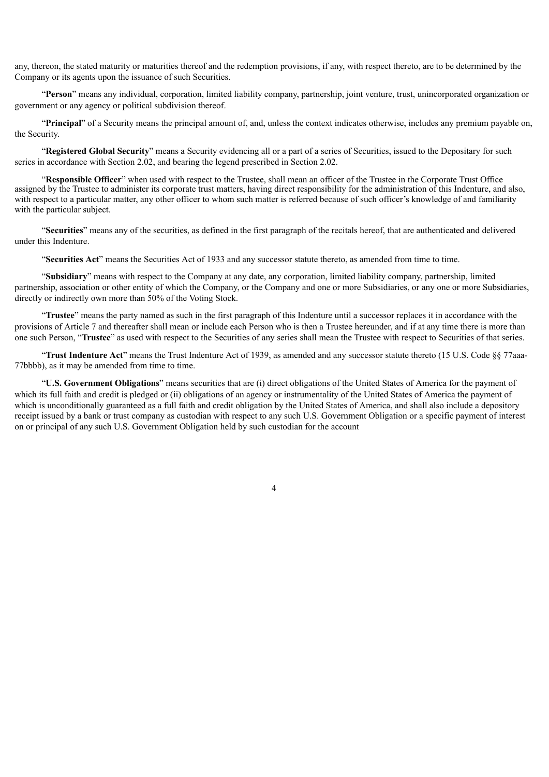any, thereon, the stated maturity or maturities thereof and the redemption provisions, if any, with respect thereto, are to be determined by the Company or its agents upon the issuance of such Securities.

"**Person**" means any individual, corporation, limited liability company, partnership, joint venture, trust, unincorporated organization or government or any agency or political subdivision thereof.

"**Principal**" of a Security means the principal amount of, and, unless the context indicates otherwise, includes any premium payable on, the Security.

"**Registered Global Security**" means a Security evidencing all or a part of a series of Securities, issued to the Depositary for such series in accordance with Section 2.02, and bearing the legend prescribed in Section 2.02.

"**Responsible Officer**" when used with respect to the Trustee, shall mean an officer of the Trustee in the Corporate Trust Office assigned by the Trustee to administer its corporate trust matters, having direct responsibility for the administration of this Indenture, and also, with respect to a particular matter, any other officer to whom such matter is referred because of such officer's knowledge of and familiarity with the particular subject.

"**Securities**" means any of the securities, as defined in the first paragraph of the recitals hereof, that are authenticated and delivered under this Indenture.

"**Securities Act**" means the Securities Act of 1933 and any successor statute thereto, as amended from time to time.

"**Subsidiary**" means with respect to the Company at any date, any corporation, limited liability company, partnership, limited partnership, association or other entity of which the Company, or the Company and one or more Subsidiaries, or any one or more Subsidiaries, directly or indirectly own more than 50% of the Voting Stock.

"**Trustee**" means the party named as such in the first paragraph of this Indenture until a successor replaces it in accordance with the provisions of Article 7 and thereafter shall mean or include each Person who is then a Trustee hereunder, and if at any time there is more than one such Person, "**Trustee**" as used with respect to the Securities of any series shall mean the Trustee with respect to Securities of that series.

"**Trust Indenture Act**" means the Trust Indenture Act of 1939, as amended and any successor statute thereto (15 U.S. Code §§ 77aaa-77bbbb), as it may be amended from time to time.

"**U.S. Government Obligations**" means securities that are (i) direct obligations of the United States of America for the payment of which its full faith and credit is pledged or (ii) obligations of an agency or instrumentality of the United States of America the payment of which is unconditionally guaranteed as a full faith and credit obligation by the United States of America, and shall also include a depository receipt issued by a bank or trust company as custodian with respect to any such U.S. Government Obligation or a specific payment of interest on or principal of any such U.S. Government Obligation held by such custodian for the account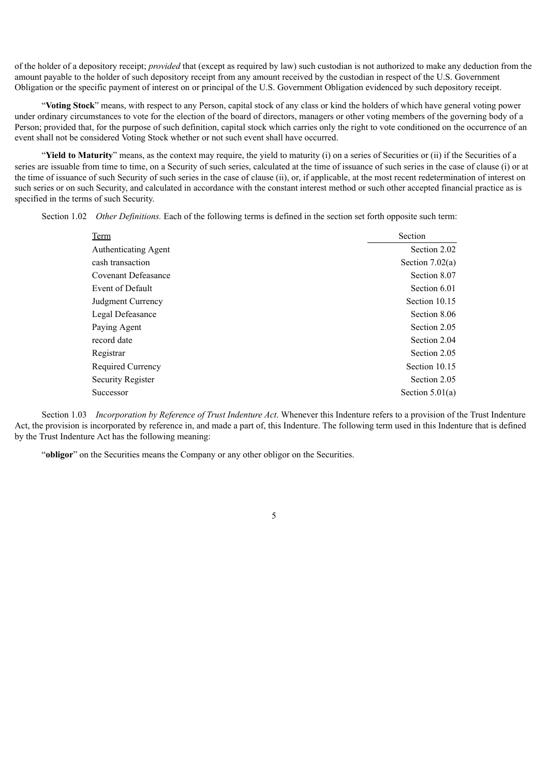of the holder of a depository receipt; *provided* that (except as required by law) such custodian is not authorized to make any deduction from the amount payable to the holder of such depository receipt from any amount received by the custodian in respect of the U.S. Government Obligation or the specific payment of interest on or principal of the U.S. Government Obligation evidenced by such depository receipt.

"**Voting Stock**" means, with respect to any Person, capital stock of any class or kind the holders of which have general voting power under ordinary circumstances to vote for the election of the board of directors, managers or other voting members of the governing body of a Person; provided that, for the purpose of such definition, capital stock which carries only the right to vote conditioned on the occurrence of an event shall not be considered Voting Stock whether or not such event shall have occurred.

"**Yield to Maturity**" means, as the context may require, the yield to maturity (i) on a series of Securities or (ii) if the Securities of a series are issuable from time to time, on a Security of such series, calculated at the time of issuance of such series in the case of clause (i) or at the time of issuance of such Security of such series in the case of clause (ii), or, if applicable, at the most recent redetermination of interest on such series or on such Security, and calculated in accordance with the constant interest method or such other accepted financial practice as is specified in the terms of such Security.

Section 1.02 *Other Definitions.* Each of the following terms is defined in the section set forth opposite such term:

| Term                     | Section           |
|--------------------------|-------------------|
| Authenticating Agent     | Section 2.02      |
| cash transaction         | Section $7.02(a)$ |
| Covenant Defeasance      | Section 8.07      |
| Event of Default         | Section 6.01      |
| Judgment Currency        | Section 10.15     |
| Legal Defeasance         | Section 8.06      |
| Paying Agent             | Section 2.05      |
| record date              | Section 2.04      |
| Registrar                | Section 2.05      |
| <b>Required Currency</b> | Section 10.15     |
| Security Register        | Section 2.05      |
| Successor                | Section $5.01(a)$ |

Section 1.03 *Incorporation by Reference of Trust Indenture Act*. Whenever this Indenture refers to a provision of the Trust Indenture Act, the provision is incorporated by reference in, and made a part of, this Indenture. The following term used in this Indenture that is defined by the Trust Indenture Act has the following meaning:

"**obligor**" on the Securities means the Company or any other obligor on the Securities.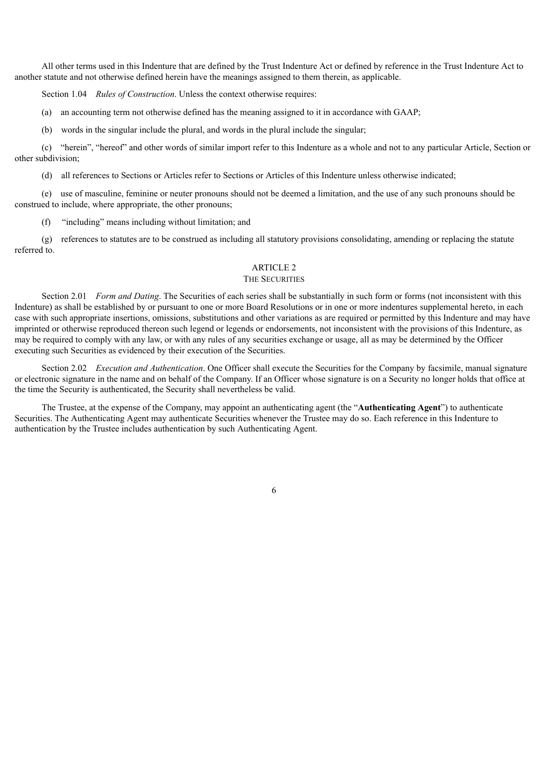All other terms used in this Indenture that are defined by the Trust Indenture Act or defined by reference in the Trust Indenture Act to another statute and not otherwise defined herein have the meanings assigned to them therein, as applicable.

Section 1.04 *Rules of Construction*. Unless the context otherwise requires:

(a) an accounting term not otherwise defined has the meaning assigned to it in accordance with GAAP;

(b) words in the singular include the plural, and words in the plural include the singular;

(c) "herein", "hereof" and other words of similar import refer to this Indenture as a whole and not to any particular Article, Section or other subdivision;

(d) all references to Sections or Articles refer to Sections or Articles of this Indenture unless otherwise indicated;

(e) use of masculine, feminine or neuter pronouns should not be deemed a limitation, and the use of any such pronouns should be construed to include, where appropriate, the other pronouns;

(f) "including" means including without limitation; and

(g) references to statutes are to be construed as including all statutory provisions consolidating, amending or replacing the statute referred to.

## ARTICLE 2

## THE SECURITIES

Section 2.01 *Form and Dating*. The Securities of each series shall be substantially in such form or forms (not inconsistent with this Indenture) as shall be established by or pursuant to one or more Board Resolutions or in one or more indentures supplemental hereto, in each case with such appropriate insertions, omissions, substitutions and other variations as are required or permitted by this Indenture and may have imprinted or otherwise reproduced thereon such legend or legends or endorsements, not inconsistent with the provisions of this Indenture, as may be required to comply with any law, or with any rules of any securities exchange or usage, all as may be determined by the Officer executing such Securities as evidenced by their execution of the Securities.

Section 2.02 *Execution and Authentication*. One Officer shall execute the Securities for the Company by facsimile, manual signature or electronic signature in the name and on behalf of the Company. If an Officer whose signature is on a Security no longer holds that office at the time the Security is authenticated, the Security shall nevertheless be valid.

The Trustee, at the expense of the Company, may appoint an authenticating agent (the "**Authenticating Agent**") to authenticate Securities. The Authenticating Agent may authenticate Securities whenever the Trustee may do so. Each reference in this Indenture to authentication by the Trustee includes authentication by such Authenticating Agent.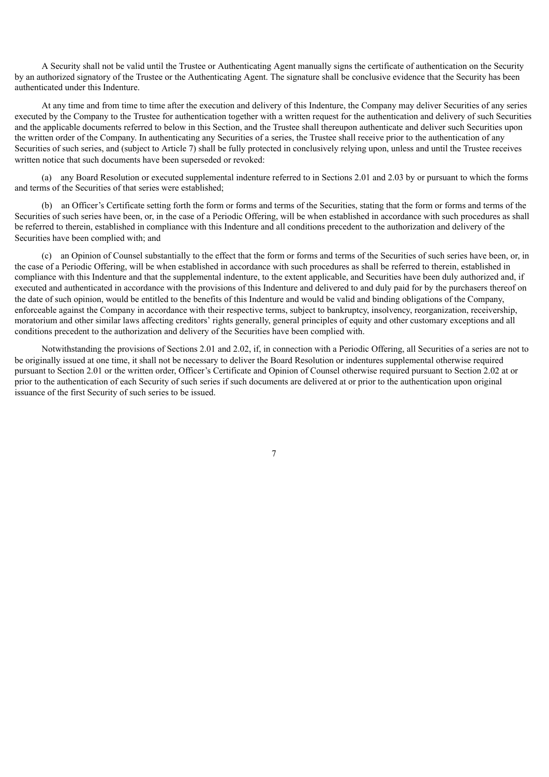A Security shall not be valid until the Trustee or Authenticating Agent manually signs the certificate of authentication on the Security by an authorized signatory of the Trustee or the Authenticating Agent. The signature shall be conclusive evidence that the Security has been authenticated under this Indenture.

At any time and from time to time after the execution and delivery of this Indenture, the Company may deliver Securities of any series executed by the Company to the Trustee for authentication together with a written request for the authentication and delivery of such Securities and the applicable documents referred to below in this Section, and the Trustee shall thereupon authenticate and deliver such Securities upon the written order of the Company. In authenticating any Securities of a series, the Trustee shall receive prior to the authentication of any Securities of such series, and (subject to Article 7) shall be fully protected in conclusively relying upon, unless and until the Trustee receives written notice that such documents have been superseded or revoked:

(a) any Board Resolution or executed supplemental indenture referred to in Sections 2.01 and 2.03 by or pursuant to which the forms and terms of the Securities of that series were established;

(b) an Officer's Certificate setting forth the form or forms and terms of the Securities, stating that the form or forms and terms of the Securities of such series have been, or, in the case of a Periodic Offering, will be when established in accordance with such procedures as shall be referred to therein, established in compliance with this Indenture and all conditions precedent to the authorization and delivery of the Securities have been complied with; and

(c) an Opinion of Counsel substantially to the effect that the form or forms and terms of the Securities of such series have been, or, in the case of a Periodic Offering, will be when established in accordance with such procedures as shall be referred to therein, established in compliance with this Indenture and that the supplemental indenture, to the extent applicable, and Securities have been duly authorized and, if executed and authenticated in accordance with the provisions of this Indenture and delivered to and duly paid for by the purchasers thereof on the date of such opinion, would be entitled to the benefits of this Indenture and would be valid and binding obligations of the Company, enforceable against the Company in accordance with their respective terms, subject to bankruptcy, insolvency, reorganization, receivership, moratorium and other similar laws affecting creditors' rights generally, general principles of equity and other customary exceptions and all conditions precedent to the authorization and delivery of the Securities have been complied with.

Notwithstanding the provisions of Sections 2.01 and 2.02, if, in connection with a Periodic Offering, all Securities of a series are not to be originally issued at one time, it shall not be necessary to deliver the Board Resolution or indentures supplemental otherwise required pursuant to Section 2.01 or the written order, Officer's Certificate and Opinion of Counsel otherwise required pursuant to Section 2.02 at or prior to the authentication of each Security of such series if such documents are delivered at or prior to the authentication upon original issuance of the first Security of such series to be issued.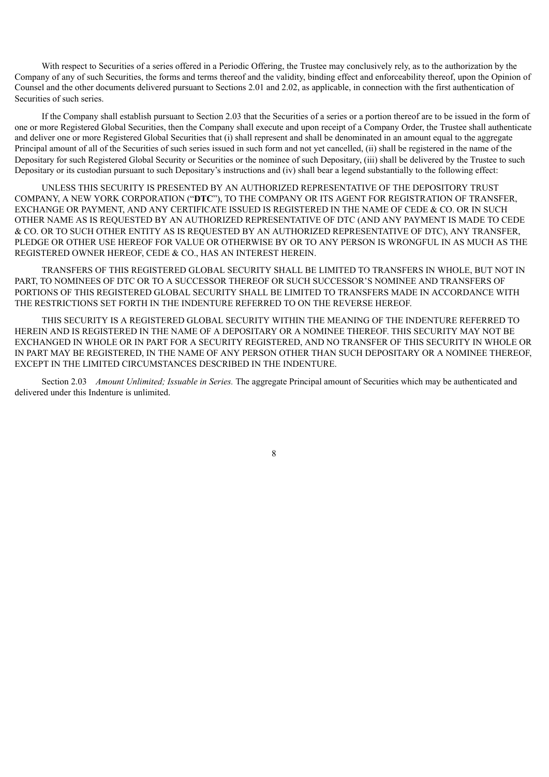With respect to Securities of a series offered in a Periodic Offering, the Trustee may conclusively rely, as to the authorization by the Company of any of such Securities, the forms and terms thereof and the validity, binding effect and enforceability thereof, upon the Opinion of Counsel and the other documents delivered pursuant to Sections 2.01 and 2.02, as applicable, in connection with the first authentication of Securities of such series.

If the Company shall establish pursuant to Section 2.03 that the Securities of a series or a portion thereof are to be issued in the form of one or more Registered Global Securities, then the Company shall execute and upon receipt of a Company Order, the Trustee shall authenticate and deliver one or more Registered Global Securities that (i) shall represent and shall be denominated in an amount equal to the aggregate Principal amount of all of the Securities of such series issued in such form and not yet cancelled, (ii) shall be registered in the name of the Depositary for such Registered Global Security or Securities or the nominee of such Depositary, (iii) shall be delivered by the Trustee to such Depositary or its custodian pursuant to such Depositary's instructions and (iv) shall bear a legend substantially to the following effect:

UNLESS THIS SECURITY IS PRESENTED BY AN AUTHORIZED REPRESENTATIVE OF THE DEPOSITORY TRUST COMPANY, A NEW YORK CORPORATION ("**DTC**"), TO THE COMPANY OR ITS AGENT FOR REGISTRATION OF TRANSFER, EXCHANGE OR PAYMENT, AND ANY CERTIFICATE ISSUED IS REGISTERED IN THE NAME OF CEDE & CO. OR IN SUCH OTHER NAME AS IS REQUESTED BY AN AUTHORIZED REPRESENTATIVE OF DTC (AND ANY PAYMENT IS MADE TO CEDE & CO. OR TO SUCH OTHER ENTITY AS IS REQUESTED BY AN AUTHORIZED REPRESENTATIVE OF DTC), ANY TRANSFER, PLEDGE OR OTHER USE HEREOF FOR VALUE OR OTHERWISE BY OR TO ANY PERSON IS WRONGFUL IN AS MUCH AS THE REGISTERED OWNER HEREOF, CEDE & CO., HAS AN INTEREST HEREIN.

TRANSFERS OF THIS REGISTERED GLOBAL SECURITY SHALL BE LIMITED TO TRANSFERS IN WHOLE, BUT NOT IN PART, TO NOMINEES OF DTC OR TO A SUCCESSOR THEREOF OR SUCH SUCCESSOR'S NOMINEE AND TRANSFERS OF PORTIONS OF THIS REGISTERED GLOBAL SECURITY SHALL BE LIMITED TO TRANSFERS MADE IN ACCORDANCE WITH THE RESTRICTIONS SET FORTH IN THE INDENTURE REFERRED TO ON THE REVERSE HEREOF.

THIS SECURITY IS A REGISTERED GLOBAL SECURITY WITHIN THE MEANING OF THE INDENTURE REFERRED TO HEREIN AND IS REGISTERED IN THE NAME OF A DEPOSITARY OR A NOMINEE THEREOF. THIS SECURITY MAY NOT BE EXCHANGED IN WHOLE OR IN PART FOR A SECURITY REGISTERED, AND NO TRANSFER OF THIS SECURITY IN WHOLE OR IN PART MAY BE REGISTERED, IN THE NAME OF ANY PERSON OTHER THAN SUCH DEPOSITARY OR A NOMINEE THEREOF, EXCEPT IN THE LIMITED CIRCUMSTANCES DESCRIBED IN THE INDENTURE.

Section 2.03 *Amount Unlimited; Issuable in Series.* The aggregate Principal amount of Securities which may be authenticated and delivered under this Indenture is unlimited.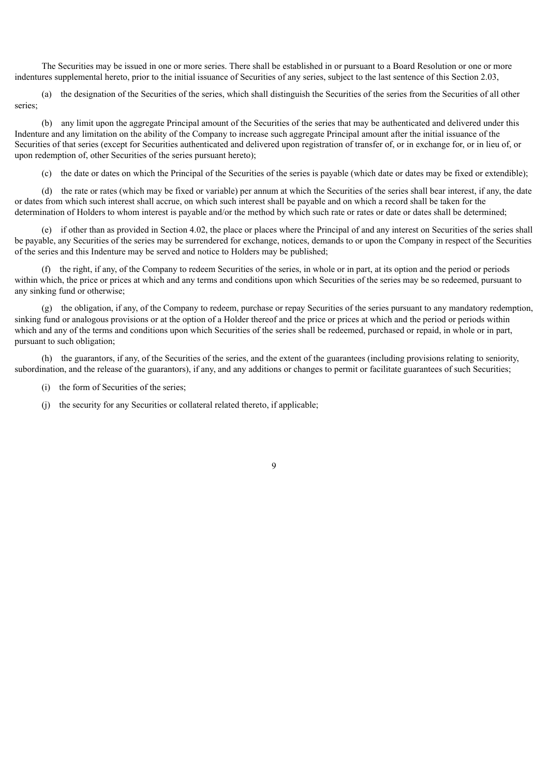The Securities may be issued in one or more series. There shall be established in or pursuant to a Board Resolution or one or more indentures supplemental hereto, prior to the initial issuance of Securities of any series, subject to the last sentence of this Section 2.03,

(a) the designation of the Securities of the series, which shall distinguish the Securities of the series from the Securities of all other series;

(b) any limit upon the aggregate Principal amount of the Securities of the series that may be authenticated and delivered under this Indenture and any limitation on the ability of the Company to increase such aggregate Principal amount after the initial issuance of the Securities of that series (except for Securities authenticated and delivered upon registration of transfer of, or in exchange for, or in lieu of, or upon redemption of, other Securities of the series pursuant hereto);

(c) the date or dates on which the Principal of the Securities of the series is payable (which date or dates may be fixed or extendible);

(d) the rate or rates (which may be fixed or variable) per annum at which the Securities of the series shall bear interest, if any, the date or dates from which such interest shall accrue, on which such interest shall be payable and on which a record shall be taken for the determination of Holders to whom interest is payable and/or the method by which such rate or rates or date or dates shall be determined;

(e) if other than as provided in Section 4.02, the place or places where the Principal of and any interest on Securities of the series shall be payable, any Securities of the series may be surrendered for exchange, notices, demands to or upon the Company in respect of the Securities of the series and this Indenture may be served and notice to Holders may be published;

(f) the right, if any, of the Company to redeem Securities of the series, in whole or in part, at its option and the period or periods within which, the price or prices at which and any terms and conditions upon which Securities of the series may be so redeemed, pursuant to any sinking fund or otherwise;

(g) the obligation, if any, of the Company to redeem, purchase or repay Securities of the series pursuant to any mandatory redemption, sinking fund or analogous provisions or at the option of a Holder thereof and the price or prices at which and the period or periods within which and any of the terms and conditions upon which Securities of the series shall be redeemed, purchased or repaid, in whole or in part, pursuant to such obligation;

(h) the guarantors, if any, of the Securities of the series, and the extent of the guarantees (including provisions relating to seniority, subordination, and the release of the guarantors), if any, and any additions or changes to permit or facilitate guarantees of such Securities;

- (i) the form of Securities of the series;
- (j) the security for any Securities or collateral related thereto, if applicable;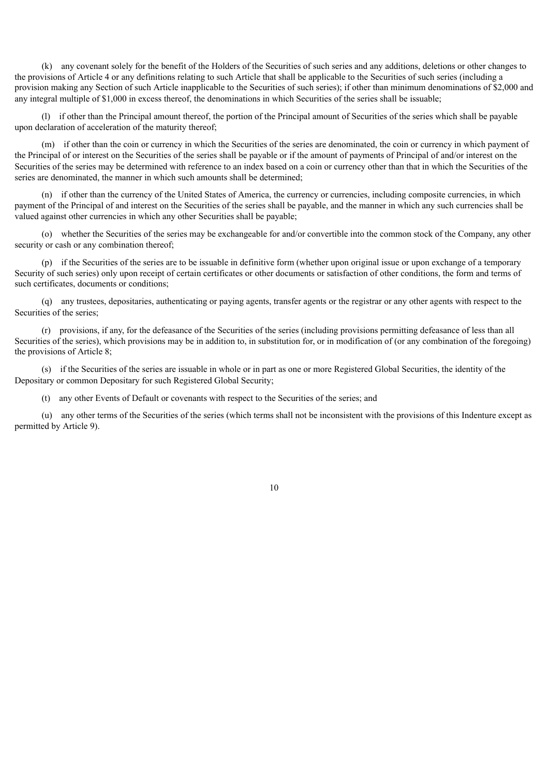(k) any covenant solely for the benefit of the Holders of the Securities of such series and any additions, deletions or other changes to the provisions of Article 4 or any definitions relating to such Article that shall be applicable to the Securities of such series (including a provision making any Section of such Article inapplicable to the Securities of such series); if other than minimum denominations of \$2,000 and any integral multiple of \$1,000 in excess thereof, the denominations in which Securities of the series shall be issuable;

(l) if other than the Principal amount thereof, the portion of the Principal amount of Securities of the series which shall be payable upon declaration of acceleration of the maturity thereof;

(m) if other than the coin or currency in which the Securities of the series are denominated, the coin or currency in which payment of the Principal of or interest on the Securities of the series shall be payable or if the amount of payments of Principal of and/or interest on the Securities of the series may be determined with reference to an index based on a coin or currency other than that in which the Securities of the series are denominated, the manner in which such amounts shall be determined;

(n) if other than the currency of the United States of America, the currency or currencies, including composite currencies, in which payment of the Principal of and interest on the Securities of the series shall be payable, and the manner in which any such currencies shall be valued against other currencies in which any other Securities shall be payable;

(o) whether the Securities of the series may be exchangeable for and/or convertible into the common stock of the Company, any other security or cash or any combination thereof:

(p) if the Securities of the series are to be issuable in definitive form (whether upon original issue or upon exchange of a temporary Security of such series) only upon receipt of certain certificates or other documents or satisfaction of other conditions, the form and terms of such certificates, documents or conditions;

(q) any trustees, depositaries, authenticating or paying agents, transfer agents or the registrar or any other agents with respect to the Securities of the series;

(r) provisions, if any, for the defeasance of the Securities of the series (including provisions permitting defeasance of less than all Securities of the series), which provisions may be in addition to, in substitution for, or in modification of (or any combination of the foregoing) the provisions of Article 8;

(s) if the Securities of the series are issuable in whole or in part as one or more Registered Global Securities, the identity of the Depositary or common Depositary for such Registered Global Security;

(t) any other Events of Default or covenants with respect to the Securities of the series; and

(u) any other terms of the Securities of the series (which terms shall not be inconsistent with the provisions of this Indenture except as permitted by Article 9).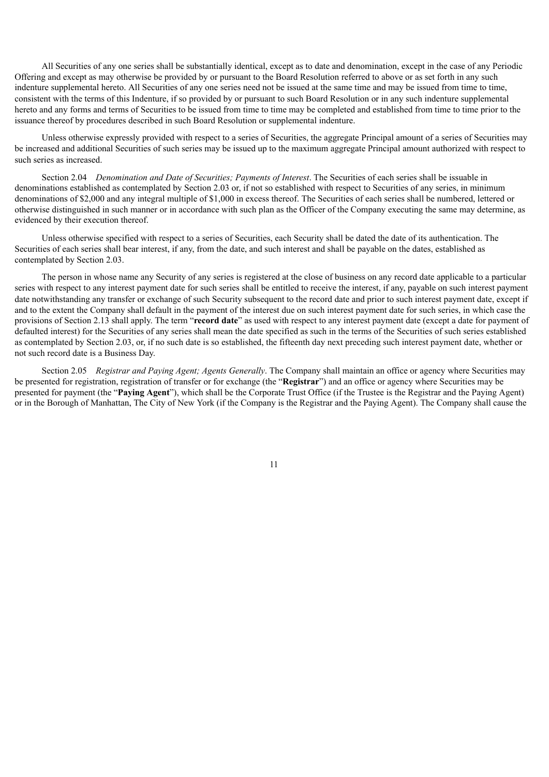All Securities of any one series shall be substantially identical, except as to date and denomination, except in the case of any Periodic Offering and except as may otherwise be provided by or pursuant to the Board Resolution referred to above or as set forth in any such indenture supplemental hereto. All Securities of any one series need not be issued at the same time and may be issued from time to time, consistent with the terms of this Indenture, if so provided by or pursuant to such Board Resolution or in any such indenture supplemental hereto and any forms and terms of Securities to be issued from time to time may be completed and established from time to time prior to the issuance thereof by procedures described in such Board Resolution or supplemental indenture.

Unless otherwise expressly provided with respect to a series of Securities, the aggregate Principal amount of a series of Securities may be increased and additional Securities of such series may be issued up to the maximum aggregate Principal amount authorized with respect to such series as increased.

Section 2.04 *Denomination and Date of Securities; Payments of Interest*. The Securities of each series shall be issuable in denominations established as contemplated by Section 2.03 or, if not so established with respect to Securities of any series, in minimum denominations of \$2,000 and any integral multiple of \$1,000 in excess thereof. The Securities of each series shall be numbered, lettered or otherwise distinguished in such manner or in accordance with such plan as the Officer of the Company executing the same may determine, as evidenced by their execution thereof.

Unless otherwise specified with respect to a series of Securities, each Security shall be dated the date of its authentication. The Securities of each series shall bear interest, if any, from the date, and such interest and shall be payable on the dates, established as contemplated by Section 2.03.

The person in whose name any Security of any series is registered at the close of business on any record date applicable to a particular series with respect to any interest payment date for such series shall be entitled to receive the interest, if any, payable on such interest payment date notwithstanding any transfer or exchange of such Security subsequent to the record date and prior to such interest payment date, except if and to the extent the Company shall default in the payment of the interest due on such interest payment date for such series, in which case the provisions of Section 2.13 shall apply. The term "**record date**" as used with respect to any interest payment date (except a date for payment of defaulted interest) for the Securities of any series shall mean the date specified as such in the terms of the Securities of such series established as contemplated by Section 2.03, or, if no such date is so established, the fifteenth day next preceding such interest payment date, whether or not such record date is a Business Day.

Section 2.05 *Registrar and Paying Agent; Agents Generally*. The Company shall maintain an office or agency where Securities may be presented for registration, registration of transfer or for exchange (the "**Registrar**") and an office or agency where Securities may be presented for payment (the "**Paying Agent**"), which shall be the Corporate Trust Office (if the Trustee is the Registrar and the Paying Agent) or in the Borough of Manhattan, The City of New York (if the Company is the Registrar and the Paying Agent). The Company shall cause the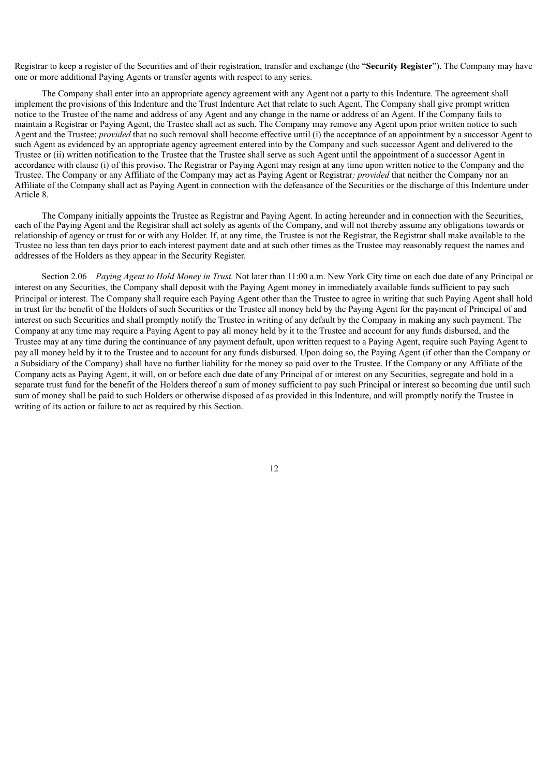Registrar to keep a register of the Securities and of their registration, transfer and exchange (the "**Security Register**"). The Company may have one or more additional Paying Agents or transfer agents with respect to any series.

The Company shall enter into an appropriate agency agreement with any Agent not a party to this Indenture. The agreement shall implement the provisions of this Indenture and the Trust Indenture Act that relate to such Agent. The Company shall give prompt written notice to the Trustee of the name and address of any Agent and any change in the name or address of an Agent. If the Company fails to maintain a Registrar or Paying Agent, the Trustee shall act as such. The Company may remove any Agent upon prior written notice to such Agent and the Trustee; *provided* that no such removal shall become effective until (i) the acceptance of an appointment by a successor Agent to such Agent as evidenced by an appropriate agency agreement entered into by the Company and such successor Agent and delivered to the Trustee or (ii) written notification to the Trustee that the Trustee shall serve as such Agent until the appointment of a successor Agent in accordance with clause (i) of this proviso. The Registrar or Paying Agent may resign at any time upon written notice to the Company and the Trustee. The Company or any Affiliate of the Company may act as Paying Agent or Registrar*; provided* that neither the Company nor an Affiliate of the Company shall act as Paying Agent in connection with the defeasance of the Securities or the discharge of this Indenture under Article 8.

The Company initially appoints the Trustee as Registrar and Paying Agent. In acting hereunder and in connection with the Securities, each of the Paying Agent and the Registrar shall act solely as agents of the Company, and will not thereby assume any obligations towards or relationship of agency or trust for or with any Holder. If, at any time, the Trustee is not the Registrar, the Registrar shall make available to the Trustee no less than ten days prior to each interest payment date and at such other times as the Trustee may reasonably request the names and addresses of the Holders as they appear in the Security Register.

Section 2.06 *Paying Agent to Hold Money in Trust.* Not later than 11:00 a.m. New York City time on each due date of any Principal or interest on any Securities, the Company shall deposit with the Paying Agent money in immediately available funds sufficient to pay such Principal or interest. The Company shall require each Paying Agent other than the Trustee to agree in writing that such Paying Agent shall hold in trust for the benefit of the Holders of such Securities or the Trustee all money held by the Paying Agent for the payment of Principal of and interest on such Securities and shall promptly notify the Trustee in writing of any default by the Company in making any such payment. The Company at any time may require a Paying Agent to pay all money held by it to the Trustee and account for any funds disbursed, and the Trustee may at any time during the continuance of any payment default, upon written request to a Paying Agent, require such Paying Agent to pay all money held by it to the Trustee and to account for any funds disbursed. Upon doing so, the Paying Agent (if other than the Company or a Subsidiary of the Company) shall have no further liability for the money so paid over to the Trustee. If the Company or any Affiliate of the Company acts as Paying Agent, it will, on or before each due date of any Principal of or interest on any Securities, segregate and hold in a separate trust fund for the benefit of the Holders thereof a sum of money sufficient to pay such Principal or interest so becoming due until such sum of money shall be paid to such Holders or otherwise disposed of as provided in this Indenture, and will promptly notify the Trustee in writing of its action or failure to act as required by this Section.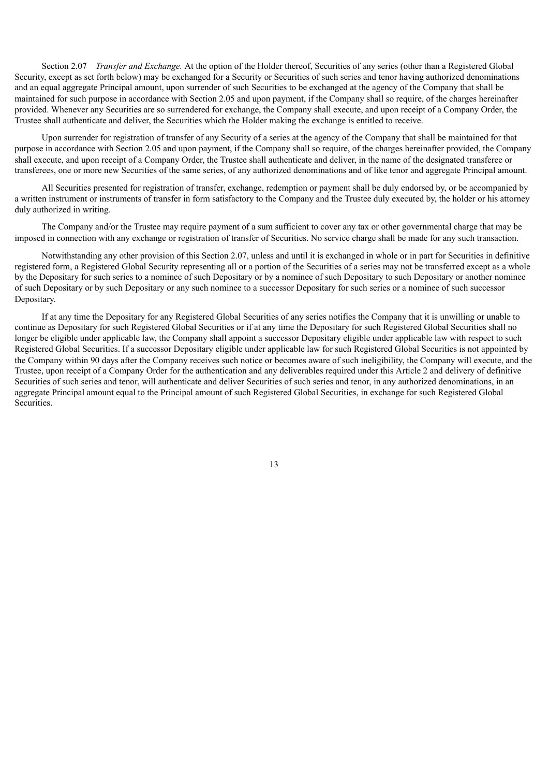Section 2.07 *Transfer and Exchange.* At the option of the Holder thereof, Securities of any series (other than a Registered Global Security, except as set forth below) may be exchanged for a Security or Securities of such series and tenor having authorized denominations and an equal aggregate Principal amount, upon surrender of such Securities to be exchanged at the agency of the Company that shall be maintained for such purpose in accordance with Section 2.05 and upon payment, if the Company shall so require, of the charges hereinafter provided. Whenever any Securities are so surrendered for exchange, the Company shall execute, and upon receipt of a Company Order, the Trustee shall authenticate and deliver, the Securities which the Holder making the exchange is entitled to receive.

Upon surrender for registration of transfer of any Security of a series at the agency of the Company that shall be maintained for that purpose in accordance with Section 2.05 and upon payment, if the Company shall so require, of the charges hereinafter provided, the Company shall execute, and upon receipt of a Company Order, the Trustee shall authenticate and deliver, in the name of the designated transferee or transferees, one or more new Securities of the same series, of any authorized denominations and of like tenor and aggregate Principal amount.

All Securities presented for registration of transfer, exchange, redemption or payment shall be duly endorsed by, or be accompanied by a written instrument or instruments of transfer in form satisfactory to the Company and the Trustee duly executed by, the holder or his attorney duly authorized in writing.

The Company and/or the Trustee may require payment of a sum sufficient to cover any tax or other governmental charge that may be imposed in connection with any exchange or registration of transfer of Securities. No service charge shall be made for any such transaction.

Notwithstanding any other provision of this Section 2.07, unless and until it is exchanged in whole or in part for Securities in definitive registered form, a Registered Global Security representing all or a portion of the Securities of a series may not be transferred except as a whole by the Depositary for such series to a nominee of such Depositary or by a nominee of such Depositary to such Depositary or another nominee of such Depositary or by such Depositary or any such nominee to a successor Depositary for such series or a nominee of such successor Depositary.

If at any time the Depositary for any Registered Global Securities of any series notifies the Company that it is unwilling or unable to continue as Depositary for such Registered Global Securities or if at any time the Depositary for such Registered Global Securities shall no longer be eligible under applicable law, the Company shall appoint a successor Depositary eligible under applicable law with respect to such Registered Global Securities. If a successor Depositary eligible under applicable law for such Registered Global Securities is not appointed by the Company within 90 days after the Company receives such notice or becomes aware of such ineligibility, the Company will execute, and the Trustee, upon receipt of a Company Order for the authentication and any deliverables required under this Article 2 and delivery of definitive Securities of such series and tenor, will authenticate and deliver Securities of such series and tenor, in any authorized denominations, in an aggregate Principal amount equal to the Principal amount of such Registered Global Securities, in exchange for such Registered Global Securities.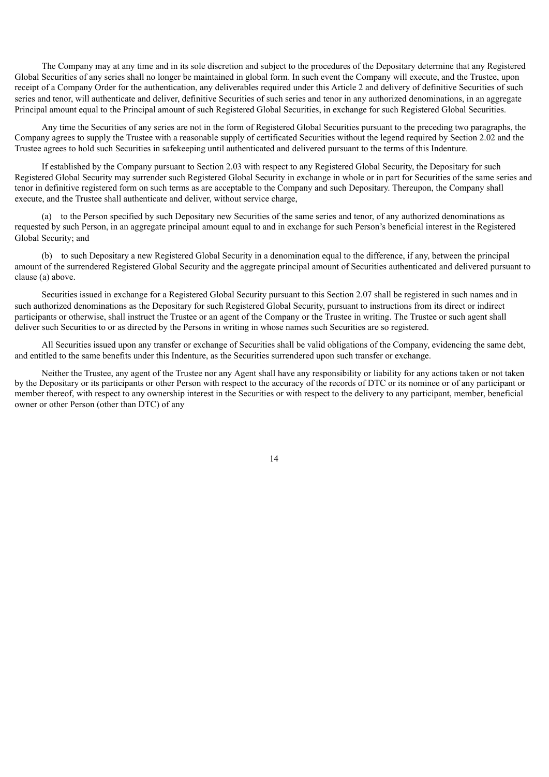The Company may at any time and in its sole discretion and subject to the procedures of the Depositary determine that any Registered Global Securities of any series shall no longer be maintained in global form. In such event the Company will execute, and the Trustee, upon receipt of a Company Order for the authentication, any deliverables required under this Article 2 and delivery of definitive Securities of such series and tenor, will authenticate and deliver, definitive Securities of such series and tenor in any authorized denominations, in an aggregate Principal amount equal to the Principal amount of such Registered Global Securities, in exchange for such Registered Global Securities.

Any time the Securities of any series are not in the form of Registered Global Securities pursuant to the preceding two paragraphs, the Company agrees to supply the Trustee with a reasonable supply of certificated Securities without the legend required by Section 2.02 and the Trustee agrees to hold such Securities in safekeeping until authenticated and delivered pursuant to the terms of this Indenture.

If established by the Company pursuant to Section 2.03 with respect to any Registered Global Security, the Depositary for such Registered Global Security may surrender such Registered Global Security in exchange in whole or in part for Securities of the same series and tenor in definitive registered form on such terms as are acceptable to the Company and such Depositary. Thereupon, the Company shall execute, and the Trustee shall authenticate and deliver, without service charge,

(a) to the Person specified by such Depositary new Securities of the same series and tenor, of any authorized denominations as requested by such Person, in an aggregate principal amount equal to and in exchange for such Person's beneficial interest in the Registered Global Security; and

(b) to such Depositary a new Registered Global Security in a denomination equal to the difference, if any, between the principal amount of the surrendered Registered Global Security and the aggregate principal amount of Securities authenticated and delivered pursuant to clause (a) above.

Securities issued in exchange for a Registered Global Security pursuant to this Section 2.07 shall be registered in such names and in such authorized denominations as the Depositary for such Registered Global Security, pursuant to instructions from its direct or indirect participants or otherwise, shall instruct the Trustee or an agent of the Company or the Trustee in writing. The Trustee or such agent shall deliver such Securities to or as directed by the Persons in writing in whose names such Securities are so registered.

All Securities issued upon any transfer or exchange of Securities shall be valid obligations of the Company, evidencing the same debt, and entitled to the same benefits under this Indenture, as the Securities surrendered upon such transfer or exchange.

Neither the Trustee, any agent of the Trustee nor any Agent shall have any responsibility or liability for any actions taken or not taken by the Depositary or its participants or other Person with respect to the accuracy of the records of DTC or its nominee or of any participant or member thereof, with respect to any ownership interest in the Securities or with respect to the delivery to any participant, member, beneficial owner or other Person (other than DTC) of any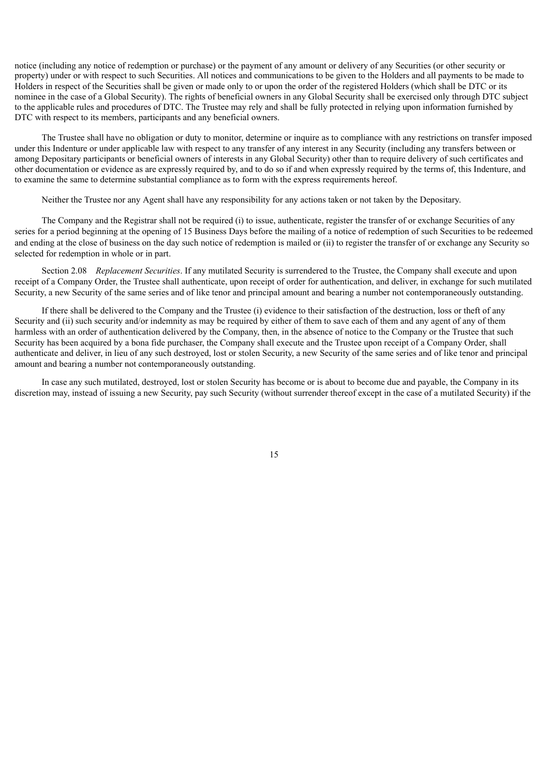notice (including any notice of redemption or purchase) or the payment of any amount or delivery of any Securities (or other security or property) under or with respect to such Securities. All notices and communications to be given to the Holders and all payments to be made to Holders in respect of the Securities shall be given or made only to or upon the order of the registered Holders (which shall be DTC or its nominee in the case of a Global Security). The rights of beneficial owners in any Global Security shall be exercised only through DTC subject to the applicable rules and procedures of DTC. The Trustee may rely and shall be fully protected in relying upon information furnished by DTC with respect to its members, participants and any beneficial owners.

The Trustee shall have no obligation or duty to monitor, determine or inquire as to compliance with any restrictions on transfer imposed under this Indenture or under applicable law with respect to any transfer of any interest in any Security (including any transfers between or among Depositary participants or beneficial owners of interests in any Global Security) other than to require delivery of such certificates and other documentation or evidence as are expressly required by, and to do so if and when expressly required by the terms of, this Indenture, and to examine the same to determine substantial compliance as to form with the express requirements hereof.

Neither the Trustee nor any Agent shall have any responsibility for any actions taken or not taken by the Depositary.

The Company and the Registrar shall not be required (i) to issue, authenticate, register the transfer of or exchange Securities of any series for a period beginning at the opening of 15 Business Days before the mailing of a notice of redemption of such Securities to be redeemed and ending at the close of business on the day such notice of redemption is mailed or (ii) to register the transfer of or exchange any Security so selected for redemption in whole or in part.

Section 2.08 *Replacement Securities*. If any mutilated Security is surrendered to the Trustee, the Company shall execute and upon receipt of a Company Order, the Trustee shall authenticate, upon receipt of order for authentication, and deliver, in exchange for such mutilated Security, a new Security of the same series and of like tenor and principal amount and bearing a number not contemporaneously outstanding.

If there shall be delivered to the Company and the Trustee (i) evidence to their satisfaction of the destruction, loss or theft of any Security and (ii) such security and/or indemnity as may be required by either of them to save each of them and any agent of any of them harmless with an order of authentication delivered by the Company, then, in the absence of notice to the Company or the Trustee that such Security has been acquired by a bona fide purchaser, the Company shall execute and the Trustee upon receipt of a Company Order, shall authenticate and deliver, in lieu of any such destroyed, lost or stolen Security, a new Security of the same series and of like tenor and principal amount and bearing a number not contemporaneously outstanding.

In case any such mutilated, destroyed, lost or stolen Security has become or is about to become due and payable, the Company in its discretion may, instead of issuing a new Security, pay such Security (without surrender thereof except in the case of a mutilated Security) if the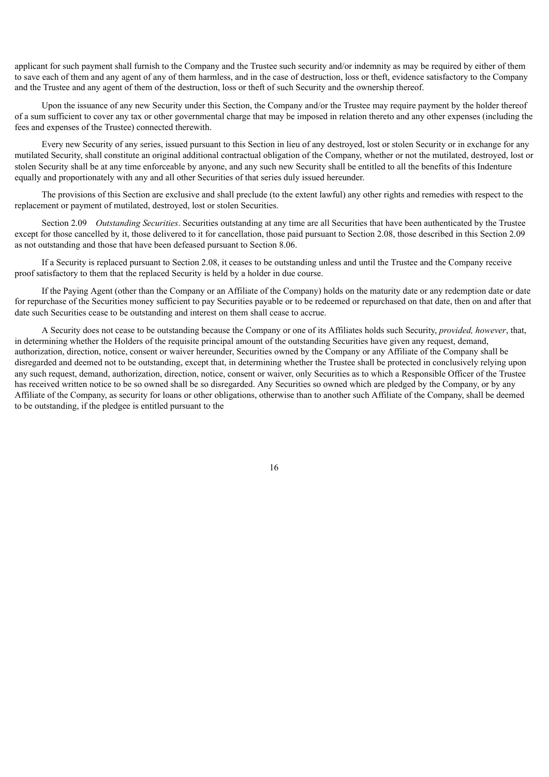applicant for such payment shall furnish to the Company and the Trustee such security and/or indemnity as may be required by either of them to save each of them and any agent of any of them harmless, and in the case of destruction, loss or theft, evidence satisfactory to the Company and the Trustee and any agent of them of the destruction, loss or theft of such Security and the ownership thereof.

Upon the issuance of any new Security under this Section, the Company and/or the Trustee may require payment by the holder thereof of a sum sufficient to cover any tax or other governmental charge that may be imposed in relation thereto and any other expenses (including the fees and expenses of the Trustee) connected therewith.

Every new Security of any series, issued pursuant to this Section in lieu of any destroyed, lost or stolen Security or in exchange for any mutilated Security, shall constitute an original additional contractual obligation of the Company, whether or not the mutilated, destroyed, lost or stolen Security shall be at any time enforceable by anyone, and any such new Security shall be entitled to all the benefits of this Indenture equally and proportionately with any and all other Securities of that series duly issued hereunder.

The provisions of this Section are exclusive and shall preclude (to the extent lawful) any other rights and remedies with respect to the replacement or payment of mutilated, destroyed, lost or stolen Securities.

Section 2.09 *Outstanding Securities*. Securities outstanding at any time are all Securities that have been authenticated by the Trustee except for those cancelled by it, those delivered to it for cancellation, those paid pursuant to Section 2.08, those described in this Section 2.09 as not outstanding and those that have been defeased pursuant to Section 8.06.

If a Security is replaced pursuant to Section 2.08, it ceases to be outstanding unless and until the Trustee and the Company receive proof satisfactory to them that the replaced Security is held by a holder in due course.

If the Paying Agent (other than the Company or an Affiliate of the Company) holds on the maturity date or any redemption date or date for repurchase of the Securities money sufficient to pay Securities payable or to be redeemed or repurchased on that date, then on and after that date such Securities cease to be outstanding and interest on them shall cease to accrue.

A Security does not cease to be outstanding because the Company or one of its Affiliates holds such Security, *provided, however*, that, in determining whether the Holders of the requisite principal amount of the outstanding Securities have given any request, demand, authorization, direction, notice, consent or waiver hereunder, Securities owned by the Company or any Affiliate of the Company shall be disregarded and deemed not to be outstanding, except that, in determining whether the Trustee shall be protected in conclusively relying upon any such request, demand, authorization, direction, notice, consent or waiver, only Securities as to which a Responsible Officer of the Trustee has received written notice to be so owned shall be so disregarded. Any Securities so owned which are pledged by the Company, or by any Affiliate of the Company, as security for loans or other obligations, otherwise than to another such Affiliate of the Company, shall be deemed to be outstanding, if the pledgee is entitled pursuant to the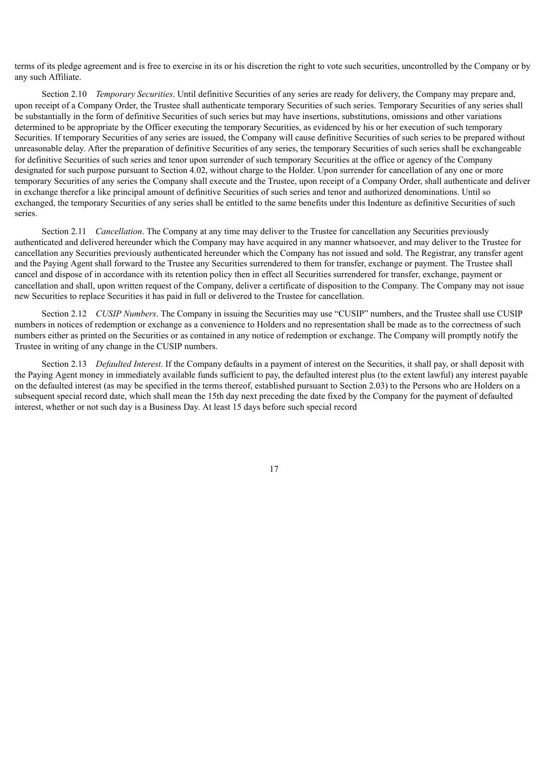terms of its pledge agreement and is free to exercise in its or his discretion the right to vote such securities, uncontrolled by the Company or by any such Affiliate.

Section 2.10 *Temporary Securities*. Until definitive Securities of any series are ready for delivery, the Company may prepare and, upon receipt of a Company Order, the Trustee shall authenticate temporary Securities of such series. Temporary Securities of any series shall be substantially in the form of definitive Securities of such series but may have insertions, substitutions, omissions and other variations determined to be appropriate by the Officer executing the temporary Securities, as evidenced by his or her execution of such temporary Securities. If temporary Securities of any series are issued, the Company will cause definitive Securities of such series to be prepared without unreasonable delay. After the preparation of definitive Securities of any series, the temporary Securities of such series shall be exchangeable for definitive Securities of such series and tenor upon surrender of such temporary Securities at the office or agency of the Company designated for such purpose pursuant to Section 4.02, without charge to the Holder. Upon surrender for cancellation of any one or more temporary Securities of any series the Company shall execute and the Trustee, upon receipt of a Company Order, shall authenticate and deliver in exchange therefor a like principal amount of definitive Securities of such series and tenor and authorized denominations. Until so exchanged, the temporary Securities of any series shall be entitled to the same benefits under this Indenture as definitive Securities of such series.

Section 2.11 *Cancellation*. The Company at any time may deliver to the Trustee for cancellation any Securities previously authenticated and delivered hereunder which the Company may have acquired in any manner whatsoever, and may deliver to the Trustee for cancellation any Securities previously authenticated hereunder which the Company has not issued and sold. The Registrar, any transfer agent and the Paying Agent shall forward to the Trustee any Securities surrendered to them for transfer, exchange or payment. The Trustee shall cancel and dispose of in accordance with its retention policy then in effect all Securities surrendered for transfer, exchange, payment or cancellation and shall, upon written request of the Company, deliver a certificate of disposition to the Company. The Company may not issue new Securities to replace Securities it has paid in full or delivered to the Trustee for cancellation.

Section 2.12 *CUSIP Numbers*. The Company in issuing the Securities may use "CUSIP" numbers, and the Trustee shall use CUSIP numbers in notices of redemption or exchange as a convenience to Holders and no representation shall be made as to the correctness of such numbers either as printed on the Securities or as contained in any notice of redemption or exchange. The Company will promptly notify the Trustee in writing of any change in the CUSIP numbers.

Section 2.13 *Defaulted Interest*. If the Company defaults in a payment of interest on the Securities, it shall pay, or shall deposit with the Paying Agent money in immediately available funds sufficient to pay, the defaulted interest plus (to the extent lawful) any interest payable on the defaulted interest (as may be specified in the terms thereof, established pursuant to Section 2.03) to the Persons who are Holders on a subsequent special record date, which shall mean the 15th day next preceding the date fixed by the Company for the payment of defaulted interest, whether or not such day is a Business Day. At least 15 days before such special record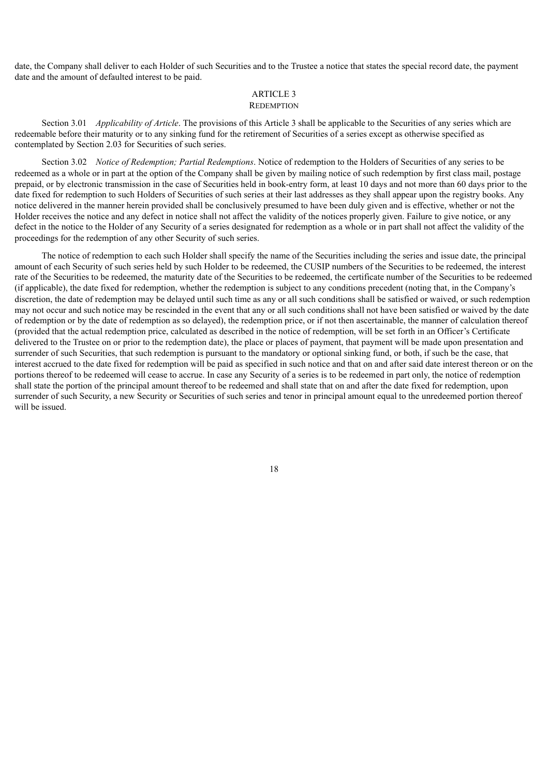date, the Company shall deliver to each Holder of such Securities and to the Trustee a notice that states the special record date, the payment date and the amount of defaulted interest to be paid.

#### ARTICLE 3 **REDEMPTION**

Section 3.01 *Applicability of Article*. The provisions of this Article 3 shall be applicable to the Securities of any series which are redeemable before their maturity or to any sinking fund for the retirement of Securities of a series except as otherwise specified as contemplated by Section 2.03 for Securities of such series.

Section 3.02 *Notice of Redemption; Partial Redemptions*. Notice of redemption to the Holders of Securities of any series to be redeemed as a whole or in part at the option of the Company shall be given by mailing notice of such redemption by first class mail, postage prepaid, or by electronic transmission in the case of Securities held in book-entry form, at least 10 days and not more than 60 days prior to the date fixed for redemption to such Holders of Securities of such series at their last addresses as they shall appear upon the registry books. Any notice delivered in the manner herein provided shall be conclusively presumed to have been duly given and is effective, whether or not the Holder receives the notice and any defect in notice shall not affect the validity of the notices properly given. Failure to give notice, or any defect in the notice to the Holder of any Security of a series designated for redemption as a whole or in part shall not affect the validity of the proceedings for the redemption of any other Security of such series.

The notice of redemption to each such Holder shall specify the name of the Securities including the series and issue date, the principal amount of each Security of such series held by such Holder to be redeemed, the CUSIP numbers of the Securities to be redeemed, the interest rate of the Securities to be redeemed, the maturity date of the Securities to be redeemed, the certificate number of the Securities to be redeemed (if applicable), the date fixed for redemption, whether the redemption is subject to any conditions precedent (noting that, in the Company's discretion, the date of redemption may be delayed until such time as any or all such conditions shall be satisfied or waived, or such redemption may not occur and such notice may be rescinded in the event that any or all such conditions shall not have been satisfied or waived by the date of redemption or by the date of redemption as so delayed), the redemption price, or if not then ascertainable, the manner of calculation thereof (provided that the actual redemption price, calculated as described in the notice of redemption, will be set forth in an Officer's Certificate delivered to the Trustee on or prior to the redemption date), the place or places of payment, that payment will be made upon presentation and surrender of such Securities, that such redemption is pursuant to the mandatory or optional sinking fund, or both, if such be the case, that interest accrued to the date fixed for redemption will be paid as specified in such notice and that on and after said date interest thereon or on the portions thereof to be redeemed will cease to accrue. In case any Security of a series is to be redeemed in part only, the notice of redemption shall state the portion of the principal amount thereof to be redeemed and shall state that on and after the date fixed for redemption, upon surrender of such Security, a new Security or Securities of such series and tenor in principal amount equal to the unredeemed portion thereof will be issued.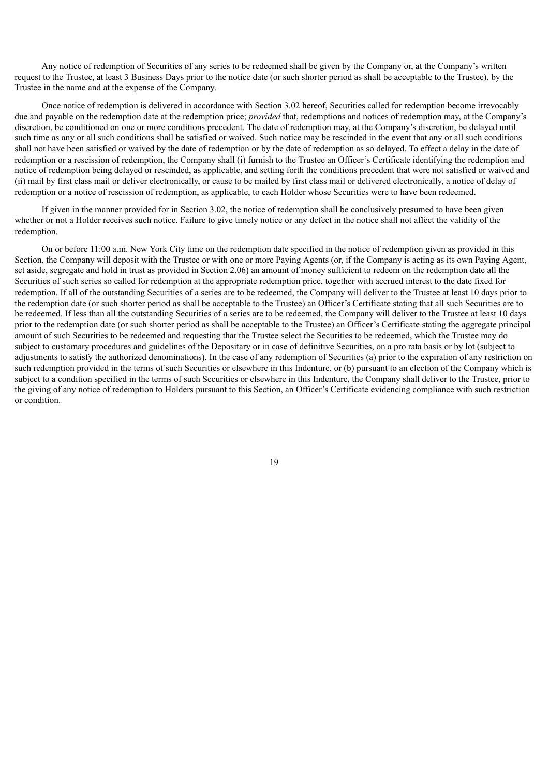Any notice of redemption of Securities of any series to be redeemed shall be given by the Company or, at the Company's written request to the Trustee, at least 3 Business Days prior to the notice date (or such shorter period as shall be acceptable to the Trustee), by the Trustee in the name and at the expense of the Company.

Once notice of redemption is delivered in accordance with Section 3.02 hereof, Securities called for redemption become irrevocably due and payable on the redemption date at the redemption price; *provided* that, redemptions and notices of redemption may, at the Company's discretion, be conditioned on one or more conditions precedent. The date of redemption may, at the Company's discretion, be delayed until such time as any or all such conditions shall be satisfied or waived. Such notice may be rescinded in the event that any or all such conditions shall not have been satisfied or waived by the date of redemption or by the date of redemption as so delayed. To effect a delay in the date of redemption or a rescission of redemption, the Company shall (i) furnish to the Trustee an Officer's Certificate identifying the redemption and notice of redemption being delayed or rescinded, as applicable, and setting forth the conditions precedent that were not satisfied or waived and (ii) mail by first class mail or deliver electronically, or cause to be mailed by first class mail or delivered electronically, a notice of delay of redemption or a notice of rescission of redemption, as applicable, to each Holder whose Securities were to have been redeemed.

If given in the manner provided for in Section 3.02, the notice of redemption shall be conclusively presumed to have been given whether or not a Holder receives such notice. Failure to give timely notice or any defect in the notice shall not affect the validity of the redemption.

On or before 11:00 a.m. New York City time on the redemption date specified in the notice of redemption given as provided in this Section, the Company will deposit with the Trustee or with one or more Paying Agents (or, if the Company is acting as its own Paying Agent, set aside, segregate and hold in trust as provided in Section 2.06) an amount of money sufficient to redeem on the redemption date all the Securities of such series so called for redemption at the appropriate redemption price, together with accrued interest to the date fixed for redemption. If all of the outstanding Securities of a series are to be redeemed, the Company will deliver to the Trustee at least 10 days prior to the redemption date (or such shorter period as shall be acceptable to the Trustee) an Officer's Certificate stating that all such Securities are to be redeemed. If less than all the outstanding Securities of a series are to be redeemed, the Company will deliver to the Trustee at least 10 days prior to the redemption date (or such shorter period as shall be acceptable to the Trustee) an Officer's Certificate stating the aggregate principal amount of such Securities to be redeemed and requesting that the Trustee select the Securities to be redeemed, which the Trustee may do subject to customary procedures and guidelines of the Depositary or in case of definitive Securities, on a pro rata basis or by lot (subject to adjustments to satisfy the authorized denominations). In the case of any redemption of Securities (a) prior to the expiration of any restriction on such redemption provided in the terms of such Securities or elsewhere in this Indenture, or (b) pursuant to an election of the Company which is subject to a condition specified in the terms of such Securities or elsewhere in this Indenture, the Company shall deliver to the Trustee, prior to the giving of any notice of redemption to Holders pursuant to this Section, an Officer's Certificate evidencing compliance with such restriction or condition.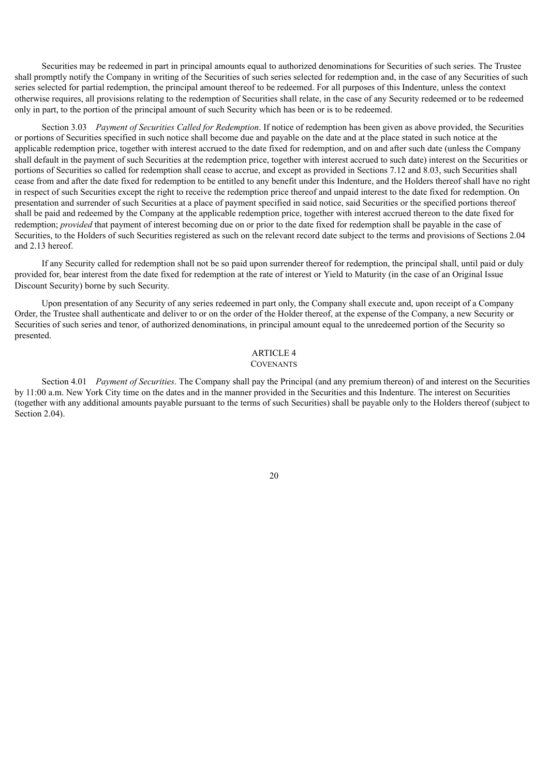Securities may be redeemed in part in principal amounts equal to authorized denominations for Securities of such series. The Trustee shall promptly notify the Company in writing of the Securities of such series selected for redemption and, in the case of any Securities of such series selected for partial redemption, the principal amount thereof to be redeemed. For all purposes of this Indenture, unless the context otherwise requires, all provisions relating to the redemption of Securities shall relate, in the case of any Security redeemed or to be redeemed only in part, to the portion of the principal amount of such Security which has been or is to be redeemed.

Section 3.03 *Payment of Securities Called for Redemption*. If notice of redemption has been given as above provided, the Securities or portions of Securities specified in such notice shall become due and payable on the date and at the place stated in such notice at the applicable redemption price, together with interest accrued to the date fixed for redemption, and on and after such date (unless the Company shall default in the payment of such Securities at the redemption price, together with interest accrued to such date) interest on the Securities or portions of Securities so called for redemption shall cease to accrue, and except as provided in Sections 7.12 and 8.03, such Securities shall cease from and after the date fixed for redemption to be entitled to any benefit under this Indenture, and the Holders thereof shall have no right in respect of such Securities except the right to receive the redemption price thereof and unpaid interest to the date fixed for redemption. On presentation and surrender of such Securities at a place of payment specified in said notice, said Securities or the specified portions thereof shall be paid and redeemed by the Company at the applicable redemption price, together with interest accrued thereon to the date fixed for redemption; *provided* that payment of interest becoming due on or prior to the date fixed for redemption shall be payable in the case of Securities, to the Holders of such Securities registered as such on the relevant record date subject to the terms and provisions of Sections 2.04 and 2.13 hereof.

If any Security called for redemption shall not be so paid upon surrender thereof for redemption, the principal shall, until paid or duly provided for, bear interest from the date fixed for redemption at the rate of interest or Yield to Maturity (in the case of an Original Issue Discount Security) borne by such Security.

Upon presentation of any Security of any series redeemed in part only, the Company shall execute and, upon receipt of a Company Order, the Trustee shall authenticate and deliver to or on the order of the Holder thereof, at the expense of the Company, a new Security or Securities of such series and tenor, of authorized denominations, in principal amount equal to the unredeemed portion of the Security so presented.

# ARTICLE 4

# **COVENANTS**

Section 4.01 *Payment of Securities*. The Company shall pay the Principal (and any premium thereon) of and interest on the Securities by 11:00 a.m. New York City time on the dates and in the manner provided in the Securities and this Indenture. The interest on Securities (together with any additional amounts payable pursuant to the terms of such Securities) shall be payable only to the Holders thereof (subject to Section 2.04).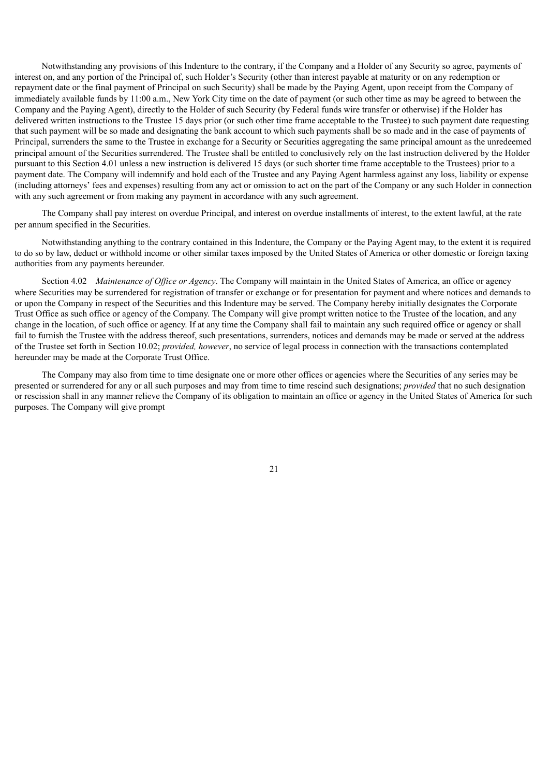Notwithstanding any provisions of this Indenture to the contrary, if the Company and a Holder of any Security so agree, payments of interest on, and any portion of the Principal of, such Holder's Security (other than interest payable at maturity or on any redemption or repayment date or the final payment of Principal on such Security) shall be made by the Paying Agent, upon receipt from the Company of immediately available funds by 11:00 a.m., New York City time on the date of payment (or such other time as may be agreed to between the Company and the Paying Agent), directly to the Holder of such Security (by Federal funds wire transfer or otherwise) if the Holder has delivered written instructions to the Trustee 15 days prior (or such other time frame acceptable to the Trustee) to such payment date requesting that such payment will be so made and designating the bank account to which such payments shall be so made and in the case of payments of Principal, surrenders the same to the Trustee in exchange for a Security or Securities aggregating the same principal amount as the unredeemed principal amount of the Securities surrendered. The Trustee shall be entitled to conclusively rely on the last instruction delivered by the Holder pursuant to this Section 4.01 unless a new instruction is delivered 15 days (or such shorter time frame acceptable to the Trustees) prior to a payment date. The Company will indemnify and hold each of the Trustee and any Paying Agent harmless against any loss, liability or expense (including attorneys' fees and expenses) resulting from any act or omission to act on the part of the Company or any such Holder in connection with any such agreement or from making any payment in accordance with any such agreement.

The Company shall pay interest on overdue Principal, and interest on overdue installments of interest, to the extent lawful, at the rate per annum specified in the Securities.

Notwithstanding anything to the contrary contained in this Indenture, the Company or the Paying Agent may, to the extent it is required to do so by law, deduct or withhold income or other similar taxes imposed by the United States of America or other domestic or foreign taxing authorities from any payments hereunder.

Section 4.02 *Maintenance of Office or Agency*. The Company will maintain in the United States of America, an office or agency where Securities may be surrendered for registration of transfer or exchange or for presentation for payment and where notices and demands to or upon the Company in respect of the Securities and this Indenture may be served. The Company hereby initially designates the Corporate Trust Office as such office or agency of the Company. The Company will give prompt written notice to the Trustee of the location, and any change in the location, of such office or agency. If at any time the Company shall fail to maintain any such required office or agency or shall fail to furnish the Trustee with the address thereof, such presentations, surrenders, notices and demands may be made or served at the address of the Trustee set forth in Section 10.02; *provided, however*, no service of legal process in connection with the transactions contemplated hereunder may be made at the Corporate Trust Office.

The Company may also from time to time designate one or more other offices or agencies where the Securities of any series may be presented or surrendered for any or all such purposes and may from time to time rescind such designations; *provided* that no such designation or rescission shall in any manner relieve the Company of its obligation to maintain an office or agency in the United States of America for such purposes. The Company will give prompt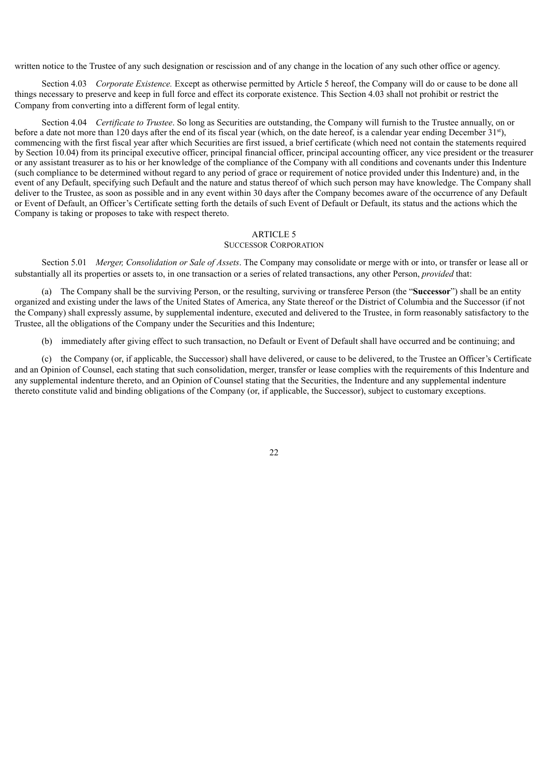written notice to the Trustee of any such designation or rescission and of any change in the location of any such other office or agency.

Section 4.03 *Corporate Existence.* Except as otherwise permitted by Article 5 hereof, the Company will do or cause to be done all things necessary to preserve and keep in full force and effect its corporate existence. This Section 4.03 shall not prohibit or restrict the Company from converting into a different form of legal entity.

Section 4.04 *Certificate to Trustee*. So long as Securities are outstanding, the Company will furnish to the Trustee annually, on or before a date not more than 120 days after the end of its fiscal year (which, on the date hereof, is a calendar year ending December  $31<sup>st</sup>$ ), commencing with the first fiscal year after which Securities are first issued, a brief certificate (which need not contain the statements required by Section 10.04) from its principal executive officer, principal financial officer, principal accounting officer, any vice president or the treasurer or any assistant treasurer as to his or her knowledge of the compliance of the Company with all conditions and covenants under this Indenture (such compliance to be determined without regard to any period of grace or requirement of notice provided under this Indenture) and, in the event of any Default, specifying such Default and the nature and status thereof of which such person may have knowledge. The Company shall deliver to the Trustee, as soon as possible and in any event within 30 days after the Company becomes aware of the occurrence of any Default or Event of Default, an Officer's Certificate setting forth the details of such Event of Default or Default, its status and the actions which the Company is taking or proposes to take with respect thereto.

#### ARTICLE 5

### SUCCESSOR CORPORATION

Section 5.01 *Merger, Consolidation or Sale of Assets*. The Company may consolidate or merge with or into, or transfer or lease all or substantially all its properties or assets to, in one transaction or a series of related transactions, any other Person, *provided* that:

(a) The Company shall be the surviving Person, or the resulting, surviving or transferee Person (the "**Successor**") shall be an entity organized and existing under the laws of the United States of America, any State thereof or the District of Columbia and the Successor (if not the Company) shall expressly assume, by supplemental indenture, executed and delivered to the Trustee, in form reasonably satisfactory to the Trustee, all the obligations of the Company under the Securities and this Indenture;

(b) immediately after giving effect to such transaction, no Default or Event of Default shall have occurred and be continuing; and

(c) the Company (or, if applicable, the Successor) shall have delivered, or cause to be delivered, to the Trustee an Officer's Certificate and an Opinion of Counsel, each stating that such consolidation, merger, transfer or lease complies with the requirements of this Indenture and any supplemental indenture thereto, and an Opinion of Counsel stating that the Securities, the Indenture and any supplemental indenture thereto constitute valid and binding obligations of the Company (or, if applicable, the Successor), subject to customary exceptions.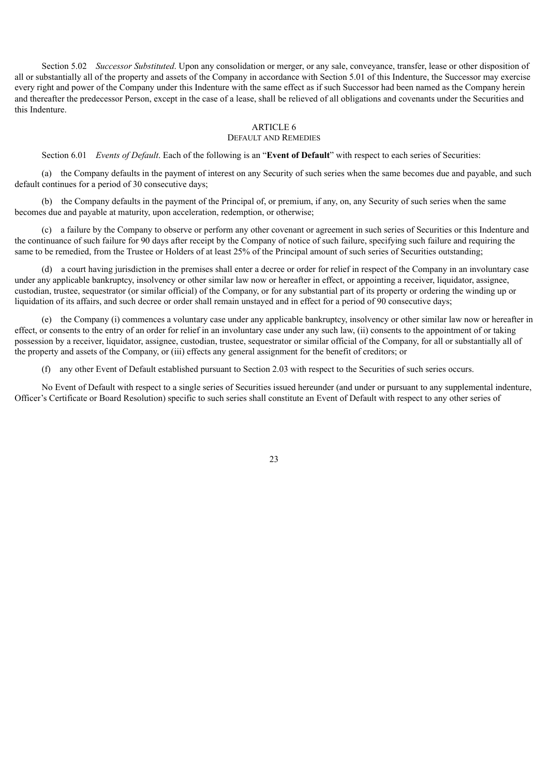Section 5.02 *Successor Substituted*. Upon any consolidation or merger, or any sale, conveyance, transfer, lease or other disposition of all or substantially all of the property and assets of the Company in accordance with Section 5.01 of this Indenture, the Successor may exercise every right and power of the Company under this Indenture with the same effect as if such Successor had been named as the Company herein and thereafter the predecessor Person, except in the case of a lease, shall be relieved of all obligations and covenants under the Securities and this Indenture.

#### ARTICLE 6

#### DEFAULT AND REMEDIES

Section 6.01 *Events of Default*. Each of the following is an "**Event of Default**" with respect to each series of Securities:

(a) the Company defaults in the payment of interest on any Security of such series when the same becomes due and payable, and such default continues for a period of 30 consecutive days;

(b) the Company defaults in the payment of the Principal of, or premium, if any, on, any Security of such series when the same becomes due and payable at maturity, upon acceleration, redemption, or otherwise;

(c) a failure by the Company to observe or perform any other covenant or agreement in such series of Securities or this Indenture and the continuance of such failure for 90 days after receipt by the Company of notice of such failure, specifying such failure and requiring the same to be remedied, from the Trustee or Holders of at least 25% of the Principal amount of such series of Securities outstanding:

(d) a court having jurisdiction in the premises shall enter a decree or order for relief in respect of the Company in an involuntary case under any applicable bankruptcy, insolvency or other similar law now or hereafter in effect, or appointing a receiver, liquidator, assignee, custodian, trustee, sequestrator (or similar official) of the Company, or for any substantial part of its property or ordering the winding up or liquidation of its affairs, and such decree or order shall remain unstayed and in effect for a period of 90 consecutive days;

(e) the Company (i) commences a voluntary case under any applicable bankruptcy, insolvency or other similar law now or hereafter in effect, or consents to the entry of an order for relief in an involuntary case under any such law, (ii) consents to the appointment of or taking possession by a receiver, liquidator, assignee, custodian, trustee, sequestrator or similar official of the Company, for all or substantially all of the property and assets of the Company, or (iii) effects any general assignment for the benefit of creditors; or

(f) any other Event of Default established pursuant to Section 2.03 with respect to the Securities of such series occurs.

No Event of Default with respect to a single series of Securities issued hereunder (and under or pursuant to any supplemental indenture, Officer's Certificate or Board Resolution) specific to such series shall constitute an Event of Default with respect to any other series of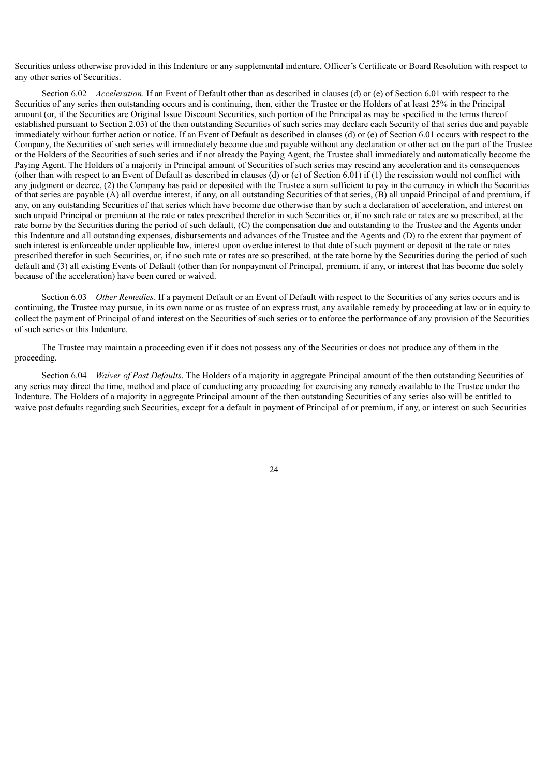Securities unless otherwise provided in this Indenture or any supplemental indenture, Officer's Certificate or Board Resolution with respect to any other series of Securities.

Section 6.02 *Acceleration*. If an Event of Default other than as described in clauses (d) or (e) of Section 6.01 with respect to the Securities of any series then outstanding occurs and is continuing, then, either the Trustee or the Holders of at least 25% in the Principal amount (or, if the Securities are Original Issue Discount Securities, such portion of the Principal as may be specified in the terms thereof established pursuant to Section 2.03) of the then outstanding Securities of such series may declare each Security of that series due and payable immediately without further action or notice. If an Event of Default as described in clauses (d) or (e) of Section 6.01 occurs with respect to the Company, the Securities of such series will immediately become due and payable without any declaration or other act on the part of the Trustee or the Holders of the Securities of such series and if not already the Paying Agent, the Trustee shall immediately and automatically become the Paying Agent. The Holders of a majority in Principal amount of Securities of such series may rescind any acceleration and its consequences (other than with respect to an Event of Default as described in clauses (d) or (e) of Section 6.01) if (1) the rescission would not conflict with any judgment or decree, (2) the Company has paid or deposited with the Trustee a sum sufficient to pay in the currency in which the Securities of that series are payable (A) all overdue interest, if any, on all outstanding Securities of that series, (B) all unpaid Principal of and premium, if any, on any outstanding Securities of that series which have become due otherwise than by such a declaration of acceleration, and interest on such unpaid Principal or premium at the rate or rates prescribed therefor in such Securities or, if no such rate or rates are so prescribed, at the rate borne by the Securities during the period of such default, (C) the compensation due and outstanding to the Trustee and the Agents under this Indenture and all outstanding expenses, disbursements and advances of the Trustee and the Agents and (D) to the extent that payment of such interest is enforceable under applicable law, interest upon overdue interest to that date of such payment or deposit at the rate or rates prescribed therefor in such Securities, or, if no such rate or rates are so prescribed, at the rate borne by the Securities during the period of such default and (3) all existing Events of Default (other than for nonpayment of Principal, premium, if any, or interest that has become due solely because of the acceleration) have been cured or waived.

Section 6.03 *Other Remedies*. If a payment Default or an Event of Default with respect to the Securities of any series occurs and is continuing, the Trustee may pursue, in its own name or as trustee of an express trust, any available remedy by proceeding at law or in equity to collect the payment of Principal of and interest on the Securities of such series or to enforce the performance of any provision of the Securities of such series or this Indenture.

The Trustee may maintain a proceeding even if it does not possess any of the Securities or does not produce any of them in the proceeding.

Section 6.04 *Waiver of Past Defaults*. The Holders of a majority in aggregate Principal amount of the then outstanding Securities of any series may direct the time, method and place of conducting any proceeding for exercising any remedy available to the Trustee under the Indenture. The Holders of a majority in aggregate Principal amount of the then outstanding Securities of any series also will be entitled to waive past defaults regarding such Securities, except for a default in payment of Principal of or premium, if any, or interest on such Securities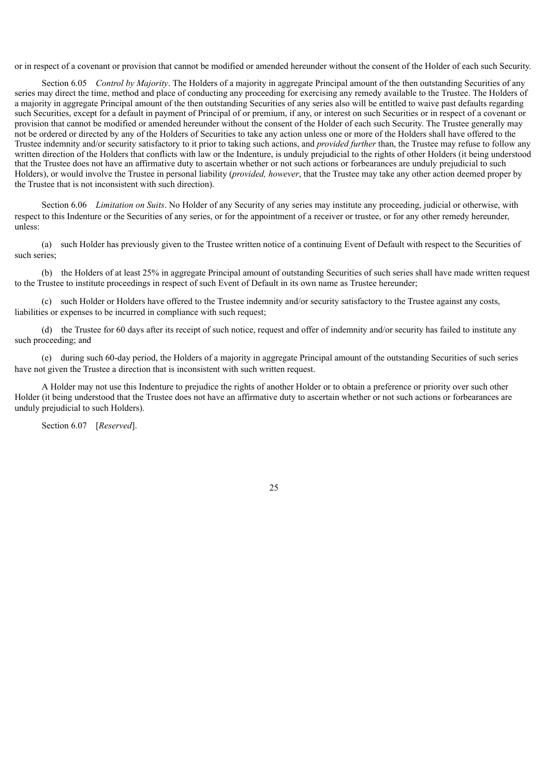or in respect of a covenant or provision that cannot be modified or amended hereunder without the consent of the Holder of each such Security.

Section 6.05 *Control by Majority*. The Holders of a majority in aggregate Principal amount of the then outstanding Securities of any series may direct the time, method and place of conducting any proceeding for exercising any remedy available to the Trustee. The Holders of a majority in aggregate Principal amount of the then outstanding Securities of any series also will be entitled to waive past defaults regarding such Securities, except for a default in payment of Principal of or premium, if any, or interest on such Securities or in respect of a covenant or provision that cannot be modified or amended hereunder without the consent of the Holder of each such Security. The Trustee generally may not be ordered or directed by any of the Holders of Securities to take any action unless one or more of the Holders shall have offered to the Trustee indemnity and/or security satisfactory to it prior to taking such actions, and *provided further* than, the Trustee may refuse to follow any written direction of the Holders that conflicts with law or the Indenture, is unduly prejudicial to the rights of other Holders (it being understood that the Trustee does not have an affirmative duty to ascertain whether or not such actions or forbearances are unduly prejudicial to such Holders), or would involve the Trustee in personal liability (*provided, however*, that the Trustee may take any other action deemed proper by the Trustee that is not inconsistent with such direction).

Section 6.06 *Limitation on Suits*. No Holder of any Security of any series may institute any proceeding, judicial or otherwise, with respect to this Indenture or the Securities of any series, or for the appointment of a receiver or trustee, or for any other remedy hereunder, unless:

(a) such Holder has previously given to the Trustee written notice of a continuing Event of Default with respect to the Securities of such series;

(b) the Holders of at least 25% in aggregate Principal amount of outstanding Securities of such series shall have made written request to the Trustee to institute proceedings in respect of such Event of Default in its own name as Trustee hereunder;

(c) such Holder or Holders have offered to the Trustee indemnity and/or security satisfactory to the Trustee against any costs, liabilities or expenses to be incurred in compliance with such request;

(d) the Trustee for 60 days after its receipt of such notice, request and offer of indemnity and/or security has failed to institute any such proceeding; and

(e) during such 60-day period, the Holders of a majority in aggregate Principal amount of the outstanding Securities of such series have not given the Trustee a direction that is inconsistent with such written request.

A Holder may not use this Indenture to prejudice the rights of another Holder or to obtain a preference or priority over such other Holder (it being understood that the Trustee does not have an affirmative duty to ascertain whether or not such actions or forbearances are unduly prejudicial to such Holders).

Section 6.07 [*Reserved*].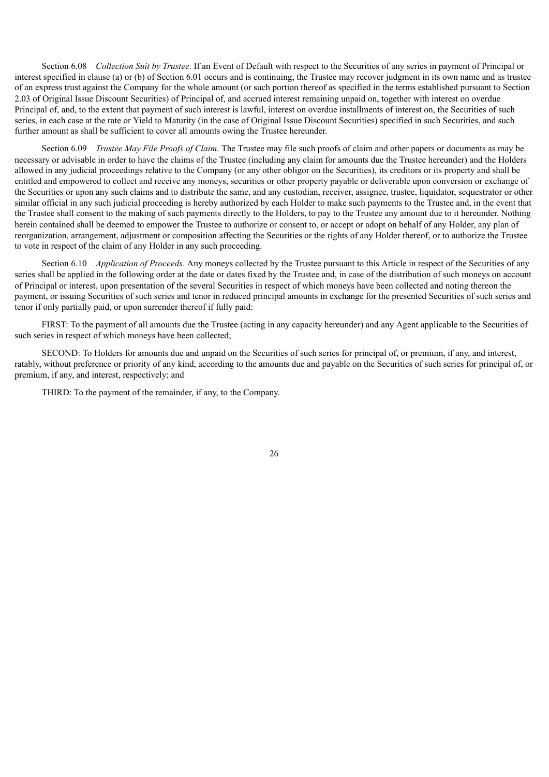Section 6.08 *Collection Suit by Trustee*. If an Event of Default with respect to the Securities of any series in payment of Principal or interest specified in clause (a) or (b) of Section 6.01 occurs and is continuing, the Trustee may recover judgment in its own name and as trustee of an express trust against the Company for the whole amount (or such portion thereof as specified in the terms established pursuant to Section 2.03 of Original Issue Discount Securities) of Principal of, and accrued interest remaining unpaid on, together with interest on overdue Principal of, and, to the extent that payment of such interest is lawful, interest on overdue installments of interest on, the Securities of such series, in each case at the rate or Yield to Maturity (in the case of Original Issue Discount Securities) specified in such Securities, and such further amount as shall be sufficient to cover all amounts owing the Trustee hereunder.

Section 6.09 *Trustee May File Proofs of Claim*. The Trustee may file such proofs of claim and other papers or documents as may be necessary or advisable in order to have the claims of the Trustee (including any claim for amounts due the Trustee hereunder) and the Holders allowed in any judicial proceedings relative to the Company (or any other obligor on the Securities), its creditors or its property and shall be entitled and empowered to collect and receive any moneys, securities or other property payable or deliverable upon conversion or exchange of the Securities or upon any such claims and to distribute the same, and any custodian, receiver, assignee, trustee, liquidator, sequestrator or other similar official in any such judicial proceeding is hereby authorized by each Holder to make such payments to the Trustee and, in the event that the Trustee shall consent to the making of such payments directly to the Holders, to pay to the Trustee any amount due to it hereunder. Nothing herein contained shall be deemed to empower the Trustee to authorize or consent to, or accept or adopt on behalf of any Holder, any plan of reorganization, arrangement, adjustment or composition affecting the Securities or the rights of any Holder thereof, or to authorize the Trustee to vote in respect of the claim of any Holder in any such proceeding.

Section 6.10 *Application of Proceeds*. Any moneys collected by the Trustee pursuant to this Article in respect of the Securities of any series shall be applied in the following order at the date or dates fixed by the Trustee and, in case of the distribution of such moneys on account of Principal or interest, upon presentation of the several Securities in respect of which moneys have been collected and noting thereon the payment, or issuing Securities of such series and tenor in reduced principal amounts in exchange for the presented Securities of such series and tenor if only partially paid, or upon surrender thereof if fully paid:

FIRST: To the payment of all amounts due the Trustee (acting in any capacity hereunder) and any Agent applicable to the Securities of such series in respect of which moneys have been collected;

SECOND: To Holders for amounts due and unpaid on the Securities of such series for principal of, or premium, if any, and interest, ratably, without preference or priority of any kind, according to the amounts due and payable on the Securities of such series for principal of, or premium, if any, and interest, respectively; and

THIRD: To the payment of the remainder, if any, to the Company.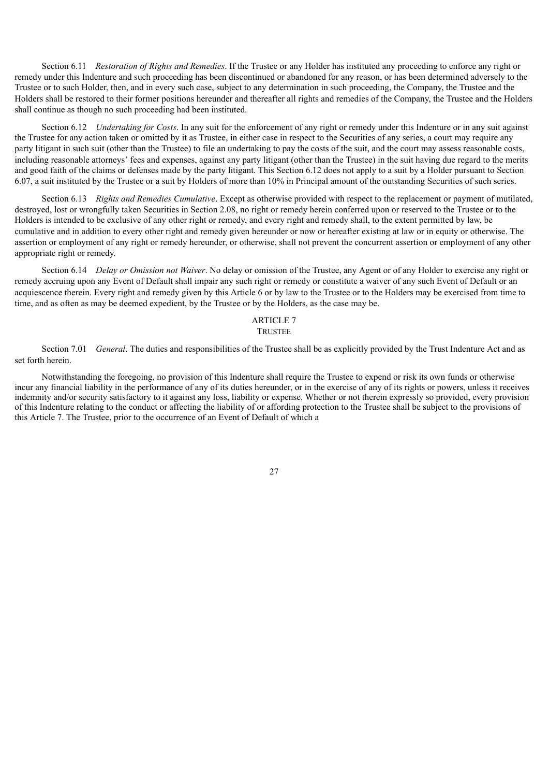Section 6.11 *Restoration of Rights and Remedies*. If the Trustee or any Holder has instituted any proceeding to enforce any right or remedy under this Indenture and such proceeding has been discontinued or abandoned for any reason, or has been determined adversely to the Trustee or to such Holder, then, and in every such case, subject to any determination in such proceeding, the Company, the Trustee and the Holders shall be restored to their former positions hereunder and thereafter all rights and remedies of the Company, the Trustee and the Holders shall continue as though no such proceeding had been instituted.

Section 6.12 *Undertaking for Costs*. In any suit for the enforcement of any right or remedy under this Indenture or in any suit against the Trustee for any action taken or omitted by it as Trustee, in either case in respect to the Securities of any series, a court may require any party litigant in such suit (other than the Trustee) to file an undertaking to pay the costs of the suit, and the court may assess reasonable costs, including reasonable attorneys' fees and expenses, against any party litigant (other than the Trustee) in the suit having due regard to the merits and good faith of the claims or defenses made by the party litigant. This Section 6.12 does not apply to a suit by a Holder pursuant to Section 6.07, a suit instituted by the Trustee or a suit by Holders of more than 10% in Principal amount of the outstanding Securities of such series.

Section 6.13 *Rights and Remedies Cumulative*. Except as otherwise provided with respect to the replacement or payment of mutilated, destroyed, lost or wrongfully taken Securities in Section 2.08, no right or remedy herein conferred upon or reserved to the Trustee or to the Holders is intended to be exclusive of any other right or remedy, and every right and remedy shall, to the extent permitted by law, be cumulative and in addition to every other right and remedy given hereunder or now or hereafter existing at law or in equity or otherwise. The assertion or employment of any right or remedy hereunder, or otherwise, shall not prevent the concurrent assertion or employment of any other appropriate right or remedy.

Section 6.14 *Delay or Omission not Waiver*. No delay or omission of the Trustee, any Agent or of any Holder to exercise any right or remedy accruing upon any Event of Default shall impair any such right or remedy or constitute a waiver of any such Event of Default or an acquiescence therein. Every right and remedy given by this Article 6 or by law to the Trustee or to the Holders may be exercised from time to time, and as often as may be deemed expedient, by the Trustee or by the Holders, as the case may be.

# ARTICLE 7

### **TRUSTEE**

Section 7.01 *General*. The duties and responsibilities of the Trustee shall be as explicitly provided by the Trust Indenture Act and as set forth herein.

Notwithstanding the foregoing, no provision of this Indenture shall require the Trustee to expend or risk its own funds or otherwise incur any financial liability in the performance of any of its duties hereunder, or in the exercise of any of its rights or powers, unless it receives indemnity and/or security satisfactory to it against any loss, liability or expense. Whether or not therein expressly so provided, every provision of this Indenture relating to the conduct or affecting the liability of or affording protection to the Trustee shall be subject to the provisions of this Article 7. The Trustee, prior to the occurrence of an Event of Default of which a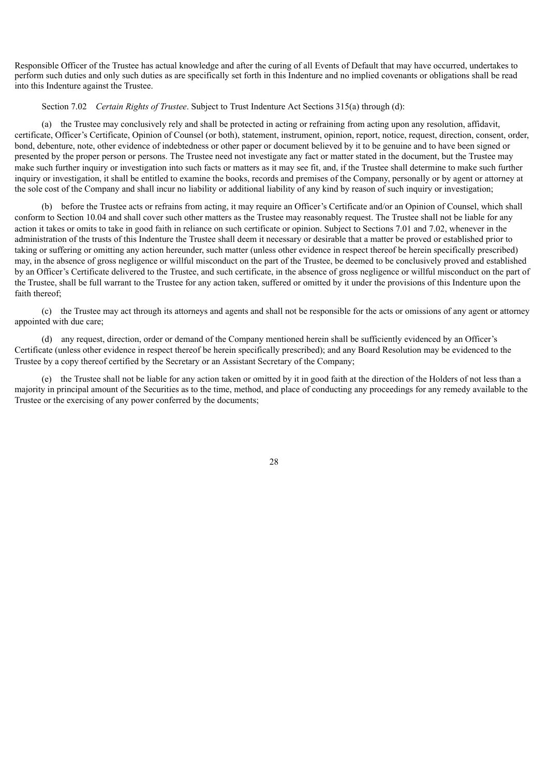Responsible Officer of the Trustee has actual knowledge and after the curing of all Events of Default that may have occurred, undertakes to perform such duties and only such duties as are specifically set forth in this Indenture and no implied covenants or obligations shall be read into this Indenture against the Trustee.

Section 7.02 *Certain Rights of Trustee*. Subject to Trust Indenture Act Sections 315(a) through (d):

(a) the Trustee may conclusively rely and shall be protected in acting or refraining from acting upon any resolution, affidavit, certificate, Officer's Certificate, Opinion of Counsel (or both), statement, instrument, opinion, report, notice, request, direction, consent, order, bond, debenture, note, other evidence of indebtedness or other paper or document believed by it to be genuine and to have been signed or presented by the proper person or persons. The Trustee need not investigate any fact or matter stated in the document, but the Trustee may make such further inquiry or investigation into such facts or matters as it may see fit, and, if the Trustee shall determine to make such further inquiry or investigation, it shall be entitled to examine the books, records and premises of the Company, personally or by agent or attorney at the sole cost of the Company and shall incur no liability or additional liability of any kind by reason of such inquiry or investigation;

(b) before the Trustee acts or refrains from acting, it may require an Officer's Certificate and/or an Opinion of Counsel, which shall conform to Section 10.04 and shall cover such other matters as the Trustee may reasonably request. The Trustee shall not be liable for any action it takes or omits to take in good faith in reliance on such certificate or opinion. Subject to Sections 7.01 and 7.02, whenever in the administration of the trusts of this Indenture the Trustee shall deem it necessary or desirable that a matter be proved or established prior to taking or suffering or omitting any action hereunder, such matter (unless other evidence in respect thereof be herein specifically prescribed) may, in the absence of gross negligence or willful misconduct on the part of the Trustee, be deemed to be conclusively proved and established by an Officer's Certificate delivered to the Trustee, and such certificate, in the absence of gross negligence or willful misconduct on the part of the Trustee, shall be full warrant to the Trustee for any action taken, suffered or omitted by it under the provisions of this Indenture upon the faith thereof<sup>.</sup>

(c) the Trustee may act through its attorneys and agents and shall not be responsible for the acts or omissions of any agent or attorney appointed with due care;

(d) any request, direction, order or demand of the Company mentioned herein shall be sufficiently evidenced by an Officer's Certificate (unless other evidence in respect thereof be herein specifically prescribed); and any Board Resolution may be evidenced to the Trustee by a copy thereof certified by the Secretary or an Assistant Secretary of the Company;

(e) the Trustee shall not be liable for any action taken or omitted by it in good faith at the direction of the Holders of not less than a majority in principal amount of the Securities as to the time, method, and place of conducting any proceedings for any remedy available to the Trustee or the exercising of any power conferred by the documents;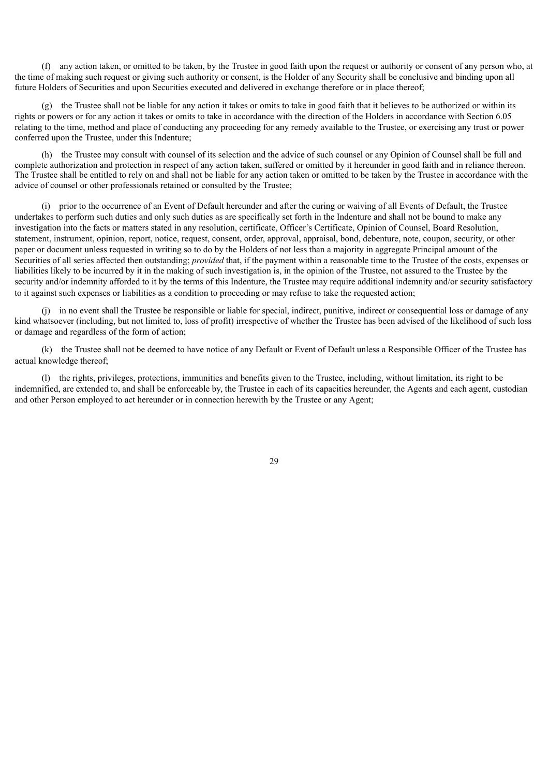(f) any action taken, or omitted to be taken, by the Trustee in good faith upon the request or authority or consent of any person who, at the time of making such request or giving such authority or consent, is the Holder of any Security shall be conclusive and binding upon all future Holders of Securities and upon Securities executed and delivered in exchange therefore or in place thereof;

(g) the Trustee shall not be liable for any action it takes or omits to take in good faith that it believes to be authorized or within its rights or powers or for any action it takes or omits to take in accordance with the direction of the Holders in accordance with Section 6.05 relating to the time, method and place of conducting any proceeding for any remedy available to the Trustee, or exercising any trust or power conferred upon the Trustee, under this Indenture;

(h) the Trustee may consult with counsel of its selection and the advice of such counsel or any Opinion of Counsel shall be full and complete authorization and protection in respect of any action taken, suffered or omitted by it hereunder in good faith and in reliance thereon. The Trustee shall be entitled to rely on and shall not be liable for any action taken or omitted to be taken by the Trustee in accordance with the advice of counsel or other professionals retained or consulted by the Trustee;

(i) prior to the occurrence of an Event of Default hereunder and after the curing or waiving of all Events of Default, the Trustee undertakes to perform such duties and only such duties as are specifically set forth in the Indenture and shall not be bound to make any investigation into the facts or matters stated in any resolution, certificate, Officer's Certificate, Opinion of Counsel, Board Resolution, statement, instrument, opinion, report, notice, request, consent, order, approval, appraisal, bond, debenture, note, coupon, security, or other paper or document unless requested in writing so to do by the Holders of not less than a majority in aggregate Principal amount of the Securities of all series affected then outstanding; *provided* that, if the payment within a reasonable time to the Trustee of the costs, expenses or liabilities likely to be incurred by it in the making of such investigation is, in the opinion of the Trustee, not assured to the Trustee by the security and/or indemnity afforded to it by the terms of this Indenture, the Trustee may require additional indemnity and/or security satisfactory to it against such expenses or liabilities as a condition to proceeding or may refuse to take the requested action;

(j) in no event shall the Trustee be responsible or liable for special, indirect, punitive, indirect or consequential loss or damage of any kind whatsoever (including, but not limited to, loss of profit) irrespective of whether the Trustee has been advised of the likelihood of such loss or damage and regardless of the form of action;

(k) the Trustee shall not be deemed to have notice of any Default or Event of Default unless a Responsible Officer of the Trustee has actual knowledge thereof;

(l) the rights, privileges, protections, immunities and benefits given to the Trustee, including, without limitation, its right to be indemnified, are extended to, and shall be enforceable by, the Trustee in each of its capacities hereunder, the Agents and each agent, custodian and other Person employed to act hereunder or in connection herewith by the Trustee or any Agent;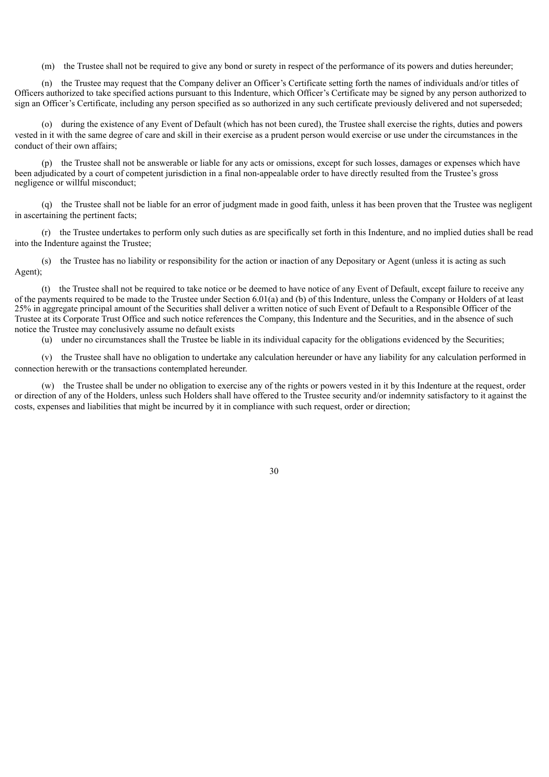(m) the Trustee shall not be required to give any bond or surety in respect of the performance of its powers and duties hereunder;

(n) the Trustee may request that the Company deliver an Officer's Certificate setting forth the names of individuals and/or titles of Officers authorized to take specified actions pursuant to this Indenture, which Officer's Certificate may be signed by any person authorized to sign an Officer's Certificate, including any person specified as so authorized in any such certificate previously delivered and not superseded;

(o) during the existence of any Event of Default (which has not been cured), the Trustee shall exercise the rights, duties and powers vested in it with the same degree of care and skill in their exercise as a prudent person would exercise or use under the circumstances in the conduct of their own affairs;

(p) the Trustee shall not be answerable or liable for any acts or omissions, except for such losses, damages or expenses which have been adjudicated by a court of competent jurisdiction in a final non-appealable order to have directly resulted from the Trustee's gross negligence or willful misconduct;

(q) the Trustee shall not be liable for an error of judgment made in good faith, unless it has been proven that the Trustee was negligent in ascertaining the pertinent facts;

(r) the Trustee undertakes to perform only such duties as are specifically set forth in this Indenture, and no implied duties shall be read into the Indenture against the Trustee;

(s) the Trustee has no liability or responsibility for the action or inaction of any Depositary or Agent (unless it is acting as such Agent);

(t) the Trustee shall not be required to take notice or be deemed to have notice of any Event of Default, except failure to receive any of the payments required to be made to the Trustee under Section 6.01(a) and (b) of this Indenture, unless the Company or Holders of at least 25% in aggregate principal amount of the Securities shall deliver a written notice of such Event of Default to a Responsible Officer of the Trustee at its Corporate Trust Office and such notice references the Company, this Indenture and the Securities, and in the absence of such notice the Trustee may conclusively assume no default exists

(u) under no circumstances shall the Trustee be liable in its individual capacity for the obligations evidenced by the Securities;

(v) the Trustee shall have no obligation to undertake any calculation hereunder or have any liability for any calculation performed in connection herewith or the transactions contemplated hereunder.

(w) the Trustee shall be under no obligation to exercise any of the rights or powers vested in it by this Indenture at the request, order or direction of any of the Holders, unless such Holders shall have offered to the Trustee security and/or indemnity satisfactory to it against the costs, expenses and liabilities that might be incurred by it in compliance with such request, order or direction;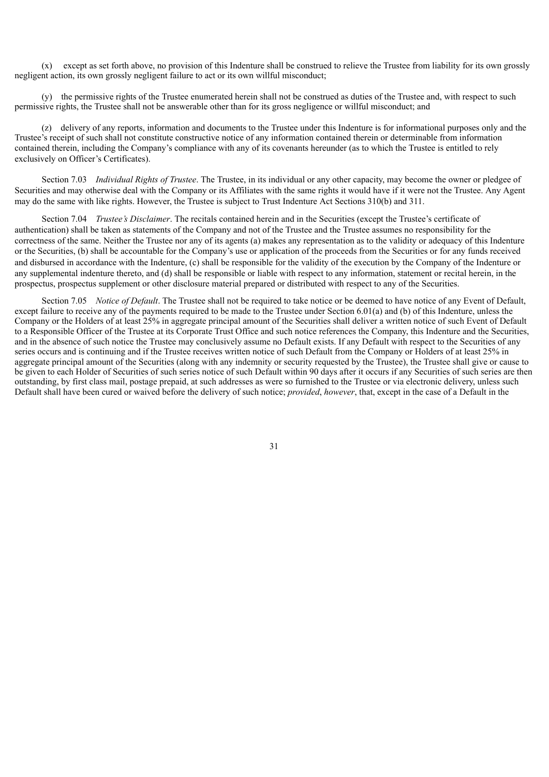(x) except as set forth above, no provision of this Indenture shall be construed to relieve the Trustee from liability for its own grossly negligent action, its own grossly negligent failure to act or its own willful misconduct;

(y) the permissive rights of the Trustee enumerated herein shall not be construed as duties of the Trustee and, with respect to such permissive rights, the Trustee shall not be answerable other than for its gross negligence or willful misconduct; and

(z) delivery of any reports, information and documents to the Trustee under this Indenture is for informational purposes only and the Trustee's receipt of such shall not constitute constructive notice of any information contained therein or determinable from information contained therein, including the Company's compliance with any of its covenants hereunder (as to which the Trustee is entitled to rely exclusively on Officer's Certificates).

Section 7.03 *Individual Rights of Trustee*. The Trustee, in its individual or any other capacity, may become the owner or pledgee of Securities and may otherwise deal with the Company or its Affiliates with the same rights it would have if it were not the Trustee. Any Agent may do the same with like rights. However, the Trustee is subject to Trust Indenture Act Sections 310(b) and 311.

Section 7.04 *Trustee's Disclaimer*. The recitals contained herein and in the Securities (except the Trustee's certificate of authentication) shall be taken as statements of the Company and not of the Trustee and the Trustee assumes no responsibility for the correctness of the same. Neither the Trustee nor any of its agents (a) makes any representation as to the validity or adequacy of this Indenture or the Securities, (b) shall be accountable for the Company's use or application of the proceeds from the Securities or for any funds received and disbursed in accordance with the Indenture, (c) shall be responsible for the validity of the execution by the Company of the Indenture or any supplemental indenture thereto, and (d) shall be responsible or liable with respect to any information, statement or recital herein, in the prospectus, prospectus supplement or other disclosure material prepared or distributed with respect to any of the Securities.

Section 7.05 *Notice of Default*. The Trustee shall not be required to take notice or be deemed to have notice of any Event of Default, except failure to receive any of the payments required to be made to the Trustee under Section 6.01(a) and (b) of this Indenture, unless the Company or the Holders of at least 25% in aggregate principal amount of the Securities shall deliver a written notice of such Event of Default to a Responsible Officer of the Trustee at its Corporate Trust Office and such notice references the Company, this Indenture and the Securities, and in the absence of such notice the Trustee may conclusively assume no Default exists. If any Default with respect to the Securities of any series occurs and is continuing and if the Trustee receives written notice of such Default from the Company or Holders of at least 25% in aggregate principal amount of the Securities (along with any indemnity or security requested by the Trustee), the Trustee shall give or cause to be given to each Holder of Securities of such series notice of such Default within 90 days after it occurs if any Securities of such series are then outstanding, by first class mail, postage prepaid, at such addresses as were so furnished to the Trustee or via electronic delivery, unless such Default shall have been cured or waived before the delivery of such notice; *provided*, *however*, that, except in the case of a Default in the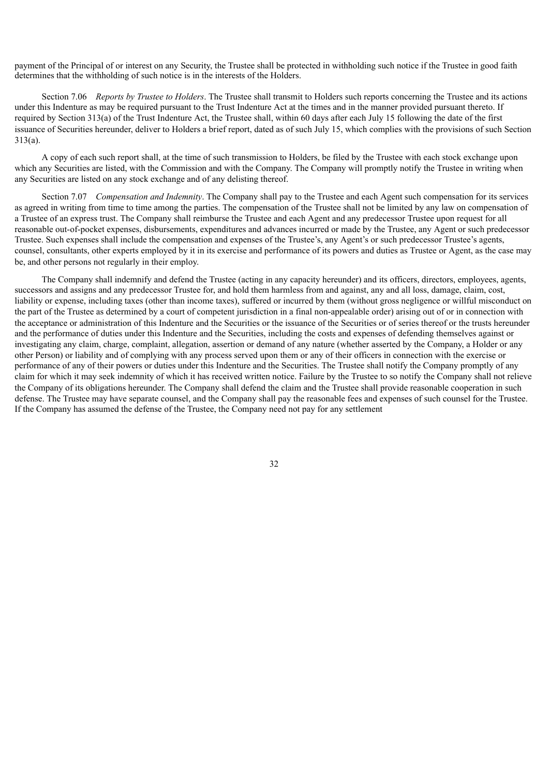payment of the Principal of or interest on any Security, the Trustee shall be protected in withholding such notice if the Trustee in good faith determines that the withholding of such notice is in the interests of the Holders.

Section 7.06 *Reports by Trustee to Holders*. The Trustee shall transmit to Holders such reports concerning the Trustee and its actions under this Indenture as may be required pursuant to the Trust Indenture Act at the times and in the manner provided pursuant thereto. If required by Section 313(a) of the Trust Indenture Act, the Trustee shall, within 60 days after each July 15 following the date of the first issuance of Securities hereunder, deliver to Holders a brief report, dated as of such July 15, which complies with the provisions of such Section 313(a).

A copy of each such report shall, at the time of such transmission to Holders, be filed by the Trustee with each stock exchange upon which any Securities are listed, with the Commission and with the Company. The Company will promptly notify the Trustee in writing when any Securities are listed on any stock exchange and of any delisting thereof.

Section 7.07 *Compensation and Indemnity*. The Company shall pay to the Trustee and each Agent such compensation for its services as agreed in writing from time to time among the parties. The compensation of the Trustee shall not be limited by any law on compensation of a Trustee of an express trust. The Company shall reimburse the Trustee and each Agent and any predecessor Trustee upon request for all reasonable out-of-pocket expenses, disbursements, expenditures and advances incurred or made by the Trustee, any Agent or such predecessor Trustee. Such expenses shall include the compensation and expenses of the Trustee's, any Agent's or such predecessor Trustee's agents, counsel, consultants, other experts employed by it in its exercise and performance of its powers and duties as Trustee or Agent, as the case may be, and other persons not regularly in their employ.

The Company shall indemnify and defend the Trustee (acting in any capacity hereunder) and its officers, directors, employees, agents, successors and assigns and any predecessor Trustee for, and hold them harmless from and against, any and all loss, damage, claim, cost, liability or expense, including taxes (other than income taxes), suffered or incurred by them (without gross negligence or willful misconduct on the part of the Trustee as determined by a court of competent jurisdiction in a final non-appealable order) arising out of or in connection with the acceptance or administration of this Indenture and the Securities or the issuance of the Securities or of series thereof or the trusts hereunder and the performance of duties under this Indenture and the Securities, including the costs and expenses of defending themselves against or investigating any claim, charge, complaint, allegation, assertion or demand of any nature (whether asserted by the Company, a Holder or any other Person) or liability and of complying with any process served upon them or any of their officers in connection with the exercise or performance of any of their powers or duties under this Indenture and the Securities. The Trustee shall notify the Company promptly of any claim for which it may seek indemnity of which it has received written notice. Failure by the Trustee to so notify the Company shall not relieve the Company of its obligations hereunder. The Company shall defend the claim and the Trustee shall provide reasonable cooperation in such defense. The Trustee may have separate counsel, and the Company shall pay the reasonable fees and expenses of such counsel for the Trustee. If the Company has assumed the defense of the Trustee, the Company need not pay for any settlement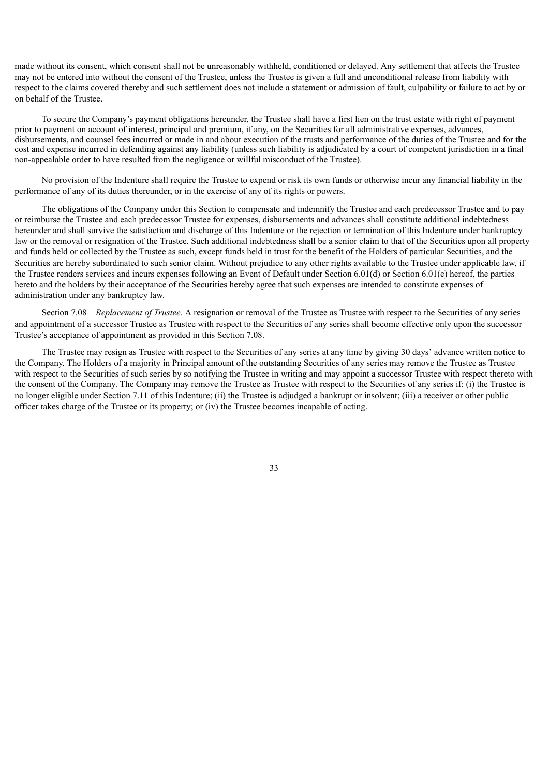made without its consent, which consent shall not be unreasonably withheld, conditioned or delayed. Any settlement that affects the Trustee may not be entered into without the consent of the Trustee, unless the Trustee is given a full and unconditional release from liability with respect to the claims covered thereby and such settlement does not include a statement or admission of fault, culpability or failure to act by or on behalf of the Trustee.

To secure the Company's payment obligations hereunder, the Trustee shall have a first lien on the trust estate with right of payment prior to payment on account of interest, principal and premium, if any, on the Securities for all administrative expenses, advances, disbursements, and counsel fees incurred or made in and about execution of the trusts and performance of the duties of the Trustee and for the cost and expense incurred in defending against any liability (unless such liability is adjudicated by a court of competent jurisdiction in a final non-appealable order to have resulted from the negligence or willful misconduct of the Trustee).

No provision of the Indenture shall require the Trustee to expend or risk its own funds or otherwise incur any financial liability in the performance of any of its duties thereunder, or in the exercise of any of its rights or powers.

The obligations of the Company under this Section to compensate and indemnify the Trustee and each predecessor Trustee and to pay or reimburse the Trustee and each predecessor Trustee for expenses, disbursements and advances shall constitute additional indebtedness hereunder and shall survive the satisfaction and discharge of this Indenture or the rejection or termination of this Indenture under bankruptcy law or the removal or resignation of the Trustee. Such additional indebtedness shall be a senior claim to that of the Securities upon all property and funds held or collected by the Trustee as such, except funds held in trust for the benefit of the Holders of particular Securities, and the Securities are hereby subordinated to such senior claim. Without prejudice to any other rights available to the Trustee under applicable law, if the Trustee renders services and incurs expenses following an Event of Default under Section 6.01(d) or Section 6.01(e) hereof, the parties hereto and the holders by their acceptance of the Securities hereby agree that such expenses are intended to constitute expenses of administration under any bankruptcy law.

Section 7.08 *Replacement of Trustee*. A resignation or removal of the Trustee as Trustee with respect to the Securities of any series and appointment of a successor Trustee as Trustee with respect to the Securities of any series shall become effective only upon the successor Trustee's acceptance of appointment as provided in this Section 7.08.

The Trustee may resign as Trustee with respect to the Securities of any series at any time by giving 30 days' advance written notice to the Company. The Holders of a majority in Principal amount of the outstanding Securities of any series may remove the Trustee as Trustee with respect to the Securities of such series by so notifying the Trustee in writing and may appoint a successor Trustee with respect thereto with the consent of the Company. The Company may remove the Trustee as Trustee with respect to the Securities of any series if: (i) the Trustee is no longer eligible under Section 7.11 of this Indenture; (ii) the Trustee is adjudged a bankrupt or insolvent; (iii) a receiver or other public officer takes charge of the Trustee or its property; or (iv) the Trustee becomes incapable of acting.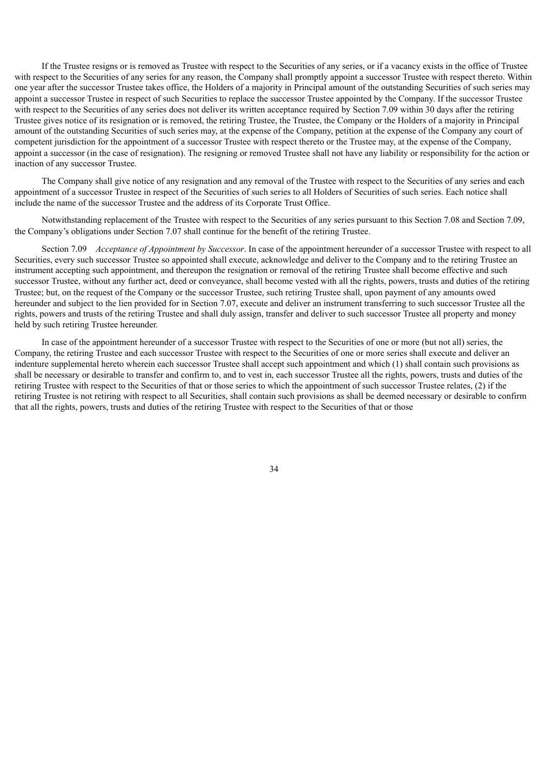If the Trustee resigns or is removed as Trustee with respect to the Securities of any series, or if a vacancy exists in the office of Trustee with respect to the Securities of any series for any reason, the Company shall promptly appoint a successor Trustee with respect thereto. Within one year after the successor Trustee takes office, the Holders of a majority in Principal amount of the outstanding Securities of such series may appoint a successor Trustee in respect of such Securities to replace the successor Trustee appointed by the Company. If the successor Trustee with respect to the Securities of any series does not deliver its written acceptance required by Section 7.09 within 30 days after the retiring Trustee gives notice of its resignation or is removed, the retiring Trustee, the Trustee, the Company or the Holders of a majority in Principal amount of the outstanding Securities of such series may, at the expense of the Company, petition at the expense of the Company any court of competent jurisdiction for the appointment of a successor Trustee with respect thereto or the Trustee may, at the expense of the Company, appoint a successor (in the case of resignation). The resigning or removed Trustee shall not have any liability or responsibility for the action or inaction of any successor Trustee.

The Company shall give notice of any resignation and any removal of the Trustee with respect to the Securities of any series and each appointment of a successor Trustee in respect of the Securities of such series to all Holders of Securities of such series. Each notice shall include the name of the successor Trustee and the address of its Corporate Trust Office.

Notwithstanding replacement of the Trustee with respect to the Securities of any series pursuant to this Section 7.08 and Section 7.09, the Company's obligations under Section 7.07 shall continue for the benefit of the retiring Trustee.

Section 7.09 *Acceptance of Appointment by Successor*. In case of the appointment hereunder of a successor Trustee with respect to all Securities, every such successor Trustee so appointed shall execute, acknowledge and deliver to the Company and to the retiring Trustee an instrument accepting such appointment, and thereupon the resignation or removal of the retiring Trustee shall become effective and such successor Trustee, without any further act, deed or conveyance, shall become vested with all the rights, powers, trusts and duties of the retiring Trustee; but, on the request of the Company or the successor Trustee, such retiring Trustee shall, upon payment of any amounts owed hereunder and subject to the lien provided for in Section 7.07, execute and deliver an instrument transferring to such successor Trustee all the rights, powers and trusts of the retiring Trustee and shall duly assign, transfer and deliver to such successor Trustee all property and money held by such retiring Trustee hereunder.

In case of the appointment hereunder of a successor Trustee with respect to the Securities of one or more (but not all) series, the Company, the retiring Trustee and each successor Trustee with respect to the Securities of one or more series shall execute and deliver an indenture supplemental hereto wherein each successor Trustee shall accept such appointment and which (1) shall contain such provisions as shall be necessary or desirable to transfer and confirm to, and to vest in, each successor Trustee all the rights, powers, trusts and duties of the retiring Trustee with respect to the Securities of that or those series to which the appointment of such successor Trustee relates, (2) if the retiring Trustee is not retiring with respect to all Securities, shall contain such provisions as shall be deemed necessary or desirable to confirm that all the rights, powers, trusts and duties of the retiring Trustee with respect to the Securities of that or those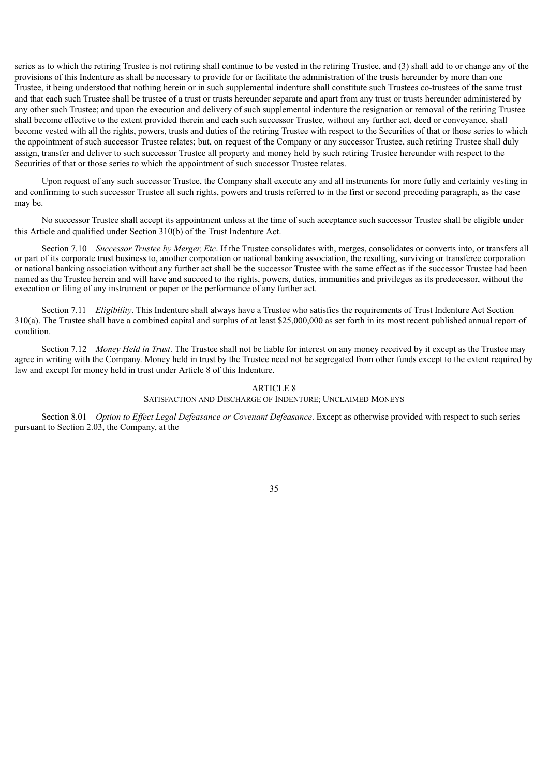series as to which the retiring Trustee is not retiring shall continue to be vested in the retiring Trustee, and (3) shall add to or change any of the provisions of this Indenture as shall be necessary to provide for or facilitate the administration of the trusts hereunder by more than one Trustee, it being understood that nothing herein or in such supplemental indenture shall constitute such Trustees co-trustees of the same trust and that each such Trustee shall be trustee of a trust or trusts hereunder separate and apart from any trust or trusts hereunder administered by any other such Trustee; and upon the execution and delivery of such supplemental indenture the resignation or removal of the retiring Trustee shall become effective to the extent provided therein and each such successor Trustee, without any further act, deed or conveyance, shall become vested with all the rights, powers, trusts and duties of the retiring Trustee with respect to the Securities of that or those series to which the appointment of such successor Trustee relates; but, on request of the Company or any successor Trustee, such retiring Trustee shall duly assign, transfer and deliver to such successor Trustee all property and money held by such retiring Trustee hereunder with respect to the Securities of that or those series to which the appointment of such successor Trustee relates.

Upon request of any such successor Trustee, the Company shall execute any and all instruments for more fully and certainly vesting in and confirming to such successor Trustee all such rights, powers and trusts referred to in the first or second preceding paragraph, as the case may be.

No successor Trustee shall accept its appointment unless at the time of such acceptance such successor Trustee shall be eligible under this Article and qualified under Section 310(b) of the Trust Indenture Act.

Section 7.10 *Successor Trustee by Merger, Etc.* If the Trustee consolidates with, merges, consolidates or converts into, or transfers all or part of its corporate trust business to, another corporation or national banking association, the resulting, surviving or transferee corporation or national banking association without any further act shall be the successor Trustee with the same effect as if the successor Trustee had been named as the Trustee herein and will have and succeed to the rights, powers, duties, immunities and privileges as its predecessor, without the execution or filing of any instrument or paper or the performance of any further act.

Section 7.11 *Eligibility*. This Indenture shall always have a Trustee who satisfies the requirements of Trust Indenture Act Section 310(a). The Trustee shall have a combined capital and surplus of at least \$25,000,000 as set forth in its most recent published annual report of condition.

Section 7.12 *Money Held in Trust*. The Trustee shall not be liable for interest on any money received by it except as the Trustee may agree in writing with the Company. Money held in trust by the Trustee need not be segregated from other funds except to the extent required by law and except for money held in trust under Article 8 of this Indenture.

# ARTICLE 8

### SATISFACTION AND DISCHARGE OF INDENTURE; UNCLAIMED MONEYS

Section 8.01 *Option to Effect Legal Defeasance or Covenant Defeasance*. Except as otherwise provided with respect to such series pursuant to Section 2.03, the Company, at the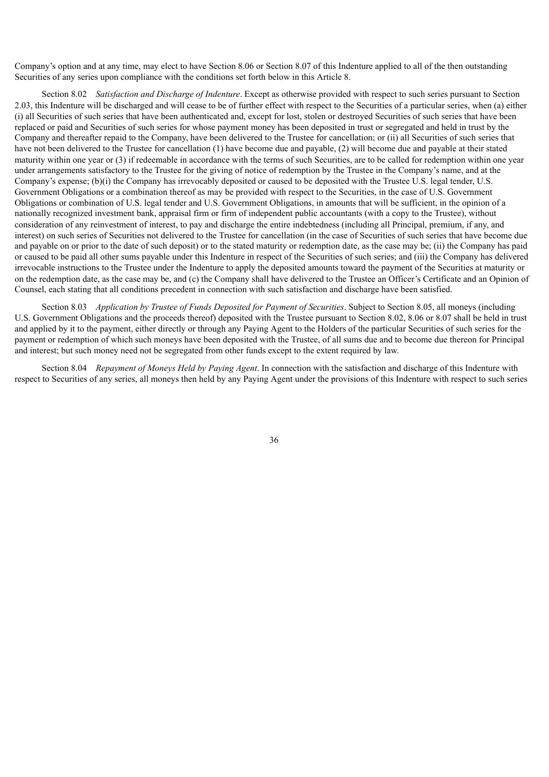Company's option and at any time, may elect to have Section 8.06 or Section 8.07 of this Indenture applied to all of the then outstanding Securities of any series upon compliance with the conditions set forth below in this Article 8.

Section 8.02 *Satisfaction and Discharge of Indenture*. Except as otherwise provided with respect to such series pursuant to Section 2.03, this Indenture will be discharged and will cease to be of further effect with respect to the Securities of a particular series, when (a) either (i) all Securities of such series that have been authenticated and, except for lost, stolen or destroyed Securities of such series that have been replaced or paid and Securities of such series for whose payment money has been deposited in trust or segregated and held in trust by the Company and thereafter repaid to the Company, have been delivered to the Trustee for cancellation; or (ii) all Securities of such series that have not been delivered to the Trustee for cancellation (1) have become due and payable, (2) will become due and payable at their stated maturity within one year or (3) if redeemable in accordance with the terms of such Securities, are to be called for redemption within one year under arrangements satisfactory to the Trustee for the giving of notice of redemption by the Trustee in the Company's name, and at the Company's expense; (b)(i) the Company has irrevocably deposited or caused to be deposited with the Trustee U.S. legal tender, U.S. Government Obligations or a combination thereof as may be provided with respect to the Securities, in the case of U.S. Government Obligations or combination of U.S. legal tender and U.S. Government Obligations, in amounts that will be sufficient, in the opinion of a nationally recognized investment bank, appraisal firm or firm of independent public accountants (with a copy to the Trustee), without consideration of any reinvestment of interest, to pay and discharge the entire indebtedness (including all Principal, premium, if any, and interest) on such series of Securities not delivered to the Trustee for cancellation (in the case of Securities of such series that have become due and payable on or prior to the date of such deposit) or to the stated maturity or redemption date, as the case may be; (ii) the Company has paid or caused to be paid all other sums payable under this Indenture in respect of the Securities of such series; and (iii) the Company has delivered irrevocable instructions to the Trustee under the Indenture to apply the deposited amounts toward the payment of the Securities at maturity or on the redemption date, as the case may be, and (c) the Company shall have delivered to the Trustee an Officer's Certificate and an Opinion of Counsel, each stating that all conditions precedent in connection with such satisfaction and discharge have been satisfied.

Section 8.03 *Application by Trustee of Funds Deposited for Payment of Securities*. Subject to Section 8.05, all moneys (including U.S. Government Obligations and the proceeds thereof) deposited with the Trustee pursuant to Section 8.02, 8.06 or 8.07 shall be held in trust and applied by it to the payment, either directly or through any Paying Agent to the Holders of the particular Securities of such series for the payment or redemption of which such moneys have been deposited with the Trustee, of all sums due and to become due thereon for Principal and interest; but such money need not be segregated from other funds except to the extent required by law.

Section 8.04 *Repayment of Moneys Held by Paying Agent*. In connection with the satisfaction and discharge of this Indenture with respect to Securities of any series, all moneys then held by any Paying Agent under the provisions of this Indenture with respect to such series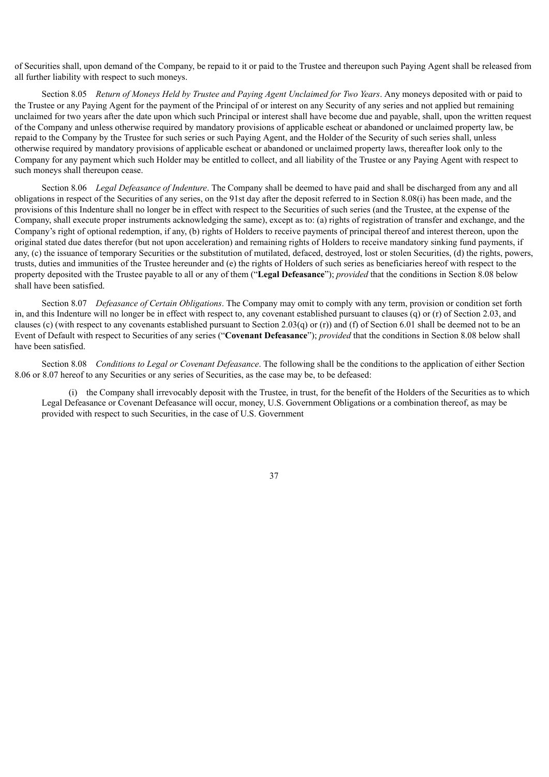of Securities shall, upon demand of the Company, be repaid to it or paid to the Trustee and thereupon such Paying Agent shall be released from all further liability with respect to such moneys.

Section 8.05 *Return of Moneys Held by Trustee and Paying Agent Unclaimed for Two Years*. Any moneys deposited with or paid to the Trustee or any Paying Agent for the payment of the Principal of or interest on any Security of any series and not applied but remaining unclaimed for two years after the date upon which such Principal or interest shall have become due and payable, shall, upon the written request of the Company and unless otherwise required by mandatory provisions of applicable escheat or abandoned or unclaimed property law, be repaid to the Company by the Trustee for such series or such Paying Agent, and the Holder of the Security of such series shall, unless otherwise required by mandatory provisions of applicable escheat or abandoned or unclaimed property laws, thereafter look only to the Company for any payment which such Holder may be entitled to collect, and all liability of the Trustee or any Paying Agent with respect to such moneys shall thereupon cease.

Section 8.06 *Legal Defeasance of Indenture*. The Company shall be deemed to have paid and shall be discharged from any and all obligations in respect of the Securities of any series, on the 91st day after the deposit referred to in Section 8.08(i) has been made, and the provisions of this Indenture shall no longer be in effect with respect to the Securities of such series (and the Trustee, at the expense of the Company, shall execute proper instruments acknowledging the same), except as to: (a) rights of registration of transfer and exchange, and the Company's right of optional redemption, if any, (b) rights of Holders to receive payments of principal thereof and interest thereon, upon the original stated due dates therefor (but not upon acceleration) and remaining rights of Holders to receive mandatory sinking fund payments, if any, (c) the issuance of temporary Securities or the substitution of mutilated, defaced, destroyed, lost or stolen Securities, (d) the rights, powers, trusts, duties and immunities of the Trustee hereunder and (e) the rights of Holders of such series as beneficiaries hereof with respect to the property deposited with the Trustee payable to all or any of them ("**Legal Defeasance**"); *provided* that the conditions in Section 8.08 below shall have been satisfied.

Section 8.07 *Defeasance of Certain Obligations*. The Company may omit to comply with any term, provision or condition set forth in, and this Indenture will no longer be in effect with respect to, any covenant established pursuant to clauses (q) or (r) of Section 2.03, and clauses (c) (with respect to any covenants established pursuant to Section 2.03(q) or (r)) and (f) of Section 6.01 shall be deemed not to be an Event of Default with respect to Securities of any series ("**Covenant Defeasance**"); *provided* that the conditions in Section 8.08 below shall have been satisfied.

Section 8.08 *Conditions to Legal or Covenant Defeasance*. The following shall be the conditions to the application of either Section 8.06 or 8.07 hereof to any Securities or any series of Securities, as the case may be, to be defeased:

(i) the Company shall irrevocably deposit with the Trustee, in trust, for the benefit of the Holders of the Securities as to which Legal Defeasance or Covenant Defeasance will occur, money, U.S. Government Obligations or a combination thereof, as may be provided with respect to such Securities, in the case of U.S. Government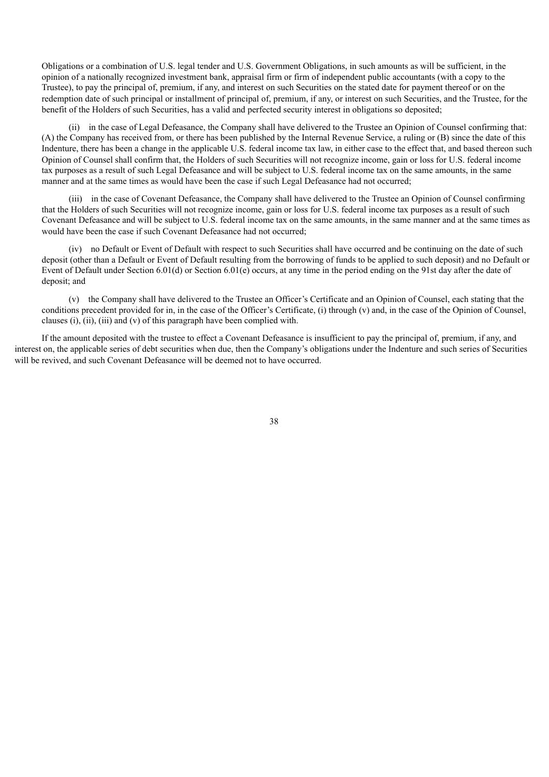Obligations or a combination of U.S. legal tender and U.S. Government Obligations, in such amounts as will be sufficient, in the opinion of a nationally recognized investment bank, appraisal firm or firm of independent public accountants (with a copy to the Trustee), to pay the principal of, premium, if any, and interest on such Securities on the stated date for payment thereof or on the redemption date of such principal or installment of principal of, premium, if any, or interest on such Securities, and the Trustee, for the benefit of the Holders of such Securities, has a valid and perfected security interest in obligations so deposited;

(ii) in the case of Legal Defeasance, the Company shall have delivered to the Trustee an Opinion of Counsel confirming that: (A) the Company has received from, or there has been published by the Internal Revenue Service, a ruling or (B) since the date of this Indenture, there has been a change in the applicable U.S. federal income tax law, in either case to the effect that, and based thereon such Opinion of Counsel shall confirm that, the Holders of such Securities will not recognize income, gain or loss for U.S. federal income tax purposes as a result of such Legal Defeasance and will be subject to U.S. federal income tax on the same amounts, in the same manner and at the same times as would have been the case if such Legal Defeasance had not occurred;

(iii) in the case of Covenant Defeasance, the Company shall have delivered to the Trustee an Opinion of Counsel confirming that the Holders of such Securities will not recognize income, gain or loss for U.S. federal income tax purposes as a result of such Covenant Defeasance and will be subject to U.S. federal income tax on the same amounts, in the same manner and at the same times as would have been the case if such Covenant Defeasance had not occurred;

(iv) no Default or Event of Default with respect to such Securities shall have occurred and be continuing on the date of such deposit (other than a Default or Event of Default resulting from the borrowing of funds to be applied to such deposit) and no Default or Event of Default under Section 6.01(d) or Section 6.01(e) occurs, at any time in the period ending on the 91st day after the date of deposit; and

(v) the Company shall have delivered to the Trustee an Officer's Certificate and an Opinion of Counsel, each stating that the conditions precedent provided for in, in the case of the Officer's Certificate, (i) through (v) and, in the case of the Opinion of Counsel, clauses (i), (ii), (iii) and (v) of this paragraph have been complied with.

If the amount deposited with the trustee to effect a Covenant Defeasance is insufficient to pay the principal of, premium, if any, and interest on, the applicable series of debt securities when due, then the Company's obligations under the Indenture and such series of Securities will be revived, and such Covenant Defeasance will be deemed not to have occurred.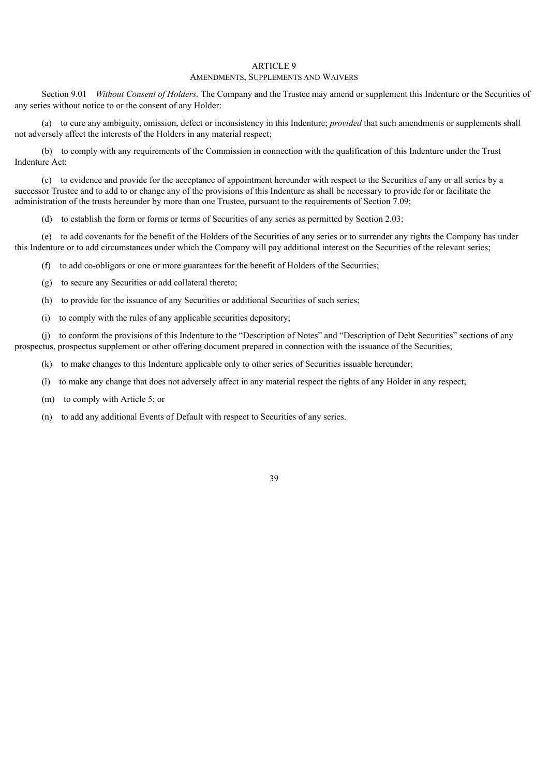#### ARTICLE 9 AMENDMENTS, SUPPLEMENTS AND WAIVERS

Section 9.01 *Without Consent of Holders.* The Company and the Trustee may amend or supplement this Indenture or the Securities of any series without notice to or the consent of any Holder:

(a) to cure any ambiguity, omission, defect or inconsistency in this Indenture; *provided* that such amendments or supplements shall not adversely affect the interests of the Holders in any material respect;

(b) to comply with any requirements of the Commission in connection with the qualification of this Indenture under the Trust Indenture Act;

(c) to evidence and provide for the acceptance of appointment hereunder with respect to the Securities of any or all series by a successor Trustee and to add to or change any of the provisions of this Indenture as shall be necessary to provide for or facilitate the administration of the trusts hereunder by more than one Trustee, pursuant to the requirements of Section 7.09;

(d) to establish the form or forms or terms of Securities of any series as permitted by Section 2.03;

(e) to add covenants for the benefit of the Holders of the Securities of any series or to surrender any rights the Company has under this Indenture or to add circumstances under which the Company will pay additional interest on the Securities of the relevant series;

(f) to add co-obligors or one or more guarantees for the benefit of Holders of the Securities;

(g) to secure any Securities or add collateral thereto;

(h) to provide for the issuance of any Securities or additional Securities of such series;

(i) to comply with the rules of any applicable securities depository;

(j) to conform the provisions of this Indenture to the "Description of Notes" and "Description of Debt Securities" sections of any prospectus, prospectus supplement or other offering document prepared in connection with the issuance of the Securities;

(k) to make changes to this Indenture applicable only to other series of Securities issuable hereunder;

(l) to make any change that does not adversely affect in any material respect the rights of any Holder in any respect;

(m) to comply with Article 5; or

(n) to add any additional Events of Default with respect to Securities of any series.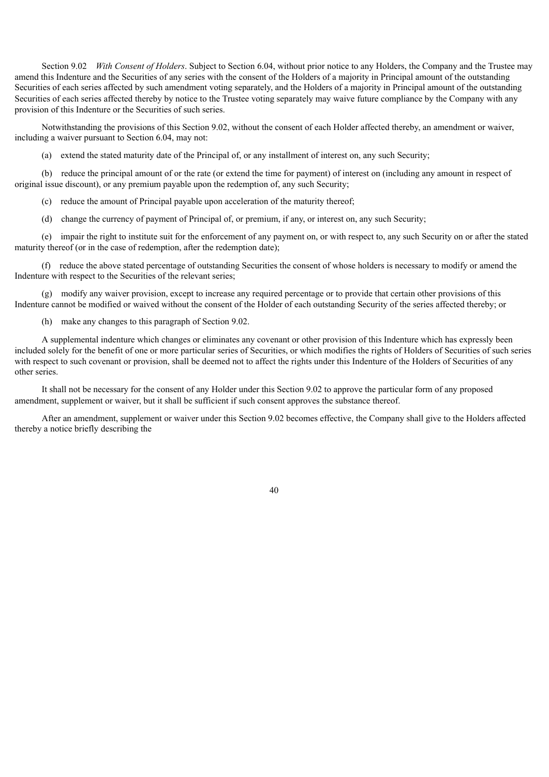Section 9.02 *With Consent of Holders*. Subject to Section 6.04, without prior notice to any Holders, the Company and the Trustee may amend this Indenture and the Securities of any series with the consent of the Holders of a majority in Principal amount of the outstanding Securities of each series affected by such amendment voting separately, and the Holders of a majority in Principal amount of the outstanding Securities of each series affected thereby by notice to the Trustee voting separately may waive future compliance by the Company with any provision of this Indenture or the Securities of such series.

Notwithstanding the provisions of this Section 9.02, without the consent of each Holder affected thereby, an amendment or waiver, including a waiver pursuant to Section 6.04, may not:

(a) extend the stated maturity date of the Principal of, or any installment of interest on, any such Security;

(b) reduce the principal amount of or the rate (or extend the time for payment) of interest on (including any amount in respect of original issue discount), or any premium payable upon the redemption of, any such Security;

(c) reduce the amount of Principal payable upon acceleration of the maturity thereof;

(d) change the currency of payment of Principal of, or premium, if any, or interest on, any such Security;

(e) impair the right to institute suit for the enforcement of any payment on, or with respect to, any such Security on or after the stated maturity thereof (or in the case of redemption, after the redemption date);

(f) reduce the above stated percentage of outstanding Securities the consent of whose holders is necessary to modify or amend the Indenture with respect to the Securities of the relevant series;

(g) modify any waiver provision, except to increase any required percentage or to provide that certain other provisions of this Indenture cannot be modified or waived without the consent of the Holder of each outstanding Security of the series affected thereby; or

(h) make any changes to this paragraph of Section 9.02.

A supplemental indenture which changes or eliminates any covenant or other provision of this Indenture which has expressly been included solely for the benefit of one or more particular series of Securities, or which modifies the rights of Holders of Securities of such series with respect to such covenant or provision, shall be deemed not to affect the rights under this Indenture of the Holders of Securities of any other series.

It shall not be necessary for the consent of any Holder under this Section 9.02 to approve the particular form of any proposed amendment, supplement or waiver, but it shall be sufficient if such consent approves the substance thereof.

After an amendment, supplement or waiver under this Section 9.02 becomes effective, the Company shall give to the Holders affected thereby a notice briefly describing the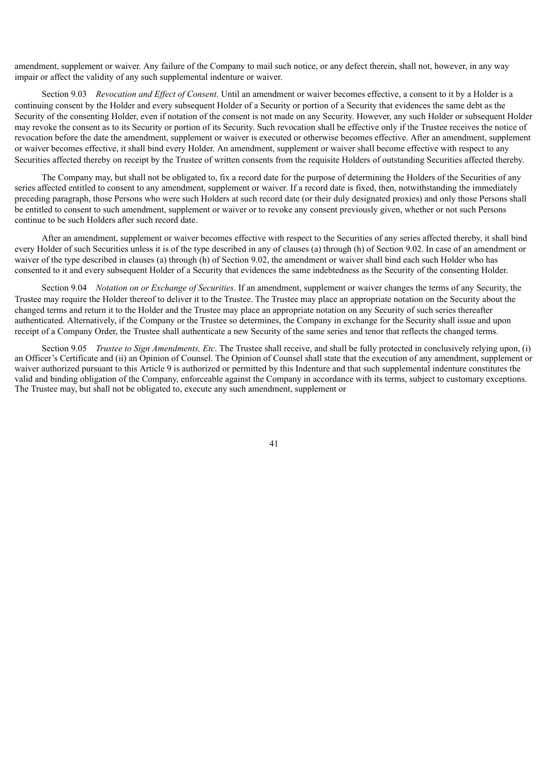amendment, supplement or waiver. Any failure of the Company to mail such notice, or any defect therein, shall not, however, in any way impair or affect the validity of any such supplemental indenture or waiver.

Section 9.03 *Revocation and Effect of Consent*. Until an amendment or waiver becomes effective, a consent to it by a Holder is a continuing consent by the Holder and every subsequent Holder of a Security or portion of a Security that evidences the same debt as the Security of the consenting Holder, even if notation of the consent is not made on any Security. However, any such Holder or subsequent Holder may revoke the consent as to its Security or portion of its Security. Such revocation shall be effective only if the Trustee receives the notice of revocation before the date the amendment, supplement or waiver is executed or otherwise becomes effective. After an amendment, supplement or waiver becomes effective, it shall bind every Holder. An amendment, supplement or waiver shall become effective with respect to any Securities affected thereby on receipt by the Trustee of written consents from the requisite Holders of outstanding Securities affected thereby.

The Company may, but shall not be obligated to, fix a record date for the purpose of determining the Holders of the Securities of any series affected entitled to consent to any amendment, supplement or waiver. If a record date is fixed, then, notwithstanding the immediately preceding paragraph, those Persons who were such Holders at such record date (or their duly designated proxies) and only those Persons shall be entitled to consent to such amendment, supplement or waiver or to revoke any consent previously given, whether or not such Persons continue to be such Holders after such record date.

After an amendment, supplement or waiver becomes effective with respect to the Securities of any series affected thereby, it shall bind every Holder of such Securities unless it is of the type described in any of clauses (a) through (h) of Section 9.02. In case of an amendment or waiver of the type described in clauses (a) through (h) of Section 9.02, the amendment or waiver shall bind each such Holder who has consented to it and every subsequent Holder of a Security that evidences the same indebtedness as the Security of the consenting Holder.

Section 9.04 *Notation on or Exchange of Securities*. If an amendment, supplement or waiver changes the terms of any Security, the Trustee may require the Holder thereof to deliver it to the Trustee. The Trustee may place an appropriate notation on the Security about the changed terms and return it to the Holder and the Trustee may place an appropriate notation on any Security of such series thereafter authenticated. Alternatively, if the Company or the Trustee so determines, the Company in exchange for the Security shall issue and upon receipt of a Company Order, the Trustee shall authenticate a new Security of the same series and tenor that reflects the changed terms.

Section 9.05 *Trustee to Sign Amendments, Etc*. The Trustee shall receive, and shall be fully protected in conclusively relying upon, (i) an Officer's Certificate and (ii) an Opinion of Counsel. The Opinion of Counsel shall state that the execution of any amendment, supplement or waiver authorized pursuant to this Article 9 is authorized or permitted by this Indenture and that such supplemental indenture constitutes the valid and binding obligation of the Company, enforceable against the Company in accordance with its terms, subject to customary exceptions. The Trustee may, but shall not be obligated to, execute any such amendment, supplement or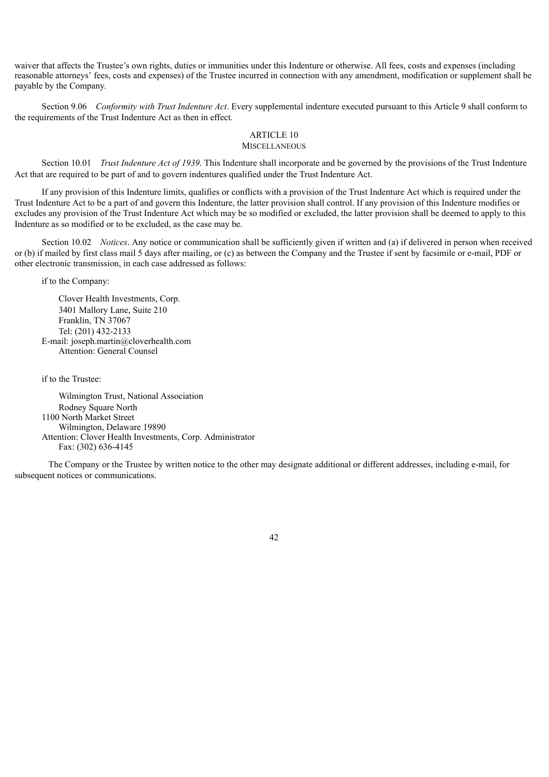waiver that affects the Trustee's own rights, duties or immunities under this Indenture or otherwise. All fees, costs and expenses (including reasonable attorneys' fees, costs and expenses) of the Trustee incurred in connection with any amendment, modification or supplement shall be payable by the Company.

Section 9.06 *Conformity with Trust Indenture Act*. Every supplemental indenture executed pursuant to this Article 9 shall conform to the requirements of the Trust Indenture Act as then in effect.

### ARTICLE 10

# **MISCELLANEOUS**

Section 10.01 *Trust Indenture Act of 1939*. This Indenture shall incorporate and be governed by the provisions of the Trust Indenture Act that are required to be part of and to govern indentures qualified under the Trust Indenture Act.

If any provision of this Indenture limits, qualifies or conflicts with a provision of the Trust Indenture Act which is required under the Trust Indenture Act to be a part of and govern this Indenture, the latter provision shall control. If any provision of this Indenture modifies or excludes any provision of the Trust Indenture Act which may be so modified or excluded, the latter provision shall be deemed to apply to this Indenture as so modified or to be excluded, as the case may be.

Section 10.02 *Notices*. Any notice or communication shall be sufficiently given if written and (a) if delivered in person when received or (b) if mailed by first class mail 5 days after mailing, or (c) as between the Company and the Trustee if sent by facsimile or e-mail, PDF or other electronic transmission, in each case addressed as follows:

if to the Company:

Clover Health Investments, Corp. 3401 Mallory Lane, Suite 210 Franklin, TN 37067 Tel: (201) 432-2133 E-mail: joseph.martin@cloverhealth.com Attention: General Counsel

if to the Trustee:

Wilmington Trust, National Association Rodney Square North 1100 North Market Street Wilmington, Delaware 19890 Attention: Clover Health Investments, Corp. Administrator Fax: (302) 636-4145

The Company or the Trustee by written notice to the other may designate additional or different addresses, including e-mail, for subsequent notices or communications.

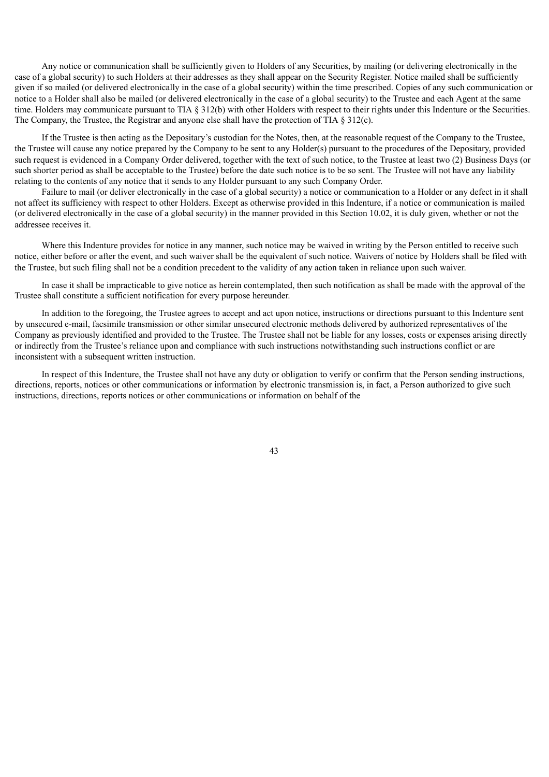Any notice or communication shall be sufficiently given to Holders of any Securities, by mailing (or delivering electronically in the case of a global security) to such Holders at their addresses as they shall appear on the Security Register. Notice mailed shall be sufficiently given if so mailed (or delivered electronically in the case of a global security) within the time prescribed. Copies of any such communication or notice to a Holder shall also be mailed (or delivered electronically in the case of a global security) to the Trustee and each Agent at the same time. Holders may communicate pursuant to TIA § 312(b) with other Holders with respect to their rights under this Indenture or the Securities. The Company, the Trustee, the Registrar and anyone else shall have the protection of TIA  $\S 312(c)$ .

If the Trustee is then acting as the Depositary's custodian for the Notes, then, at the reasonable request of the Company to the Trustee, the Trustee will cause any notice prepared by the Company to be sent to any Holder(s) pursuant to the procedures of the Depositary, provided such request is evidenced in a Company Order delivered, together with the text of such notice, to the Trustee at least two (2) Business Days (or such shorter period as shall be acceptable to the Trustee) before the date such notice is to be so sent. The Trustee will not have any liability relating to the contents of any notice that it sends to any Holder pursuant to any such Company Order.

Failure to mail (or deliver electronically in the case of a global security) a notice or communication to a Holder or any defect in it shall not affect its sufficiency with respect to other Holders. Except as otherwise provided in this Indenture, if a notice or communication is mailed (or delivered electronically in the case of a global security) in the manner provided in this Section 10.02, it is duly given, whether or not the addressee receives it.

Where this Indenture provides for notice in any manner, such notice may be waived in writing by the Person entitled to receive such notice, either before or after the event, and such waiver shall be the equivalent of such notice. Waivers of notice by Holders shall be filed with the Trustee, but such filing shall not be a condition precedent to the validity of any action taken in reliance upon such waiver.

In case it shall be impracticable to give notice as herein contemplated, then such notification as shall be made with the approval of the Trustee shall constitute a sufficient notification for every purpose hereunder.

In addition to the foregoing, the Trustee agrees to accept and act upon notice, instructions or directions pursuant to this Indenture sent by unsecured e-mail, facsimile transmission or other similar unsecured electronic methods delivered by authorized representatives of the Company as previously identified and provided to the Trustee. The Trustee shall not be liable for any losses, costs or expenses arising directly or indirectly from the Trustee's reliance upon and compliance with such instructions notwithstanding such instructions conflict or are inconsistent with a subsequent written instruction.

In respect of this Indenture, the Trustee shall not have any duty or obligation to verify or confirm that the Person sending instructions, directions, reports, notices or other communications or information by electronic transmission is, in fact, a Person authorized to give such instructions, directions, reports notices or other communications or information on behalf of the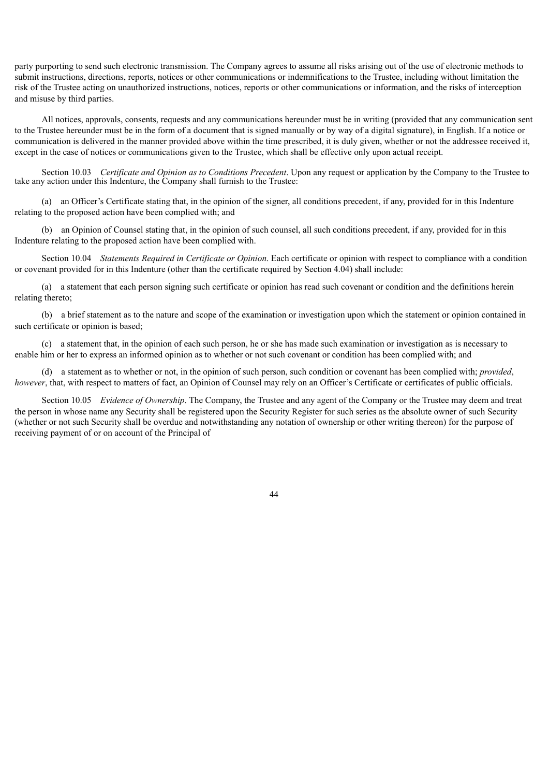party purporting to send such electronic transmission. The Company agrees to assume all risks arising out of the use of electronic methods to submit instructions, directions, reports, notices or other communications or indemnifications to the Trustee, including without limitation the risk of the Trustee acting on unauthorized instructions, notices, reports or other communications or information, and the risks of interception and misuse by third parties.

All notices, approvals, consents, requests and any communications hereunder must be in writing (provided that any communication sent to the Trustee hereunder must be in the form of a document that is signed manually or by way of a digital signature), in English. If a notice or communication is delivered in the manner provided above within the time prescribed, it is duly given, whether or not the addressee received it, except in the case of notices or communications given to the Trustee, which shall be effective only upon actual receipt.

Section 10.03 *Certificate and Opinion as to Conditions Precedent*. Upon any request or application by the Company to the Trustee to take any action under this Indenture, the Company shall furnish to the Trustee:

(a) an Officer's Certificate stating that, in the opinion of the signer, all conditions precedent, if any, provided for in this Indenture relating to the proposed action have been complied with; and

(b) an Opinion of Counsel stating that, in the opinion of such counsel, all such conditions precedent, if any, provided for in this Indenture relating to the proposed action have been complied with.

Section 10.04 *Statements Required in Certificate or Opinion*. Each certificate or opinion with respect to compliance with a condition or covenant provided for in this Indenture (other than the certificate required by Section 4.04) shall include:

(a) a statement that each person signing such certificate or opinion has read such covenant or condition and the definitions herein relating thereto;

(b) a brief statement as to the nature and scope of the examination or investigation upon which the statement or opinion contained in such certificate or opinion is based;

(c) a statement that, in the opinion of each such person, he or she has made such examination or investigation as is necessary to enable him or her to express an informed opinion as to whether or not such covenant or condition has been complied with; and

(d) a statement as to whether or not, in the opinion of such person, such condition or covenant has been complied with; *provided*, *however*, that, with respect to matters of fact, an Opinion of Counsel may rely on an Officer's Certificate or certificates of public officials.

Section 10.05 *Evidence of Ownership*. The Company, the Trustee and any agent of the Company or the Trustee may deem and treat the person in whose name any Security shall be registered upon the Security Register for such series as the absolute owner of such Security (whether or not such Security shall be overdue and notwithstanding any notation of ownership or other writing thereon) for the purpose of receiving payment of or on account of the Principal of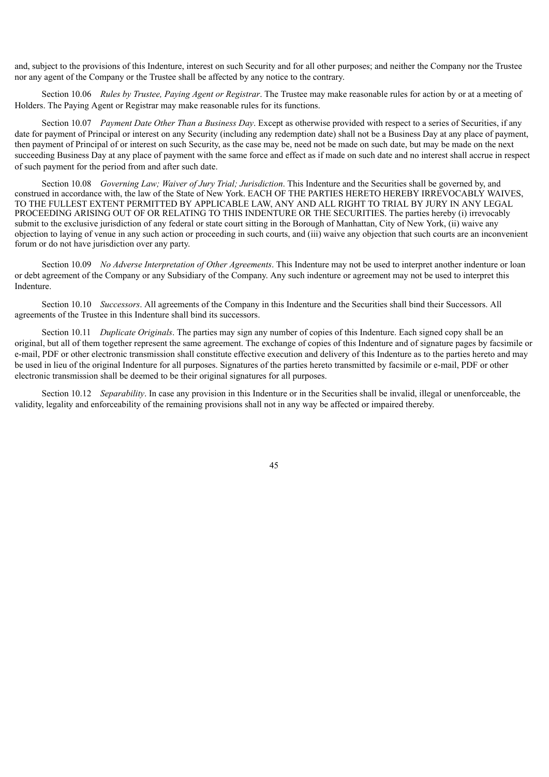and, subject to the provisions of this Indenture, interest on such Security and for all other purposes; and neither the Company nor the Trustee nor any agent of the Company or the Trustee shall be affected by any notice to the contrary.

Section 10.06 *Rules by Trustee, Paying Agent or Registrar*. The Trustee may make reasonable rules for action by or at a meeting of Holders. The Paying Agent or Registrar may make reasonable rules for its functions.

Section 10.07 *Payment Date Other Than a Business Day*. Except as otherwise provided with respect to a series of Securities, if any date for payment of Principal or interest on any Security (including any redemption date) shall not be a Business Day at any place of payment, then payment of Principal of or interest on such Security, as the case may be, need not be made on such date, but may be made on the next succeeding Business Day at any place of payment with the same force and effect as if made on such date and no interest shall accrue in respect of such payment for the period from and after such date.

Section 10.08 *Governing Law; Waiver of Jury Trial; Jurisdiction*. This Indenture and the Securities shall be governed by, and construed in accordance with, the law of the State of New York. EACH OF THE PARTIES HERETO HEREBY IRREVOCABLY WAIVES, TO THE FULLEST EXTENT PERMITTED BY APPLICABLE LAW, ANY AND ALL RIGHT TO TRIAL BY JURY IN ANY LEGAL PROCEEDING ARISING OUT OF OR RELATING TO THIS INDENTURE OR THE SECURITIES. The parties hereby (i) irrevocably submit to the exclusive jurisdiction of any federal or state court sitting in the Borough of Manhattan, City of New York, (ii) waive any objection to laying of venue in any such action or proceeding in such courts, and (iii) waive any objection that such courts are an inconvenient forum or do not have jurisdiction over any party.

Section 10.09 *No Adverse Interpretation of Other Agreements*. This Indenture may not be used to interpret another indenture or loan or debt agreement of the Company or any Subsidiary of the Company. Any such indenture or agreement may not be used to interpret this Indenture.

Section 10.10 *Successors*. All agreements of the Company in this Indenture and the Securities shall bind their Successors. All agreements of the Trustee in this Indenture shall bind its successors.

Section 10.11 *Duplicate Originals*. The parties may sign any number of copies of this Indenture. Each signed copy shall be an original, but all of them together represent the same agreement. The exchange of copies of this Indenture and of signature pages by facsimile or e-mail, PDF or other electronic transmission shall constitute effective execution and delivery of this Indenture as to the parties hereto and may be used in lieu of the original Indenture for all purposes. Signatures of the parties hereto transmitted by facsimile or e-mail, PDF or other electronic transmission shall be deemed to be their original signatures for all purposes.

Section 10.12 *Separability*. In case any provision in this Indenture or in the Securities shall be invalid, illegal or unenforceable, the validity, legality and enforceability of the remaining provisions shall not in any way be affected or impaired thereby.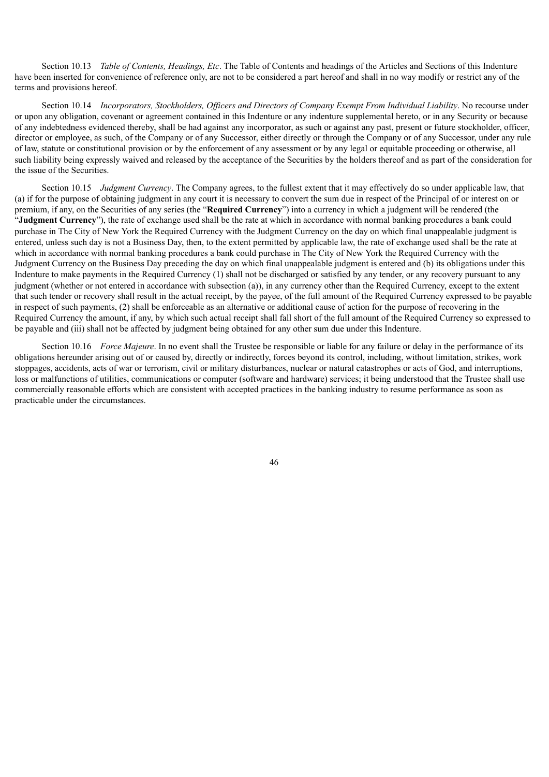Section 10.13 *Table of Contents, Headings, Etc*. The Table of Contents and headings of the Articles and Sections of this Indenture have been inserted for convenience of reference only, are not to be considered a part hereof and shall in no way modify or restrict any of the terms and provisions hereof.

Section 10.14 *Incorporators, Stockholders, Officers and Directors of Company Exempt From Individual Liability*. No recourse under or upon any obligation, covenant or agreement contained in this Indenture or any indenture supplemental hereto, or in any Security or because of any indebtedness evidenced thereby, shall be had against any incorporator, as such or against any past, present or future stockholder, officer, director or employee, as such, of the Company or of any Successor, either directly or through the Company or of any Successor, under any rule of law, statute or constitutional provision or by the enforcement of any assessment or by any legal or equitable proceeding or otherwise, all such liability being expressly waived and released by the acceptance of the Securities by the holders thereof and as part of the consideration for the issue of the Securities.

Section 10.15 *Judgment Currency*. The Company agrees, to the fullest extent that it may effectively do so under applicable law, that (a) if for the purpose of obtaining judgment in any court it is necessary to convert the sum due in respect of the Principal of or interest on or premium, if any, on the Securities of any series (the "**Required Currency**") into a currency in which a judgment will be rendered (the "**Judgment Currency**"), the rate of exchange used shall be the rate at which in accordance with normal banking procedures a bank could purchase in The City of New York the Required Currency with the Judgment Currency on the day on which final unappealable judgment is entered, unless such day is not a Business Day, then, to the extent permitted by applicable law, the rate of exchange used shall be the rate at which in accordance with normal banking procedures a bank could purchase in The City of New York the Required Currency with the Judgment Currency on the Business Day preceding the day on which final unappealable judgment is entered and (b) its obligations under this Indenture to make payments in the Required Currency (1) shall not be discharged or satisfied by any tender, or any recovery pursuant to any judgment (whether or not entered in accordance with subsection (a)), in any currency other than the Required Currency, except to the extent that such tender or recovery shall result in the actual receipt, by the payee, of the full amount of the Required Currency expressed to be payable in respect of such payments, (2) shall be enforceable as an alternative or additional cause of action for the purpose of recovering in the Required Currency the amount, if any, by which such actual receipt shall fall short of the full amount of the Required Currency so expressed to be payable and (iii) shall not be affected by judgment being obtained for any other sum due under this Indenture.

Section 10.16 *Force Majeure*. In no event shall the Trustee be responsible or liable for any failure or delay in the performance of its obligations hereunder arising out of or caused by, directly or indirectly, forces beyond its control, including, without limitation, strikes, work stoppages, accidents, acts of war or terrorism, civil or military disturbances, nuclear or natural catastrophes or acts of God, and interruptions, loss or malfunctions of utilities, communications or computer (software and hardware) services; it being understood that the Trustee shall use commercially reasonable efforts which are consistent with accepted practices in the banking industry to resume performance as soon as practicable under the circumstances.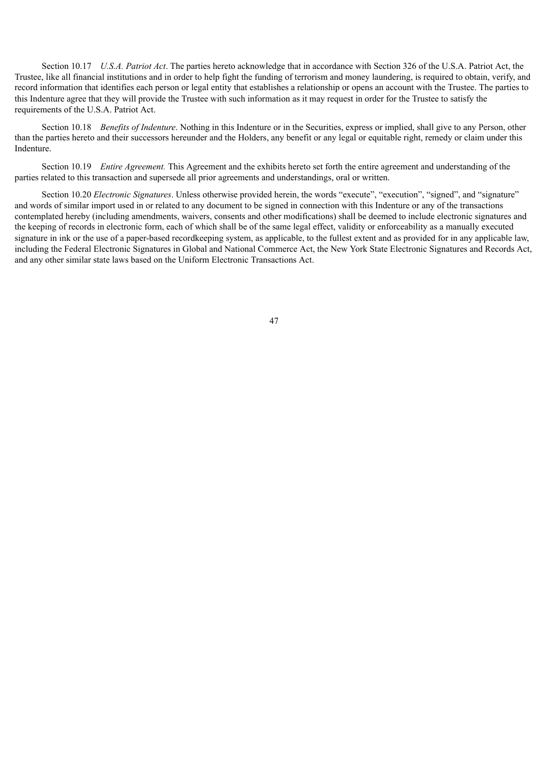Section 10.17 *U.S.A. Patriot Act*. The parties hereto acknowledge that in accordance with Section 326 of the U.S.A. Patriot Act, the Trustee, like all financial institutions and in order to help fight the funding of terrorism and money laundering, is required to obtain, verify, and record information that identifies each person or legal entity that establishes a relationship or opens an account with the Trustee. The parties to this Indenture agree that they will provide the Trustee with such information as it may request in order for the Trustee to satisfy the requirements of the U.S.A. Patriot Act.

Section 10.18 *Benefits of Indenture*. Nothing in this Indenture or in the Securities, express or implied, shall give to any Person, other than the parties hereto and their successors hereunder and the Holders, any benefit or any legal or equitable right, remedy or claim under this Indenture.

Section 10.19 *Entire Agreement.* This Agreement and the exhibits hereto set forth the entire agreement and understanding of the parties related to this transaction and supersede all prior agreements and understandings, oral or written.

Section 10.20 *Electronic Signatures*. Unless otherwise provided herein, the words "execute", "execution", "signed", and "signature" and words of similar import used in or related to any document to be signed in connection with this Indenture or any of the transactions contemplated hereby (including amendments, waivers, consents and other modifications) shall be deemed to include electronic signatures and the keeping of records in electronic form, each of which shall be of the same legal effect, validity or enforceability as a manually executed signature in ink or the use of a paper-based recordkeeping system, as applicable, to the fullest extent and as provided for in any applicable law, including the Federal Electronic Signatures in Global and National Commerce Act, the New York State Electronic Signatures and Records Act, and any other similar state laws based on the Uniform Electronic Transactions Act.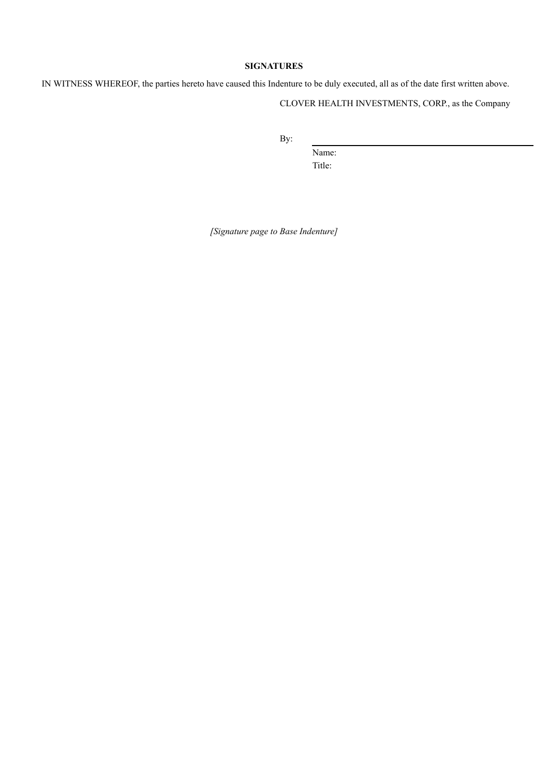# **SIGNATURES**

IN WITNESS WHEREOF, the parties hereto have caused this Indenture to be duly executed, all as of the date first written above.

CLOVER HEALTH INVESTMENTS, CORP., as the Company

By:

Name: Title:

*[Signature page to Base Indenture]*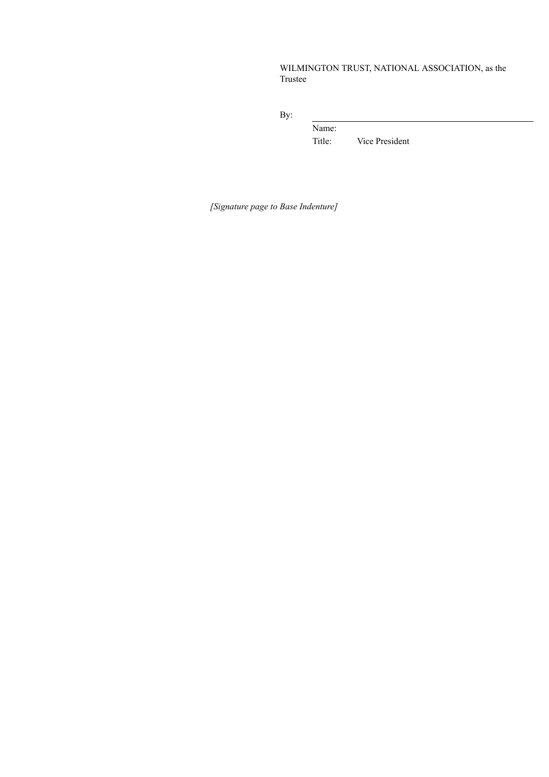# WILMINGTON TRUST, NATIONAL ASSOCIATION, as the Trustee

By:

Name: Title: Vice President

*[Signature page to Base Indenture]*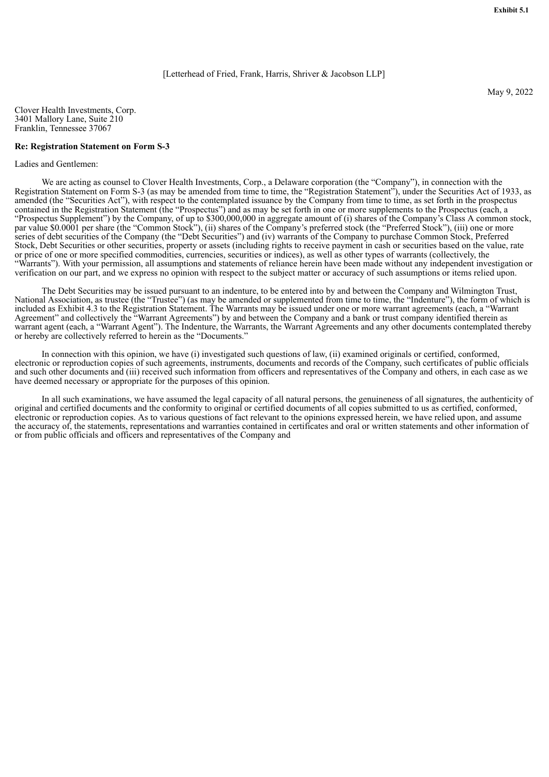[Letterhead of Fried, Frank, Harris, Shriver & Jacobson LLP]

Clover Health Investments, Corp. 3401 Mallory Lane, Suite 210 Franklin, Tennessee 37067

#### **Re: Registration Statement on Form S-3**

Ladies and Gentlemen:

We are acting as counsel to Clover Health Investments, Corp., a Delaware corporation (the "Company"), in connection with the Registration Statement on Form S-3 (as may be amended from time to time, the "Registration Statement"), under the Securities Act of 1933, as amended (the "Securities Act"), with respect to the contemplated issuance by the Company from time to time, as set forth in the prospectus contained in the Registration Statement (the "Prospectus") and as may be set forth in one or more supplements to the Prospectus (each, a "Prospectus Supplement") by the Company, of up to \$300,000,000 in aggregate amount of (i) shares of the Company's Class A common stock, par value \$0.0001 per share (the "Common Stock"), (ii) shares of the Company's preferred stock (the "Preferred Stock"), (iii) one or more series of debt securities of the Company (the "Debt Securities") and (iv) warrants of the Company to purchase Common Stock, Preferred Stock, Debt Securities or other securities, property or assets (including rights to receive payment in cash or securities based on the value, rate or price of one or more specified commodities, currencies, securities or indices), as well as other types of warrants (collectively, the "Warrants"). With your permission, all assumptions and statements of reliance herein have been made without any independent investigation or verification on our part, and we express no opinion with respect to the subject matter or accuracy of such assumptions or items relied upon.

The Debt Securities may be issued pursuant to an indenture, to be entered into by and between the Company and Wilmington Trust, National Association, as trustee (the "Trustee") (as may be amended or supplemented from time to time, the "Indenture"), the form of which is included as Exhibit 4.3 to the Registration Statement. The Warrants may be issued under one or more warrant agreements (each, a "Warrant Agreement" and collectively the "Warrant Agreements") by and between the Company and a bank or trust company identified therein as warrant agent (each, a "Warrant Agent"). The Indenture, the Warrants, the Warrant Agreements and any other documents contemplated thereby or hereby are collectively referred to herein as the "Documents."

In connection with this opinion, we have (i) investigated such questions of law, (ii) examined originals or certified, conformed, electronic or reproduction copies of such agreements, instruments, documents and records of the Company, such certificates of public officials and such other documents and (iii) received such information from officers and representatives of the Company and others, in each case as we have deemed necessary or appropriate for the purposes of this opinion.

In all such examinations, we have assumed the legal capacity of all natural persons, the genuineness of all signatures, the authenticity of original and certified documents and the conformity to original or certified documents of all copies submitted to us as certified, conformed, electronic or reproduction copies. As to various questions of fact relevant to the opinions expressed herein, we have relied upon, and assume the accuracy of, the statements, representations and warranties contained in certificates and oral or written statements and other information of or from public officials and officers and representatives of the Company and

May 9, 2022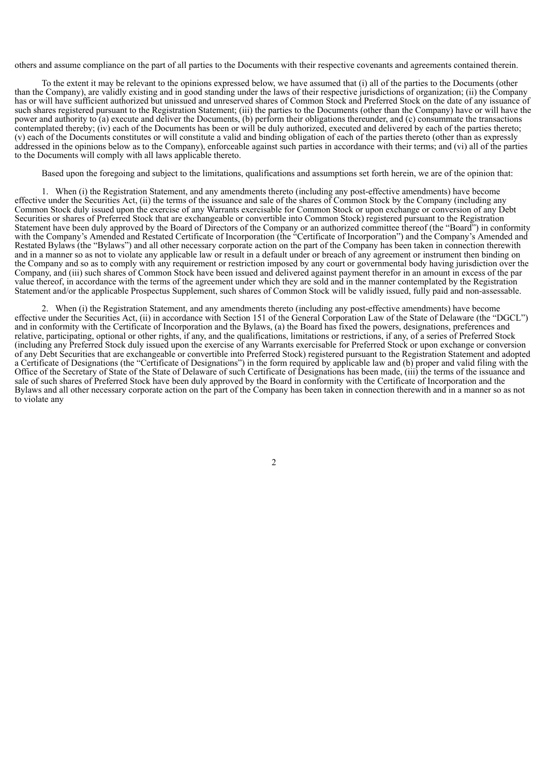others and assume compliance on the part of all parties to the Documents with their respective covenants and agreements contained therein.

To the extent it may be relevant to the opinions expressed below, we have assumed that (i) all of the parties to the Documents (other than the Company), are validly existing and in good standing under the laws of their respective jurisdictions of organization; (ii) the Company has or will have sufficient authorized but unissued and unreserved shares of Common Stock and Preferred Stock on the date of any issuance of such shares registered pursuant to the Registration Statement; (iii) the parties to the Documents (other than the Company) have or will have the power and authority to (a) execute and deliver the Documents, (b) perform their obligations thereunder, and (c) consummate the transactions contemplated thereby; (iv) each of the Documents has been or will be duly authorized, executed and delivered by each of the parties thereto; (v) each of the Documents constitutes or will constitute a valid and binding obligation of each of the parties thereto (other than as expressly addressed in the opinions below as to the Company), enforceable against such parties in accordance with their terms; and (vi) all of the parties to the Documents will comply with all laws applicable thereto.

Based upon the foregoing and subject to the limitations, qualifications and assumptions set forth herein, we are of the opinion that:

1. When (i) the Registration Statement, and any amendments thereto (including any post-effective amendments) have become effective under the Securities Act, (ii) the terms of the issuance and sale of the shares of Common Stock by the Company (including any Common Stock duly issued upon the exercise of any Warrants exercisable for Common Stock or upon exchange or conversion of any Debt Securities or shares of Preferred Stock that are exchangeable or convertible into Common Stock) registered pursuant to the Registration Statement have been duly approved by the Board of Directors of the Company or an authorized committee thereof (the "Board") in conformity with the Company's Amended and Restated Certificate of Incorporation (the "Certificate of Incorporation") and the Company's Amended and Restated Bylaws (the "Bylaws") and all other necessary corporate action on the part of the Company has been taken in connection therewith and in a manner so as not to violate any applicable law or result in a default under or breach of any agreement or instrument then binding on the Company and so as to comply with any requirement or restriction imposed by any court or governmental body having jurisdiction over the Company, and (iii) such shares of Common Stock have been issued and delivered against payment therefor in an amount in excess of the par value thereof, in accordance with the terms of the agreement under which they are sold and in the manner contemplated by the Registration Statement and/or the applicable Prospectus Supplement, such shares of Common Stock will be validly issued, fully paid and non-assessable.

2. When (i) the Registration Statement, and any amendments thereto (including any post-effective amendments) have become effective under the Securities Act, (ii) in accordance with Section 151 of the General Corporation Law of the State of Delaware (the "DGCL") and in conformity with the Certificate of Incorporation and the Bylaws, (a) the Board has fixed the powers, designations, preferences and relative, participating, optional or other rights, if any, and the qualifications, limitations or restrictions, if any, of a series of Preferred Stock (including any Preferred Stock duly issued upon the exercise of any Warrants exercisable for Preferred Stock or upon exchange or conversion of any Debt Securities that are exchangeable or convertible into Preferred Stock) registered pursuant to the Registration Statement and adopted a Certificate of Designations (the "Certificate of Designations") in the form required by applicable law and (b) proper and valid filing with the Office of the Secretary of State of the State of Delaware of such Certificate of Designations has been made, (iii) the terms of the issuance and sale of such shares of Preferred Stock have been duly approved by the Board in conformity with the Certificate of Incorporation and the Bylaws and all other necessary corporate action on the part of the Company has been taken in connection therewith and in a manner so as not to violate any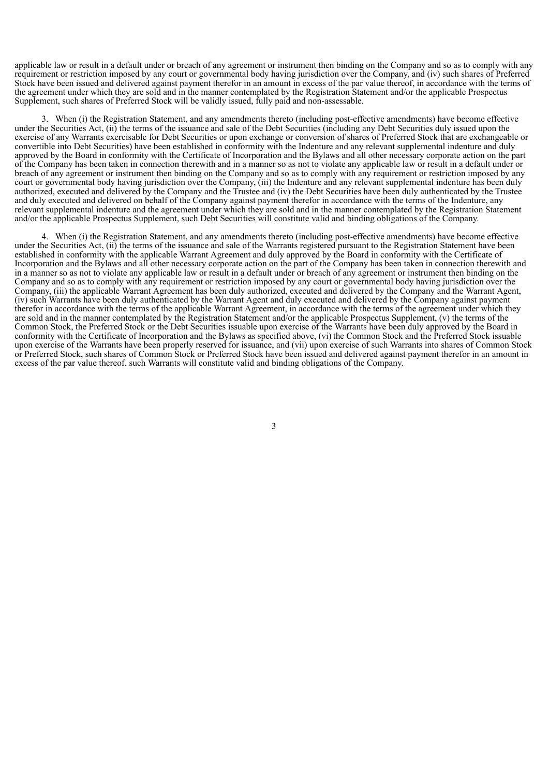applicable law or result in a default under or breach of any agreement or instrument then binding on the Company and so as to comply with any requirement or restriction imposed by any court or governmental body having jurisdiction over the Company, and (iv) such shares of Preferred Stock have been issued and delivered against payment therefor in an amount in excess of the par value thereof, in accordance with the terms of the agreement under which they are sold and in the manner contemplated by the Registration Statement and/or the applicable Prospectus Supplement, such shares of Preferred Stock will be validly issued, fully paid and non-assessable.

3. When (i) the Registration Statement, and any amendments thereto (including post-effective amendments) have become effective under the Securities Act, (ii) the terms of the issuance and sale of the Debt Securities (including any Debt Securities duly issued upon the exercise of any Warrants exercisable for Debt Securities or upon exchange or conversion of shares of Preferred Stock that are exchangeable or convertible into Debt Securities) have been established in conformity with the Indenture and any relevant supplemental indenture and duly approved by the Board in conformity with the Certificate of Incorporation and the Bylaws and all other necessary corporate action on the part of the Company has been taken in connection therewith and in a manner so as not to violate any applicable law or result in a default under or breach of any agreement or instrument then binding on the Company and so as to comply with any requirement or restriction imposed by any court or governmental body having jurisdiction over the Company, (iii) the Indenture and any relevant supplemental indenture has been duly authorized, executed and delivered by the Company and the Trustee and (iv) the Debt Securities have been duly authenticated by the Trustee and duly executed and delivered on behalf of the Company against payment therefor in accordance with the terms of the Indenture, any relevant supplemental indenture and the agreement under which they are sold and in the manner contemplated by the Registration Statement and/or the applicable Prospectus Supplement, such Debt Securities will constitute valid and binding obligations of the Company.

4. When (i) the Registration Statement, and any amendments thereto (including post-effective amendments) have become effective under the Securities Act, (ii) the terms of the issuance and sale of the Warrants registered pursuant to the Registration Statement have been established in conformity with the applicable Warrant Agreement and duly approved by the Board in conformity with the Certificate of Incorporation and the Bylaws and all other necessary corporate action on the part of the Company has been taken in connection therewith and in a manner so as not to violate any applicable law or result in a default under or breach of any agreement or instrument then binding on the Company and so as to comply with any requirement or restriction imposed by any court or governmental body having jurisdiction over the Company, (iii) the applicable Warrant Agreement has been duly authorized, executed and delivered by the Company and the Warrant Agent, (iv) such Warrants have been duly authenticated by the Warrant Agent and duly executed and delivered by the Company against payment therefor in accordance with the terms of the applicable Warrant Agreement, in accordance with the terms of the agreement under which they are sold and in the manner contemplated by the Registration Statement and/or the applicable Prospectus Supplement, (v) the terms of the Common Stock, the Preferred Stock or the Debt Securities issuable upon exercise of the Warrants have been duly approved by the Board in conformity with the Certificate of Incorporation and the Bylaws as specified above, (vi) the Common Stock and the Preferred Stock issuable upon exercise of the Warrants have been properly reserved for issuance, and (vii) upon exercise of such Warrants into shares of Common Stock or Preferred Stock, such shares of Common Stock or Preferred Stock have been issued and delivered against payment therefor in an amount in excess of the par value thereof, such Warrants will constitute valid and binding obligations of the Company.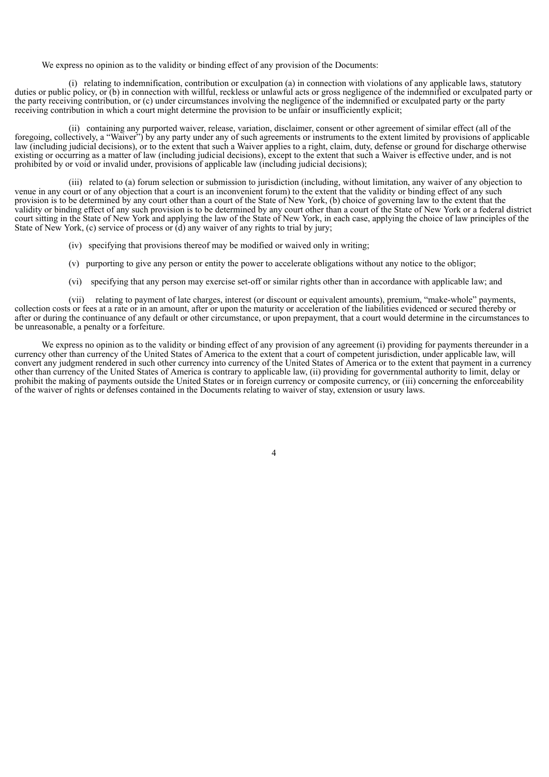We express no opinion as to the validity or binding effect of any provision of the Documents:

(i) relating to indemnification, contribution or exculpation (a) in connection with violations of any applicable laws, statutory duties or public policy, or (b) in connection with willful, reckless or unlawful acts or gross negligence of the indemnified or exculpated party or the party receiving contribution, or (c) under circumstances involving the negligence of the indemnified or exculpated party or the party receiving contribution in which a court might determine the provision to be unfair or insufficiently explicit;

(ii) containing any purported waiver, release, variation, disclaimer, consent or other agreement of similar effect (all of the foregoing, collectively, a "Waiver") by any party under any of such agreements or instruments to the extent limited by provisions of applicable law (including judicial decisions), or to the extent that such a Waiver applies to a right, claim, duty, defense or ground for discharge otherwise existing or occurring as a matter of law (including judicial decisions), except to the extent that such a Waiver is effective under, and is not prohibited by or void or invalid under, provisions of applicable law (including judicial decisions);

(iii) related to (a) forum selection or submission to jurisdiction (including, without limitation, any waiver of any objection to venue in any court or of any objection that a court is an inconvenient forum) to the extent that the validity or binding effect of any such provision is to be determined by any court other than a court of the State of New York, (b) choice of governing law to the extent that the validity or binding effect of any such provision is to be determined by any court other than a court of the State of New York or a federal district court sitting in the State of New York and applying the law of the State of New York, in each case, applying the choice of law principles of the State of New York, (c) service of process or (d) any waiver of any rights to trial by jury;

- (iv) specifying that provisions thereof may be modified or waived only in writing;
- (v) purporting to give any person or entity the power to accelerate obligations without any notice to the obligor;
- (vi) specifying that any person may exercise set-off or similar rights other than in accordance with applicable law; and

(vii) relating to payment of late charges, interest (or discount or equivalent amounts), premium, "make-whole" payments, collection costs or fees at a rate or in an amount, after or upon the maturity or acceleration of the liabilities evidenced or secured thereby or after or during the continuance of any default or other circumstance, or upon prepayment, that a court would determine in the circumstances to be unreasonable, a penalty or a forfeiture.

We express no opinion as to the validity or binding effect of any provision of any agreement (i) providing for payments thereunder in a currency other than currency of the United States of America to the extent that a court of competent jurisdiction, under applicable law, will convert any judgment rendered in such other currency into currency of the United States of America or to the extent that payment in a currency other than currency of the United States of America is contrary to applicable law, (ii) providing for governmental authority to limit, delay or prohibit the making of payments outside the United States or in foreign currency or composite currency, or (iii) concerning the enforceability of the waiver of rights or defenses contained in the Documents relating to waiver of stay, extension or usury laws.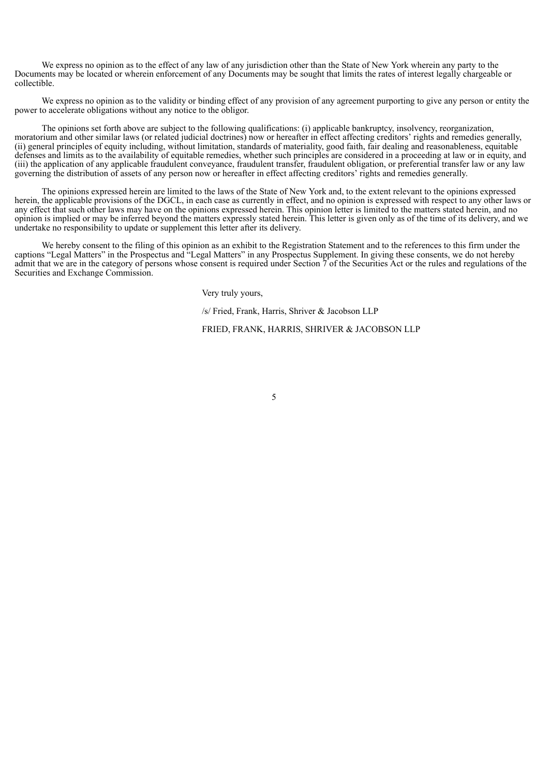We express no opinion as to the effect of any law of any jurisdiction other than the State of New York wherein any party to the Documents may be located or wherein enforcement of any Documents may be sought that limits the rates of interest legally chargeable or collectible.

We express no opinion as to the validity or binding effect of any provision of any agreement purporting to give any person or entity the power to accelerate obligations without any notice to the obligor.

The opinions set forth above are subject to the following qualifications: (i) applicable bankruptcy, insolvency, reorganization, moratorium and other similar laws (or related judicial doctrines) now or hereafter in effect affecting creditors' rights and remedies generally, (ii) general principles of equity including, without limitation, standards of materiality, good faith, fair dealing and reasonableness, equitable defenses and limits as to the availability of equitable remedies, whether such principles are considered in a proceeding at law or in equity, and (iii) the application of any applicable fraudulent conveyance, fraudulent transfer, fraudulent obligation, or preferential transfer law or any law governing the distribution of assets of any person now or hereafter in effect affecting creditors' rights and remedies generally.

The opinions expressed herein are limited to the laws of the State of New York and, to the extent relevant to the opinions expressed herein, the applicable provisions of the DGCL, in each case as currently in effect, and no opinion is expressed with respect to any other laws or any effect that such other laws may have on the opinions expressed herein. This opinion letter is limited to the matters stated herein, and no opinion is implied or may be inferred beyond the matters expressly stated herein. This letter is given only as of the time of its delivery, and we undertake no responsibility to update or supplement this letter after its delivery.

We hereby consent to the filing of this opinion as an exhibit to the Registration Statement and to the references to this firm under the captions "Legal Matters" in the Prospectus and "Legal Matters" in any Prospectus Supplement. In giving these consents, we do not hereby admit that we are in the category of persons whose consent is required under Section  $\tilde{\tau}$  of the Securities Act or the rules and regulations of the Securities and Exchange Commission.

Very truly yours,

/s/ Fried, Frank, Harris, Shriver & Jacobson LLP

FRIED, FRANK, HARRIS, SHRIVER & JACOBSON LLP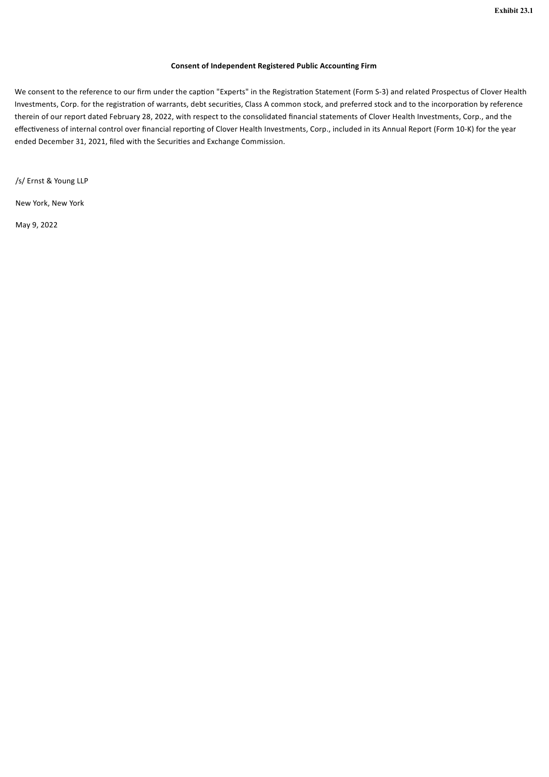### **Consent of Independent Registered Public Accounting Firm**

We consent to the reference to our firm under the caption "Experts" in the Registration Statement (Form S-3) and related Prospectus of Clover Health Investments, Corp. for the registration of warrants, debt securities, Class A common stock, and preferred stock and to the incorporation by reference therein of our report dated February 28, 2022, with respect to the consolidated financial statements of Clover Health Investments, Corp., and the effectiveness of internal control over financial reporting of Clover Health Investments, Corp., included in its Annual Report (Form 10-K) for the year ended December 31, 2021, filed with the Securities and Exchange Commission.

/s/ Ernst & Young LLP

New York, New York

May 9, 2022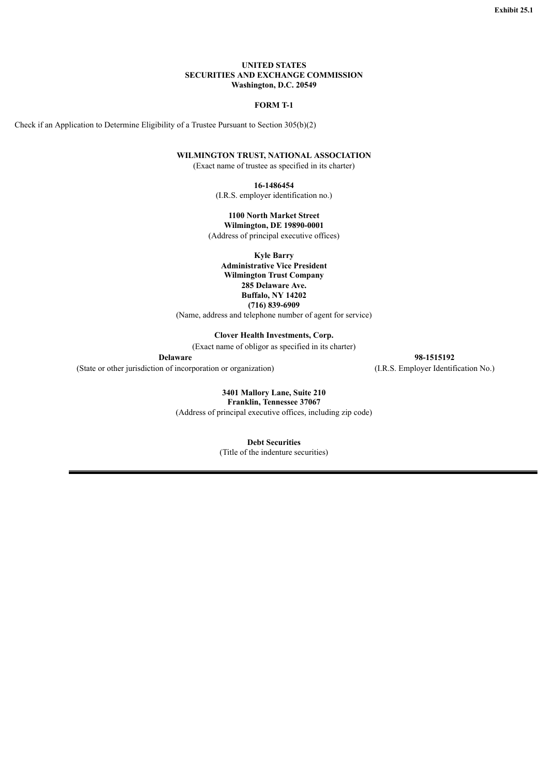#### **UNITED STATES SECURITIES AND EXCHANGE COMMISSION Washington, D.C. 20549**

#### **FORM T-1**

Check if an Application to Determine Eligibility of a Trustee Pursuant to Section 305(b)(2)

### **WILMINGTON TRUST, NATIONAL ASSOCIATION**

(Exact name of trustee as specified in its charter)

**16-1486454**

(I.R.S. employer identification no.)

## **1100 North Market Street**

**Wilmington, DE 19890-0001** (Address of principal executive offices)

**Kyle Barry**

**Administrative Vice President Wilmington Trust Company 285 Delaware Ave. Buffalo, NY 14202 (716) 839-6909**

(Name, address and telephone number of agent for service)

**Clover Health Investments, Corp.**

(Exact name of obligor as specified in its charter)

(State or other jurisdiction of incorporation or organization) (I.R.S. Employer Identification No.)

**Delaware 98-1515192**

**3401 Mallory Lane, Suite 210 Franklin, Tennessee 37067** (Address of principal executive offices, including zip code)

**Debt Securities**

(Title of the indenture securities)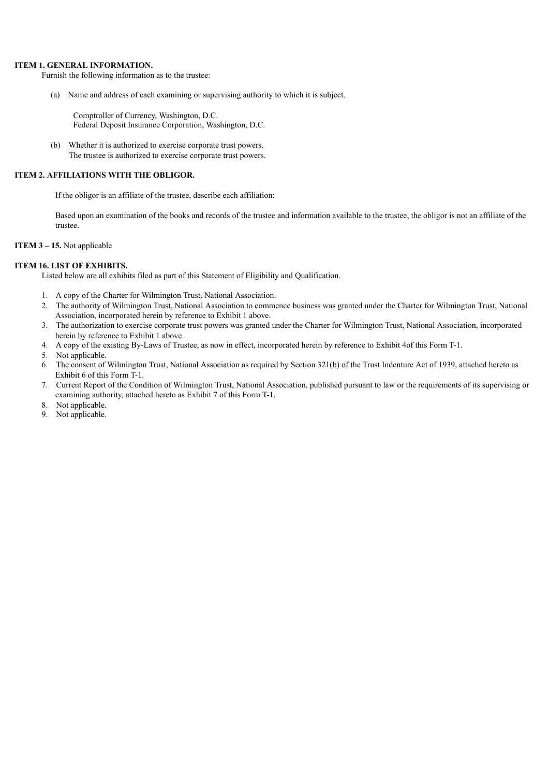#### **ITEM 1. GENERAL INFORMATION.**

Furnish the following information as to the trustee:

(a) Name and address of each examining or supervising authority to which it is subject.

Comptroller of Currency, Washington, D.C. Federal Deposit Insurance Corporation, Washington, D.C.

(b) Whether it is authorized to exercise corporate trust powers. The trustee is authorized to exercise corporate trust powers.

#### **ITEM 2. AFFILIATIONS WITH THE OBLIGOR.**

If the obligor is an affiliate of the trustee, describe each affiliation:

Based upon an examination of the books and records of the trustee and information available to the trustee, the obligor is not an affiliate of the trustee.

#### **ITEM 3 – 15.** Not applicable

#### **ITEM 16. LIST OF EXHIBITS.**

Listed below are all exhibits filed as part of this Statement of Eligibility and Qualification.

- 1. A copy of the Charter for Wilmington Trust, National Association.
- 2. The authority of Wilmington Trust, National Association to commence business was granted under the Charter for Wilmington Trust, National Association, incorporated herein by reference to Exhibit 1 above.
- 3. The authorization to exercise corporate trust powers was granted under the Charter for Wilmington Trust, National Association, incorporated herein by reference to Exhibit 1 above.
- 4. A copy of the existing By-Laws of Trustee, as now in effect, incorporated herein by reference to Exhibit 4of this Form T-1.
- 5. Not applicable.
- 6. The consent of Wilmington Trust, National Association as required by Section 321(b) of the Trust Indenture Act of 1939, attached hereto as Exhibit 6 of this Form T-1.
- 7. Current Report of the Condition of Wilmington Trust, National Association, published pursuant to law or the requirements of its supervising or examining authority, attached hereto as Exhibit 7 of this Form T-1.
- 8. Not applicable.
- 9. Not applicable.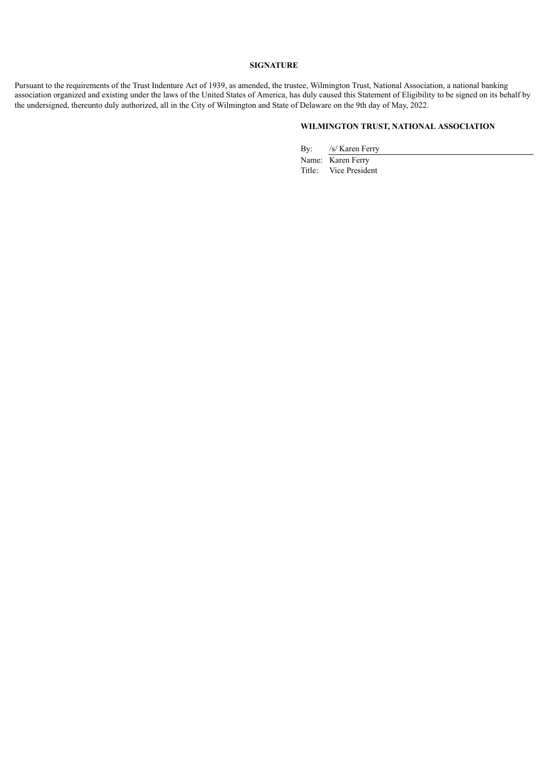#### **SIGNATURE**

Pursuant to the requirements of the Trust Indenture Act of 1939, as amended, the trustee, Wilmington Trust, National Association, a national banking association organized and existing under the laws of the United States of America, has duly caused this Statement of Eligibility to be signed on its behalf by the undersigned, thereunto duly authorized, all in the City of Wilmington and State of Delaware on the 9th day of May, 2022.

# **WILMINGTON TRUST, NATIONAL ASSOCIATION**

By: /s/ Karen Ferry

Name: Karen Ferry Title: Vice President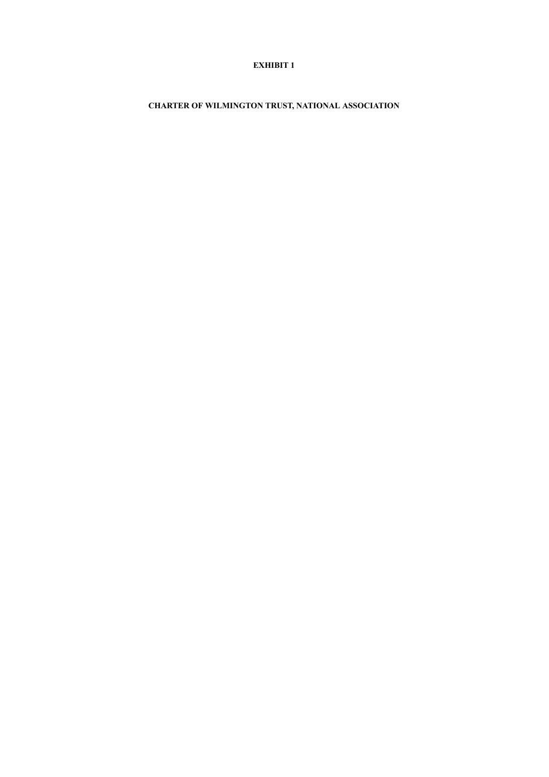# **EXHIBIT 1**

**CHARTER OF WILMINGTON TRUST, NATIONAL ASSOCIATION**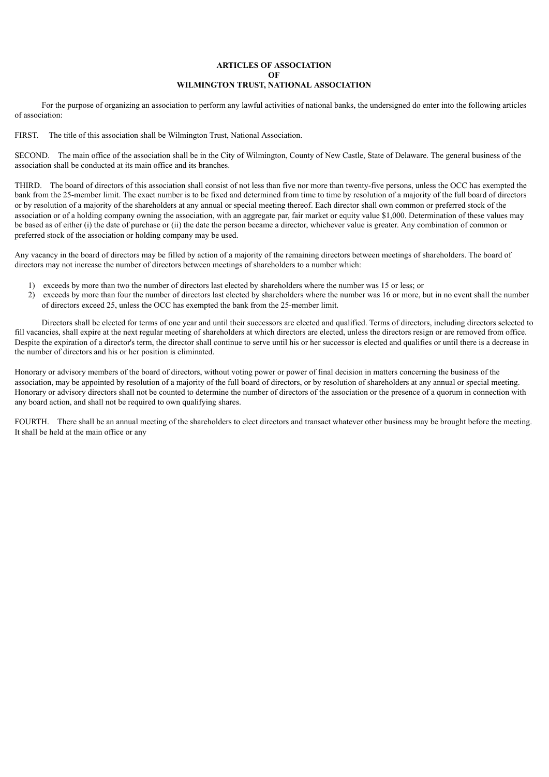### **ARTICLES OF ASSOCIATION OF WILMINGTON TRUST, NATIONAL ASSOCIATION**

For the purpose of organizing an association to perform any lawful activities of national banks, the undersigned do enter into the following articles of association:

FIRST. The title of this association shall be Wilmington Trust, National Association.

SECOND. The main office of the association shall be in the City of Wilmington, County of New Castle, State of Delaware. The general business of the association shall be conducted at its main office and its branches.

THIRD. The board of directors of this association shall consist of not less than five nor more than twenty-five persons, unless the OCC has exempted the bank from the 25-member limit. The exact number is to be fixed and determined from time to time by resolution of a majority of the full board of directors or by resolution of a majority of the shareholders at any annual or special meeting thereof. Each director shall own common or preferred stock of the association or of a holding company owning the association, with an aggregate par, fair market or equity value \$1,000. Determination of these values may be based as of either (i) the date of purchase or (ii) the date the person became a director, whichever value is greater. Any combination of common or preferred stock of the association or holding company may be used.

Any vacancy in the board of directors may be filled by action of a majority of the remaining directors between meetings of shareholders. The board of directors may not increase the number of directors between meetings of shareholders to a number which:

- 1) exceeds by more than two the number of directors last elected by shareholders where the number was 15 or less; or
- 2) exceeds by more than four the number of directors last elected by shareholders where the number was 16 or more, but in no event shall the number of directors exceed 25, unless the OCC has exempted the bank from the 25-member limit.

Directors shall be elected for terms of one year and until their successors are elected and qualified. Terms of directors, including directors selected to fill vacancies, shall expire at the next regular meeting of shareholders at which directors are elected, unless the directors resign or are removed from office. Despite the expiration of a director's term, the director shall continue to serve until his or her successor is elected and qualifies or until there is a decrease in the number of directors and his or her position is eliminated.

Honorary or advisory members of the board of directors, without voting power or power of final decision in matters concerning the business of the association, may be appointed by resolution of a majority of the full board of directors, or by resolution of shareholders at any annual or special meeting. Honorary or advisory directors shall not be counted to determine the number of directors of the association or the presence of a quorum in connection with any board action, and shall not be required to own qualifying shares.

FOURTH. There shall be an annual meeting of the shareholders to elect directors and transact whatever other business may be brought before the meeting. It shall be held at the main office or any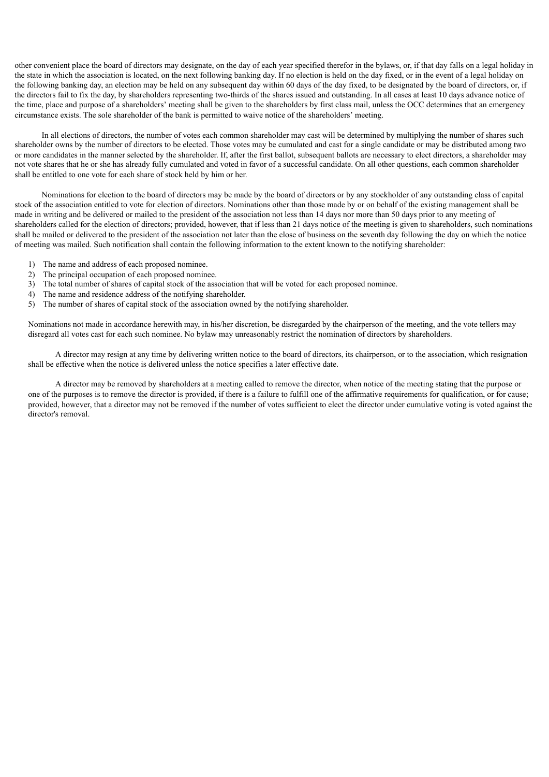other convenient place the board of directors may designate, on the day of each year specified therefor in the bylaws, or, if that day falls on a legal holiday in the state in which the association is located, on the next following banking day. If no election is held on the day fixed, or in the event of a legal holiday on the following banking day, an election may be held on any subsequent day within 60 days of the day fixed, to be designated by the board of directors, or, if the directors fail to fix the day, by shareholders representing two-thirds of the shares issued and outstanding. In all cases at least 10 days advance notice of the time, place and purpose of a shareholders' meeting shall be given to the shareholders by first class mail, unless the OCC determines that an emergency circumstance exists. The sole shareholder of the bank is permitted to waive notice of the shareholders' meeting.

In all elections of directors, the number of votes each common shareholder may cast will be determined by multiplying the number of shares such shareholder owns by the number of directors to be elected. Those votes may be cumulated and cast for a single candidate or may be distributed among two or more candidates in the manner selected by the shareholder. If, after the first ballot, subsequent ballots are necessary to elect directors, a shareholder may not vote shares that he or she has already fully cumulated and voted in favor of a successful candidate. On all other questions, each common shareholder shall be entitled to one vote for each share of stock held by him or her.

Nominations for election to the board of directors may be made by the board of directors or by any stockholder of any outstanding class of capital stock of the association entitled to vote for election of directors. Nominations other than those made by or on behalf of the existing management shall be made in writing and be delivered or mailed to the president of the association not less than 14 days nor more than 50 days prior to any meeting of shareholders called for the election of directors; provided, however, that if less than 21 days notice of the meeting is given to shareholders, such nominations shall be mailed or delivered to the president of the association not later than the close of business on the seventh day following the day on which the notice of meeting was mailed. Such notification shall contain the following information to the extent known to the notifying shareholder:

- 1) The name and address of each proposed nominee.
- 2) The principal occupation of each proposed nominee.
- 3) The total number of shares of capital stock of the association that will be voted for each proposed nominee.
- 4) The name and residence address of the notifying shareholder.
- 5) The number of shares of capital stock of the association owned by the notifying shareholder.

Nominations not made in accordance herewith may, in his/her discretion, be disregarded by the chairperson of the meeting, and the vote tellers may disregard all votes cast for each such nominee. No bylaw may unreasonably restrict the nomination of directors by shareholders.

A director may resign at any time by delivering written notice to the board of directors, its chairperson, or to the association, which resignation shall be effective when the notice is delivered unless the notice specifies a later effective date.

A director may be removed by shareholders at a meeting called to remove the director, when notice of the meeting stating that the purpose or one of the purposes is to remove the director is provided, if there is a failure to fulfill one of the affirmative requirements for qualification, or for cause; provided, however, that a director may not be removed if the number of votes sufficient to elect the director under cumulative voting is voted against the director's removal.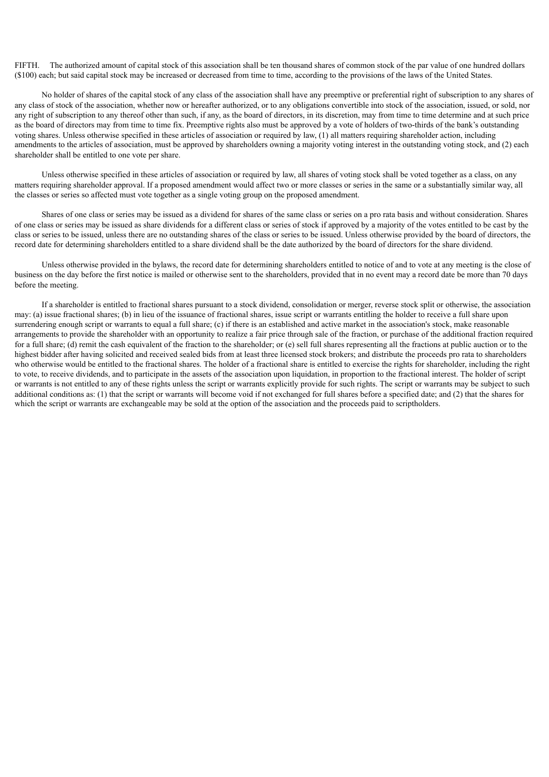FIFTH. The authorized amount of capital stock of this association shall be ten thousand shares of common stock of the par value of one hundred dollars (\$100) each; but said capital stock may be increased or decreased from time to time, according to the provisions of the laws of the United States.

No holder of shares of the capital stock of any class of the association shall have any preemptive or preferential right of subscription to any shares of any class of stock of the association, whether now or hereafter authorized, or to any obligations convertible into stock of the association, issued, or sold, nor any right of subscription to any thereof other than such, if any, as the board of directors, in its discretion, may from time to time determine and at such price as the board of directors may from time to time fix. Preemptive rights also must be approved by a vote of holders of two-thirds of the bank's outstanding voting shares. Unless otherwise specified in these articles of association or required by law, (1) all matters requiring shareholder action, including amendments to the articles of association, must be approved by shareholders owning a majority voting interest in the outstanding voting stock, and (2) each shareholder shall be entitled to one vote per share.

Unless otherwise specified in these articles of association or required by law, all shares of voting stock shall be voted together as a class, on any matters requiring shareholder approval. If a proposed amendment would affect two or more classes or series in the same or a substantially similar way, all the classes or series so affected must vote together as a single voting group on the proposed amendment.

Shares of one class or series may be issued as a dividend for shares of the same class or series on a pro rata basis and without consideration. Shares of one class or series may be issued as share dividends for a different class or series of stock if approved by a majority of the votes entitled to be cast by the class or series to be issued, unless there are no outstanding shares of the class or series to be issued. Unless otherwise provided by the board of directors, the record date for determining shareholders entitled to a share dividend shall be the date authorized by the board of directors for the share dividend.

Unless otherwise provided in the bylaws, the record date for determining shareholders entitled to notice of and to vote at any meeting is the close of business on the day before the first notice is mailed or otherwise sent to the shareholders, provided that in no event may a record date be more than 70 days before the meeting.

If a shareholder is entitled to fractional shares pursuant to a stock dividend, consolidation or merger, reverse stock split or otherwise, the association may: (a) issue fractional shares; (b) in lieu of the issuance of fractional shares, issue script or warrants entitling the holder to receive a full share upon surrendering enough script or warrants to equal a full share; (c) if there is an established and active market in the association's stock, make reasonable arrangements to provide the shareholder with an opportunity to realize a fair price through sale of the fraction, or purchase of the additional fraction required for a full share; (d) remit the cash equivalent of the fraction to the shareholder; or (e) sell full shares representing all the fractions at public auction or to the highest bidder after having solicited and received sealed bids from at least three licensed stock brokers; and distribute the proceeds pro rata to shareholders who otherwise would be entitled to the fractional shares. The holder of a fractional share is entitled to exercise the rights for shareholder, including the right to vote, to receive dividends, and to participate in the assets of the association upon liquidation, in proportion to the fractional interest. The holder of script or warrants is not entitled to any of these rights unless the script or warrants explicitly provide for such rights. The script or warrants may be subject to such additional conditions as: (1) that the script or warrants will become void if not exchanged for full shares before a specified date; and (2) that the shares for which the script or warrants are exchangeable may be sold at the option of the association and the proceeds paid to scriptholders.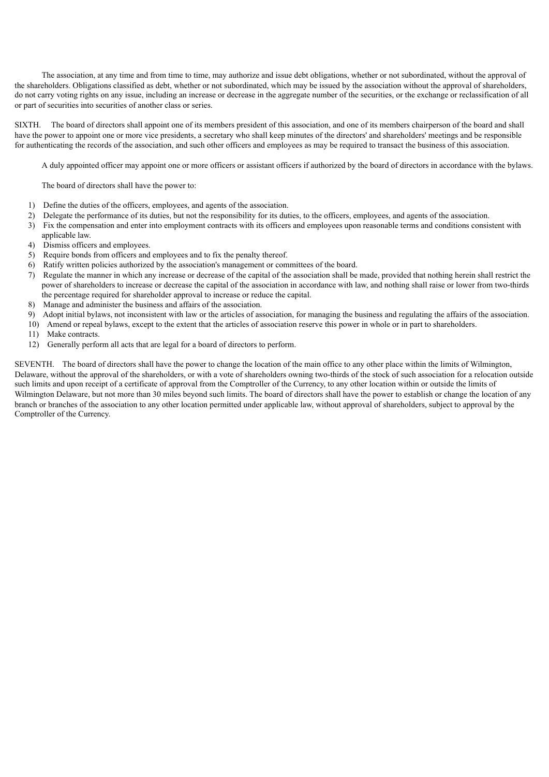The association, at any time and from time to time, may authorize and issue debt obligations, whether or not subordinated, without the approval of the shareholders. Obligations classified as debt, whether or not subordinated, which may be issued by the association without the approval of shareholders, do not carry voting rights on any issue, including an increase or decrease in the aggregate number of the securities, or the exchange or reclassification of all or part of securities into securities of another class or series.

SIXTH. The board of directors shall appoint one of its members president of this association, and one of its members chairperson of the board and shall have the power to appoint one or more vice presidents, a secretary who shall keep minutes of the directors' and shareholders' meetings and be responsible for authenticating the records of the association, and such other officers and employees as may be required to transact the business of this association.

A duly appointed officer may appoint one or more officers or assistant officers if authorized by the board of directors in accordance with the bylaws.

The board of directors shall have the power to:

- 1) Define the duties of the officers, employees, and agents of the association.
- 2) Delegate the performance of its duties, but not the responsibility for its duties, to the officers, employees, and agents of the association.
- 3) Fix the compensation and enter into employment contracts with its officers and employees upon reasonable terms and conditions consistent with applicable law.
- 4) Dismiss officers and employees.
- 5) Require bonds from officers and employees and to fix the penalty thereof.
- 6) Ratify written policies authorized by the association's management or committees of the board.
- 7) Regulate the manner in which any increase or decrease of the capital of the association shall be made, provided that nothing herein shall restrict the power of shareholders to increase or decrease the capital of the association in accordance with law, and nothing shall raise or lower from two-thirds the percentage required for shareholder approval to increase or reduce the capital.
- 8) Manage and administer the business and affairs of the association.
- 9) Adopt initial bylaws, not inconsistent with law or the articles of association, for managing the business and regulating the affairs of the association.
- 10) Amend or repeal bylaws, except to the extent that the articles of association reserve this power in whole or in part to shareholders.
- 11) Make contracts.
- 12) Generally perform all acts that are legal for a board of directors to perform.

SEVENTH. The board of directors shall have the power to change the location of the main office to any other place within the limits of Wilmington, Delaware, without the approval of the shareholders, or with a vote of shareholders owning two-thirds of the stock of such association for a relocation outside such limits and upon receipt of a certificate of approval from the Comptroller of the Currency, to any other location within or outside the limits of Wilmington Delaware, but not more than 30 miles beyond such limits. The board of directors shall have the power to establish or change the location of any branch or branches of the association to any other location permitted under applicable law, without approval of shareholders, subject to approval by the Comptroller of the Currency.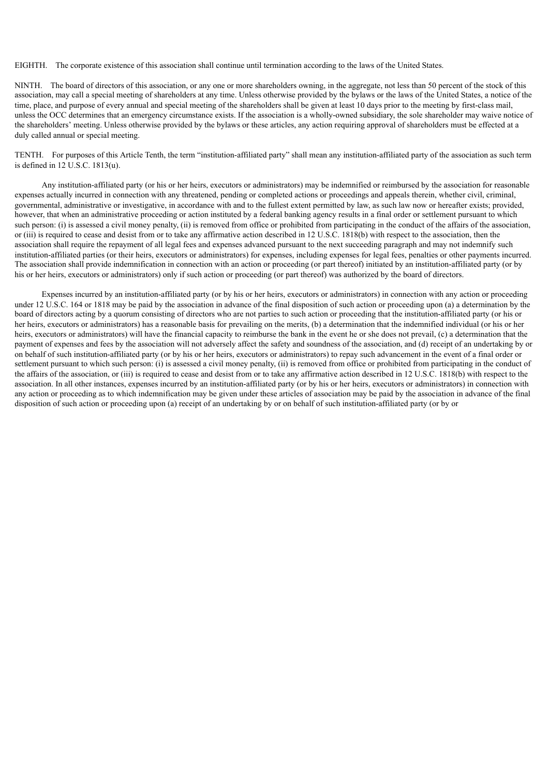EIGHTH. The corporate existence of this association shall continue until termination according to the laws of the United States.

NINTH. The board of directors of this association, or any one or more shareholders owning, in the aggregate, not less than 50 percent of the stock of this association, may call a special meeting of shareholders at any time. Unless otherwise provided by the bylaws or the laws of the United States, a notice of the time, place, and purpose of every annual and special meeting of the shareholders shall be given at least 10 days prior to the meeting by first-class mail, unless the OCC determines that an emergency circumstance exists. If the association is a wholly-owned subsidiary, the sole shareholder may waive notice of the shareholders' meeting. Unless otherwise provided by the bylaws or these articles, any action requiring approval of shareholders must be effected at a duly called annual or special meeting.

TENTH. For purposes of this Article Tenth, the term "institution-affiliated party" shall mean any institution-affiliated party of the association as such term is defined in 12 U.S.C. 1813(u).

Any institution-affiliated party (or his or her heirs, executors or administrators) may be indemnified or reimbursed by the association for reasonable expenses actually incurred in connection with any threatened, pending or completed actions or proceedings and appeals therein, whether civil, criminal, governmental, administrative or investigative, in accordance with and to the fullest extent permitted by law, as such law now or hereafter exists; provided, however, that when an administrative proceeding or action instituted by a federal banking agency results in a final order or settlement pursuant to which such person: (i) is assessed a civil money penalty, (ii) is removed from office or prohibited from participating in the conduct of the affairs of the association, or (iii) is required to cease and desist from or to take any affirmative action described in 12 U.S.C. 1818(b) with respect to the association, then the association shall require the repayment of all legal fees and expenses advanced pursuant to the next succeeding paragraph and may not indemnify such institution-affiliated parties (or their heirs, executors or administrators) for expenses, including expenses for legal fees, penalties or other payments incurred. The association shall provide indemnification in connection with an action or proceeding (or part thereof) initiated by an institution-affiliated party (or by his or her heirs, executors or administrators) only if such action or proceeding (or part thereof) was authorized by the board of directors.

Expenses incurred by an institution-affiliated party (or by his or her heirs, executors or administrators) in connection with any action or proceeding under 12 U.S.C. 164 or 1818 may be paid by the association in advance of the final disposition of such action or proceeding upon (a) a determination by the board of directors acting by a quorum consisting of directors who are not parties to such action or proceeding that the institution-affiliated party (or his or her heirs, executors or administrators) has a reasonable basis for prevailing on the merits, (b) a determination that the indemnified individual (or his or her heirs, executors or administrators) will have the financial capacity to reimburse the bank in the event he or she does not prevail, (c) a determination that the payment of expenses and fees by the association will not adversely affect the safety and soundness of the association, and (d) receipt of an undertaking by or on behalf of such institution-affiliated party (or by his or her heirs, executors or administrators) to repay such advancement in the event of a final order or settlement pursuant to which such person: (i) is assessed a civil money penalty, (ii) is removed from office or prohibited from participating in the conduct of the affairs of the association, or (iii) is required to cease and desist from or to take any affirmative action described in 12 U.S.C. 1818(b) with respect to the association. In all other instances, expenses incurred by an institution-affiliated party (or by his or her heirs, executors or administrators) in connection with any action or proceeding as to which indemnification may be given under these articles of association may be paid by the association in advance of the final disposition of such action or proceeding upon (a) receipt of an undertaking by or on behalf of such institution-affiliated party (or by or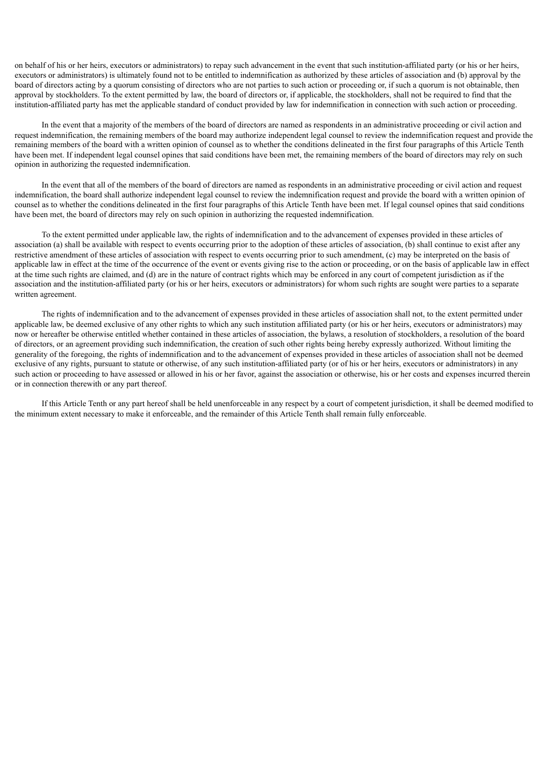on behalf of his or her heirs, executors or administrators) to repay such advancement in the event that such institution-affiliated party (or his or her heirs, executors or administrators) is ultimately found not to be entitled to indemnification as authorized by these articles of association and (b) approval by the board of directors acting by a quorum consisting of directors who are not parties to such action or proceeding or, if such a quorum is not obtainable, then approval by stockholders. To the extent permitted by law, the board of directors or, if applicable, the stockholders, shall not be required to find that the institution-affiliated party has met the applicable standard of conduct provided by law for indemnification in connection with such action or proceeding.

In the event that a majority of the members of the board of directors are named as respondents in an administrative proceeding or civil action and request indemnification, the remaining members of the board may authorize independent legal counsel to review the indemnification request and provide the remaining members of the board with a written opinion of counsel as to whether the conditions delineated in the first four paragraphs of this Article Tenth have been met. If independent legal counsel opines that said conditions have been met, the remaining members of the board of directors may rely on such opinion in authorizing the requested indemnification.

In the event that all of the members of the board of directors are named as respondents in an administrative proceeding or civil action and request indemnification, the board shall authorize independent legal counsel to review the indemnification request and provide the board with a written opinion of counsel as to whether the conditions delineated in the first four paragraphs of this Article Tenth have been met. If legal counsel opines that said conditions have been met, the board of directors may rely on such opinion in authorizing the requested indemnification.

To the extent permitted under applicable law, the rights of indemnification and to the advancement of expenses provided in these articles of association (a) shall be available with respect to events occurring prior to the adoption of these articles of association, (b) shall continue to exist after any restrictive amendment of these articles of association with respect to events occurring prior to such amendment, (c) may be interpreted on the basis of applicable law in effect at the time of the occurrence of the event or events giving rise to the action or proceeding, or on the basis of applicable law in effect at the time such rights are claimed, and (d) are in the nature of contract rights which may be enforced in any court of competent jurisdiction as if the association and the institution-affiliated party (or his or her heirs, executors or administrators) for whom such rights are sought were parties to a separate written agreement.

The rights of indemnification and to the advancement of expenses provided in these articles of association shall not, to the extent permitted under applicable law, be deemed exclusive of any other rights to which any such institution affiliated party (or his or her heirs, executors or administrators) may now or hereafter be otherwise entitled whether contained in these articles of association, the bylaws, a resolution of stockholders, a resolution of the board of directors, or an agreement providing such indemnification, the creation of such other rights being hereby expressly authorized. Without limiting the generality of the foregoing, the rights of indemnification and to the advancement of expenses provided in these articles of association shall not be deemed exclusive of any rights, pursuant to statute or otherwise, of any such institution-affiliated party (or of his or her heirs, executors or administrators) in any such action or proceeding to have assessed or allowed in his or her favor, against the association or otherwise, his or her costs and expenses incurred therein or in connection therewith or any part thereof.

If this Article Tenth or any part hereof shall be held unenforceable in any respect by a court of competent jurisdiction, it shall be deemed modified to the minimum extent necessary to make it enforceable, and the remainder of this Article Tenth shall remain fully enforceable.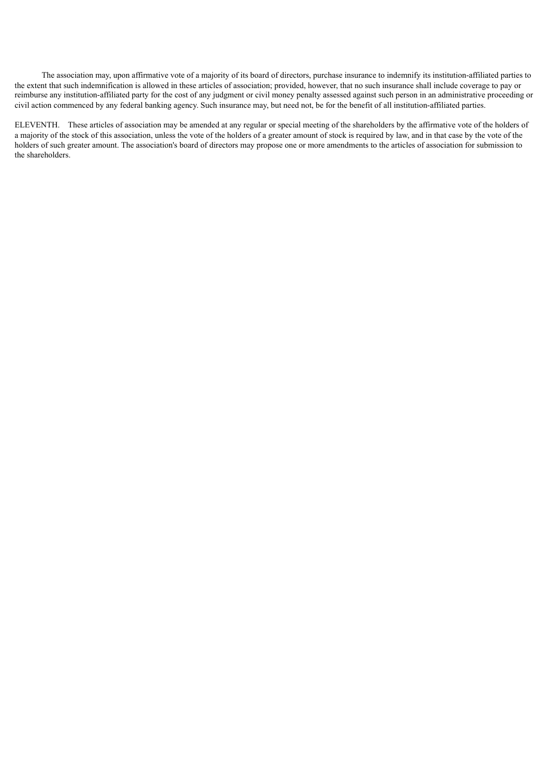The association may, upon affirmative vote of a majority of its board of directors, purchase insurance to indemnify its institution-affiliated parties to the extent that such indemnification is allowed in these articles of association; provided, however, that no such insurance shall include coverage to pay or reimburse any institution-affiliated party for the cost of any judgment or civil money penalty assessed against such person in an administrative proceeding or civil action commenced by any federal banking agency. Such insurance may, but need not, be for the benefit of all institution-affiliated parties.

ELEVENTH. These articles of association may be amended at any regular or special meeting of the shareholders by the affirmative vote of the holders of a majority of the stock of this association, unless the vote of the holders of a greater amount of stock is required by law, and in that case by the vote of the holders of such greater amount. The association's board of directors may propose one or more amendments to the articles of association for submission to the shareholders.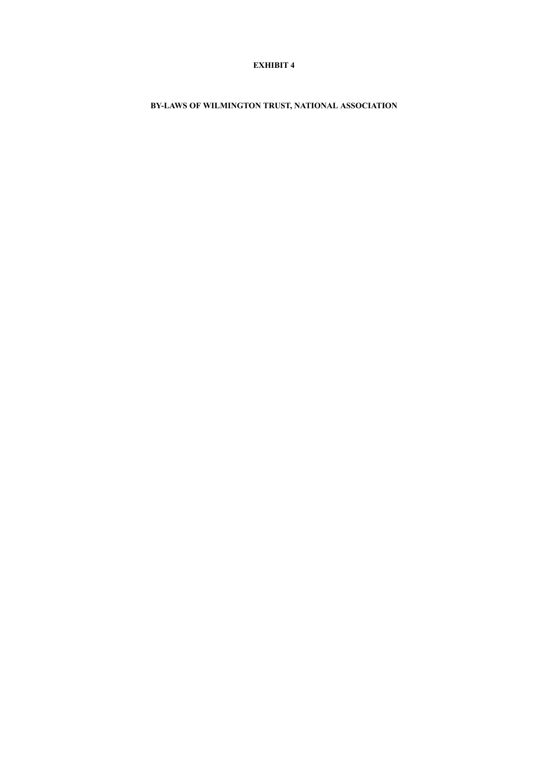# **EXHIBIT 4**

**BY-LAWS OF WILMINGTON TRUST, NATIONAL ASSOCIATION**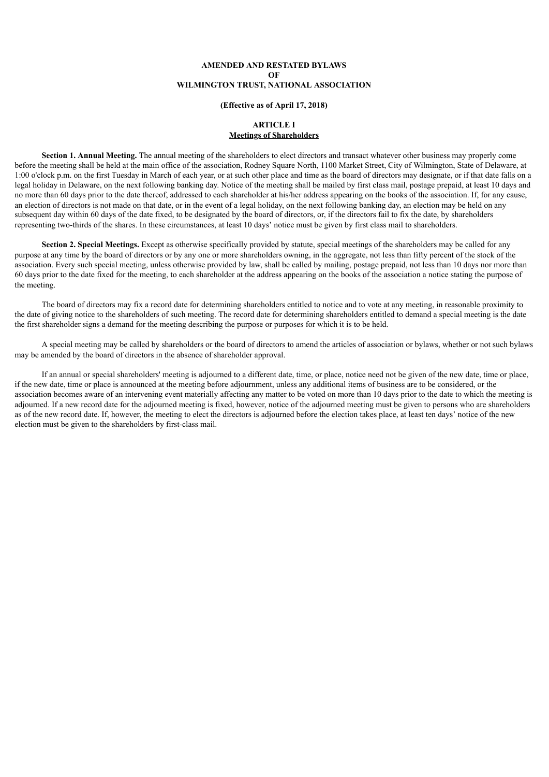# **AMENDED AND RESTATED BYLAWS OF WILMINGTON TRUST, NATIONAL ASSOCIATION**

#### **(Effective as of April 17, 2018)**

#### **ARTICLE I Meetings of Shareholders**

**Section 1. Annual Meeting.** The annual meeting of the shareholders to elect directors and transact whatever other business may properly come before the meeting shall be held at the main office of the association, Rodney Square North, 1100 Market Street, City of Wilmington, State of Delaware, at 1:00 o'clock p.m. on the first Tuesday in March of each year, or at such other place and time as the board of directors may designate, or if that date falls on a legal holiday in Delaware, on the next following banking day. Notice of the meeting shall be mailed by first class mail, postage prepaid, at least 10 days and no more than 60 days prior to the date thereof, addressed to each shareholder at his/her address appearing on the books of the association. If, for any cause, an election of directors is not made on that date, or in the event of a legal holiday, on the next following banking day, an election may be held on any subsequent day within 60 days of the date fixed, to be designated by the board of directors, or, if the directors fail to fix the date, by shareholders representing two-thirds of the shares. In these circumstances, at least 10 days' notice must be given by first class mail to shareholders.

**Section 2. Special Meetings.** Except as otherwise specifically provided by statute, special meetings of the shareholders may be called for any purpose at any time by the board of directors or by any one or more shareholders owning, in the aggregate, not less than fifty percent of the stock of the association. Every such special meeting, unless otherwise provided by law, shall be called by mailing, postage prepaid, not less than 10 days nor more than 60 days prior to the date fixed for the meeting, to each shareholder at the address appearing on the books of the association a notice stating the purpose of the meeting.

The board of directors may fix a record date for determining shareholders entitled to notice and to vote at any meeting, in reasonable proximity to the date of giving notice to the shareholders of such meeting. The record date for determining shareholders entitled to demand a special meeting is the date the first shareholder signs a demand for the meeting describing the purpose or purposes for which it is to be held.

A special meeting may be called by shareholders or the board of directors to amend the articles of association or bylaws, whether or not such bylaws may be amended by the board of directors in the absence of shareholder approval.

If an annual or special shareholders' meeting is adjourned to a different date, time, or place, notice need not be given of the new date, time or place, if the new date, time or place is announced at the meeting before adjournment, unless any additional items of business are to be considered, or the association becomes aware of an intervening event materially affecting any matter to be voted on more than 10 days prior to the date to which the meeting is adjourned. If a new record date for the adjourned meeting is fixed, however, notice of the adjourned meeting must be given to persons who are shareholders as of the new record date. If, however, the meeting to elect the directors is adjourned before the election takes place, at least ten days' notice of the new election must be given to the shareholders by first-class mail.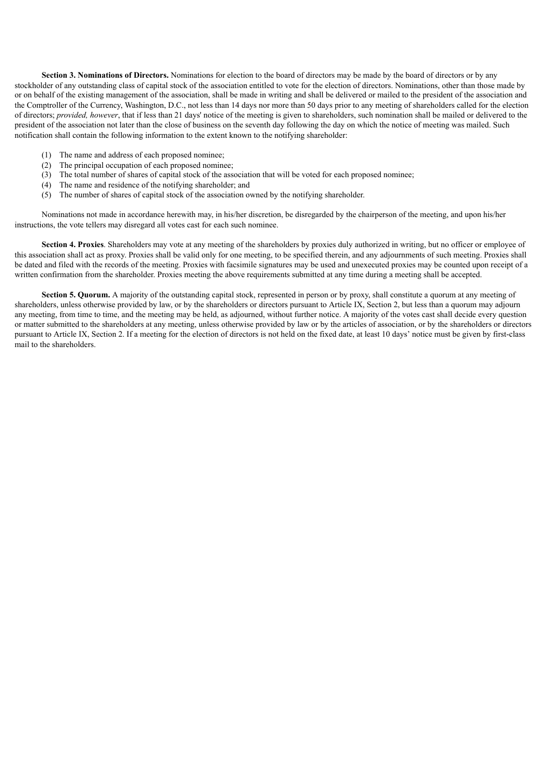**Section 3. Nominations of Directors.** Nominations for election to the board of directors may be made by the board of directors or by any stockholder of any outstanding class of capital stock of the association entitled to vote for the election of directors. Nominations, other than those made by or on behalf of the existing management of the association, shall be made in writing and shall be delivered or mailed to the president of the association and the Comptroller of the Currency, Washington, D.C., not less than 14 days nor more than 50 days prior to any meeting of shareholders called for the election of directors; *provided, however*, that if less than 21 days' notice of the meeting is given to shareholders, such nomination shall be mailed or delivered to the president of the association not later than the close of business on the seventh day following the day on which the notice of meeting was mailed. Such notification shall contain the following information to the extent known to the notifying shareholder:

- (1) The name and address of each proposed nominee;
- (2) The principal occupation of each proposed nominee;
- (3) The total number of shares of capital stock of the association that will be voted for each proposed nominee;
- (4) The name and residence of the notifying shareholder; and
- (5) The number of shares of capital stock of the association owned by the notifying shareholder.

Nominations not made in accordance herewith may, in his/her discretion, be disregarded by the chairperson of the meeting, and upon his/her instructions, the vote tellers may disregard all votes cast for each such nominee.

**Section 4. Proxies**. Shareholders may vote at any meeting of the shareholders by proxies duly authorized in writing, but no officer or employee of this association shall act as proxy. Proxies shall be valid only for one meeting, to be specified therein, and any adjournments of such meeting. Proxies shall be dated and filed with the records of the meeting. Proxies with facsimile signatures may be used and unexecuted proxies may be counted upon receipt of a written confirmation from the shareholder. Proxies meeting the above requirements submitted at any time during a meeting shall be accepted.

**Section 5. Quorum.** A majority of the outstanding capital stock, represented in person or by proxy, shall constitute a quorum at any meeting of shareholders, unless otherwise provided by law, or by the shareholders or directors pursuant to Article IX, Section 2, but less than a quorum may adjourn any meeting, from time to time, and the meeting may be held, as adjourned, without further notice. A majority of the votes cast shall decide every question or matter submitted to the shareholders at any meeting, unless otherwise provided by law or by the articles of association, or by the shareholders or directors pursuant to Article IX, Section 2. If a meeting for the election of directors is not held on the fixed date, at least 10 days' notice must be given by first-class mail to the shareholders.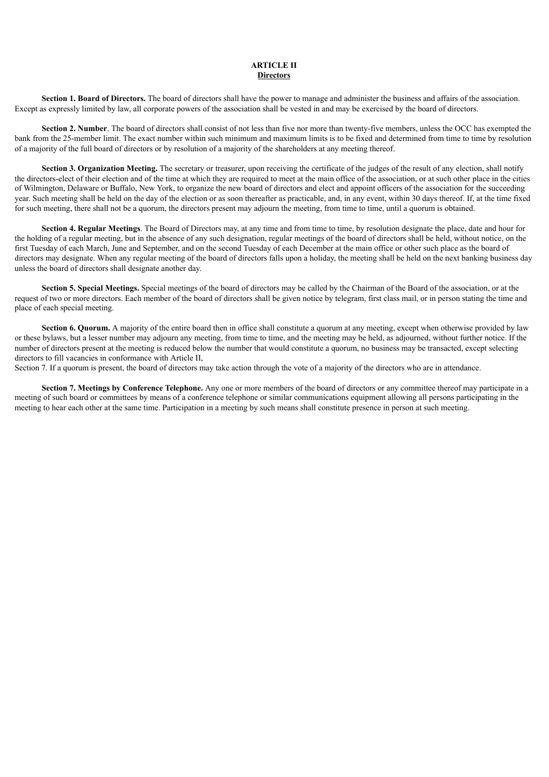### **ARTICLE II Directors**

**Section 1. Board of Directors.** The board of directors shall have the power to manage and administer the business and affairs of the association. Except as expressly limited by law, all corporate powers of the association shall be vested in and may be exercised by the board of directors.

**Section 2. Number**. The board of directors shall consist of not less than five nor more than twenty-five members, unless the OCC has exempted the bank from the 25-member limit. The exact number within such minimum and maximum limits is to be fixed and determined from time to time by resolution of a majority of the full board of directors or by resolution of a majority of the shareholders at any meeting thereof.

**Section 3. Organization Meeting.** The secretary or treasurer, upon receiving the certificate of the judges of the result of any election, shall notify the directors-elect of their election and of the time at which they are required to meet at the main office of the association, or at such other place in the cities of Wilmington, Delaware or Buffalo, New York, to organize the new board of directors and elect and appoint officers of the association for the succeeding year. Such meeting shall be held on the day of the election or as soon thereafter as practicable, and, in any event, within 30 days thereof. If, at the time fixed for such meeting, there shall not be a quorum, the directors present may adjourn the meeting, from time to time, until a quorum is obtained.

**Section 4. Regular Meetings**. The Board of Directors may, at any time and from time to time, by resolution designate the place, date and hour for the holding of a regular meeting, but in the absence of any such designation, regular meetings of the board of directors shall be held, without notice, on the first Tuesday of each March, June and September, and on the second Tuesday of each December at the main office or other such place as the board of directors may designate. When any regular meeting of the board of directors falls upon a holiday, the meeting shall be held on the next banking business day unless the board of directors shall designate another day.

**Section 5. Special Meetings.** Special meetings of the board of directors may be called by the Chairman of the Board of the association, or at the request of two or more directors. Each member of the board of directors shall be given notice by telegram, first class mail, or in person stating the time and place of each special meeting.

**Section 6. Quorum.** A majority of the entire board then in office shall constitute a quorum at any meeting, except when otherwise provided by law or these bylaws, but a lesser number may adjourn any meeting, from time to time, and the meeting may be held, as adjourned, without further notice. If the number of directors present at the meeting is reduced below the number that would constitute a quorum, no business may be transacted, except selecting directors to fill vacancies in conformance with Article II,

Section 7. If a quorum is present, the board of directors may take action through the vote of a majority of the directors who are in attendance.

**Section 7. Meetings by Conference Telephone.** Any one or more members of the board of directors or any committee thereof may participate in a meeting of such board or committees by means of a conference telephone or similar communications equipment allowing all persons participating in the meeting to hear each other at the same time. Participation in a meeting by such means shall constitute presence in person at such meeting.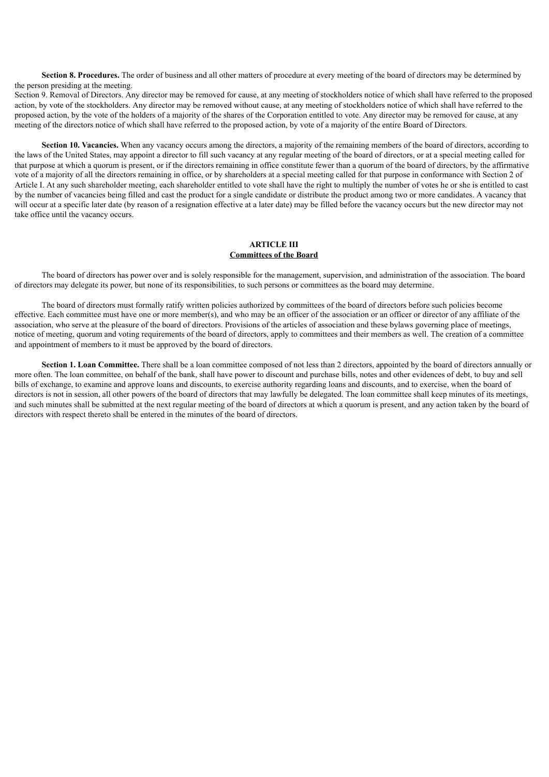**Section 8. Procedures.** The order of business and all other matters of procedure at every meeting of the board of directors may be determined by the person presiding at the meeting.

Section 9. Removal of Directors. Any director may be removed for cause, at any meeting of stockholders notice of which shall have referred to the proposed action, by vote of the stockholders. Any director may be removed without cause, at any meeting of stockholders notice of which shall have referred to the proposed action, by the vote of the holders of a majority of the shares of the Corporation entitled to vote. Any director may be removed for cause, at any meeting of the directors notice of which shall have referred to the proposed action, by vote of a majority of the entire Board of Directors.

**Section 10. Vacancies.** When any vacancy occurs among the directors, a majority of the remaining members of the board of directors, according to the laws of the United States, may appoint a director to fill such vacancy at any regular meeting of the board of directors, or at a special meeting called for that purpose at which a quorum is present, or if the directors remaining in office constitute fewer than a quorum of the board of directors, by the affirmative vote of a majority of all the directors remaining in office, or by shareholders at a special meeting called for that purpose in conformance with Section 2 of Article I. At any such shareholder meeting, each shareholder entitled to vote shall have the right to multiply the number of votes he or she is entitled to cast by the number of vacancies being filled and cast the product for a single candidate or distribute the product among two or more candidates. A vacancy that will occur at a specific later date (by reason of a resignation effective at a later date) may be filled before the vacancy occurs but the new director may not take office until the vacancy occurs.

#### **ARTICLE III Committees of the Board**

The board of directors has power over and is solely responsible for the management, supervision, and administration of the association. The board of directors may delegate its power, but none of its responsibilities, to such persons or committees as the board may determine.

The board of directors must formally ratify written policies authorized by committees of the board of directors before such policies become effective. Each committee must have one or more member(s), and who may be an officer of the association or an officer or director of any affiliate of the association, who serve at the pleasure of the board of directors. Provisions of the articles of association and these bylaws governing place of meetings, notice of meeting, quorum and voting requirements of the board of directors, apply to committees and their members as well. The creation of a committee and appointment of members to it must be approved by the board of directors.

**Section 1. Loan Committee.** There shall be a loan committee composed of not less than 2 directors, appointed by the board of directors annually or more often. The loan committee, on behalf of the bank, shall have power to discount and purchase bills, notes and other evidences of debt, to buy and sell bills of exchange, to examine and approve loans and discounts, to exercise authority regarding loans and discounts, and to exercise, when the board of directors is not in session, all other powers of the board of directors that may lawfully be delegated. The loan committee shall keep minutes of its meetings, and such minutes shall be submitted at the next regular meeting of the board of directors at which a quorum is present, and any action taken by the board of directors with respect thereto shall be entered in the minutes of the board of directors.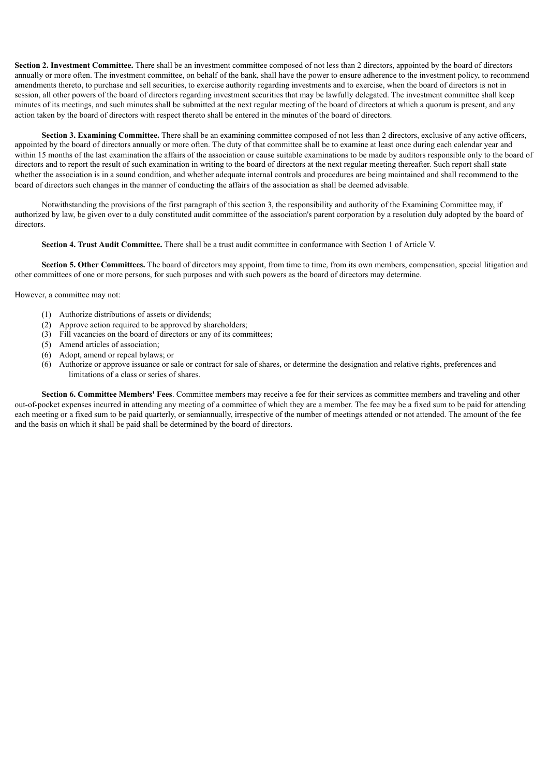**Section 2. Investment Committee.** There shall be an investment committee composed of not less than 2 directors, appointed by the board of directors annually or more often. The investment committee, on behalf of the bank, shall have the power to ensure adherence to the investment policy, to recommend amendments thereto, to purchase and sell securities, to exercise authority regarding investments and to exercise, when the board of directors is not in session, all other powers of the board of directors regarding investment securities that may be lawfully delegated. The investment committee shall keep minutes of its meetings, and such minutes shall be submitted at the next regular meeting of the board of directors at which a quorum is present, and any action taken by the board of directors with respect thereto shall be entered in the minutes of the board of directors.

**Section 3. Examining Committee.** There shall be an examining committee composed of not less than 2 directors, exclusive of any active officers. appointed by the board of directors annually or more often. The duty of that committee shall be to examine at least once during each calendar year and within 15 months of the last examination the affairs of the association or cause suitable examinations to be made by auditors responsible only to the board of directors and to report the result of such examination in writing to the board of directors at the next regular meeting thereafter. Such report shall state whether the association is in a sound condition, and whether adequate internal controls and procedures are being maintained and shall recommend to the board of directors such changes in the manner of conducting the affairs of the association as shall be deemed advisable.

Notwithstanding the provisions of the first paragraph of this section 3, the responsibility and authority of the Examining Committee may, if authorized by law, be given over to a duly constituted audit committee of the association's parent corporation by a resolution duly adopted by the board of directors.

**Section 4. Trust Audit Committee.** There shall be a trust audit committee in conformance with Section 1 of Article V.

**Section 5. Other Committees.** The board of directors may appoint, from time to time, from its own members, compensation, special litigation and other committees of one or more persons, for such purposes and with such powers as the board of directors may determine.

However, a committee may not:

- (1) Authorize distributions of assets or dividends;
- (2) Approve action required to be approved by shareholders;
- (3) Fill vacancies on the board of directors or any of its committees;
- (5) Amend articles of association;
- (6) Adopt, amend or repeal bylaws; or
- (6) Authorize or approve issuance or sale or contract for sale of shares, or determine the designation and relative rights, preferences and limitations of a class or series of shares.

**Section 6. Committee Members' Fees**. Committee members may receive a fee for their services as committee members and traveling and other out-of-pocket expenses incurred in attending any meeting of a committee of which they are a member. The fee may be a fixed sum to be paid for attending each meeting or a fixed sum to be paid quarterly, or semiannually, irrespective of the number of meetings attended or not attended. The amount of the fee and the basis on which it shall be paid shall be determined by the board of directors.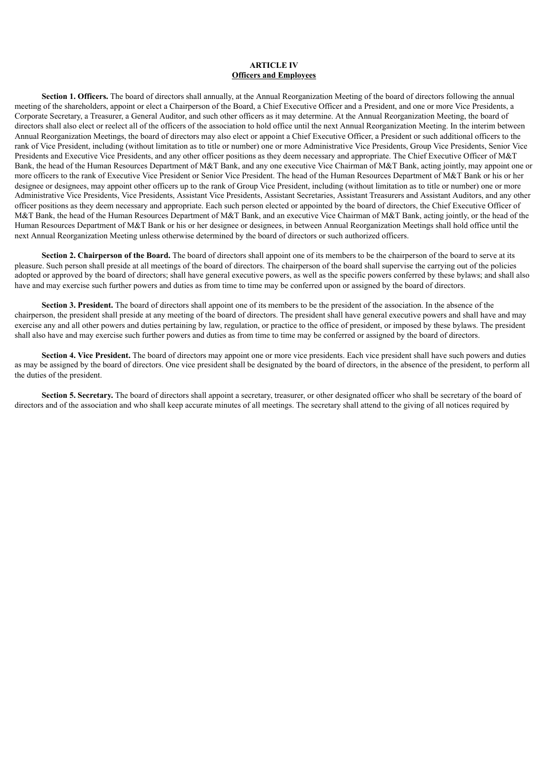## **ARTICLE IV Officers and Employees**

**Section 1. Officers.** The board of directors shall annually, at the Annual Reorganization Meeting of the board of directors following the annual meeting of the shareholders, appoint or elect a Chairperson of the Board, a Chief Executive Officer and a President, and one or more Vice Presidents, a Corporate Secretary, a Treasurer, a General Auditor, and such other officers as it may determine. At the Annual Reorganization Meeting, the board of directors shall also elect or reelect all of the officers of the association to hold office until the next Annual Reorganization Meeting. In the interim between Annual Reorganization Meetings, the board of directors may also elect or appoint a Chief Executive Officer, a President or such additional officers to the rank of Vice President, including (without limitation as to title or number) one or more Administrative Vice Presidents, Group Vice Presidents, Senior Vice Presidents and Executive Vice Presidents, and any other officer positions as they deem necessary and appropriate. The Chief Executive Officer of M&T Bank, the head of the Human Resources Department of M&T Bank, and any one executive Vice Chairman of M&T Bank, acting jointly, may appoint one or more officers to the rank of Executive Vice President or Senior Vice President. The head of the Human Resources Department of M&T Bank or his or her designee or designees, may appoint other officers up to the rank of Group Vice President, including (without limitation as to title or number) one or more Administrative Vice Presidents, Vice Presidents, Assistant Vice Presidents, Assistant Secretaries, Assistant Treasurers and Assistant Auditors, and any other officer positions as they deem necessary and appropriate. Each such person elected or appointed by the board of directors, the Chief Executive Officer of M&T Bank, the head of the Human Resources Department of M&T Bank, and an executive Vice Chairman of M&T Bank, acting jointly, or the head of the Human Resources Department of M&T Bank or his or her designee or designees, in between Annual Reorganization Meetings shall hold office until the next Annual Reorganization Meeting unless otherwise determined by the board of directors or such authorized officers.

**Section 2. Chairperson of the Board.** The board of directors shall appoint one of its members to be the chairperson of the board to serve at its pleasure. Such person shall preside at all meetings of the board of directors. The chairperson of the board shall supervise the carrying out of the policies adopted or approved by the board of directors; shall have general executive powers, as well as the specific powers conferred by these bylaws; and shall also have and may exercise such further powers and duties as from time to time may be conferred upon or assigned by the board of directors.

**Section 3. President.** The board of directors shall appoint one of its members to be the president of the association. In the absence of the chairperson, the president shall preside at any meeting of the board of directors. The president shall have general executive powers and shall have and may exercise any and all other powers and duties pertaining by law, regulation, or practice to the office of president, or imposed by these bylaws. The president shall also have and may exercise such further powers and duties as from time to time may be conferred or assigned by the board of directors.

**Section 4. Vice President.** The board of directors may appoint one or more vice presidents. Each vice president shall have such powers and duties as may be assigned by the board of directors. One vice president shall be designated by the board of directors, in the absence of the president, to perform all the duties of the president.

**Section 5. Secretary.** The board of directors shall appoint a secretary, treasurer, or other designated officer who shall be secretary of the board of directors and of the association and who shall keep accurate minutes of all meetings. The secretary shall attend to the giving of all notices required by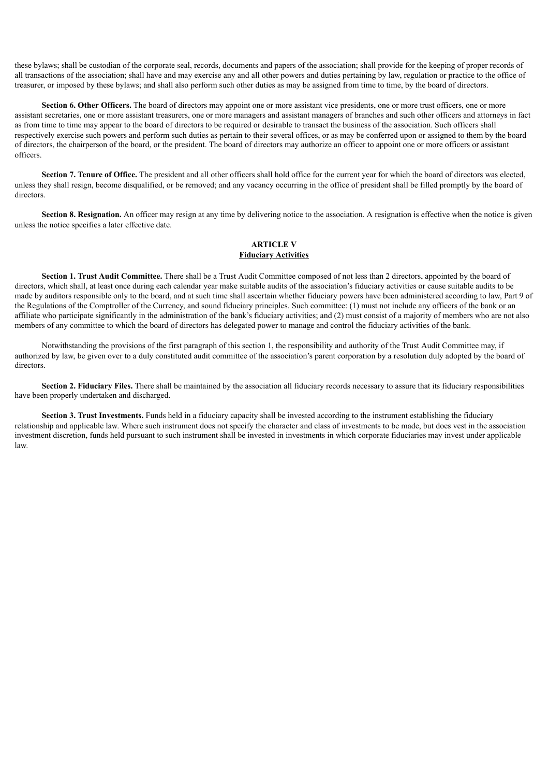these bylaws; shall be custodian of the corporate seal, records, documents and papers of the association; shall provide for the keeping of proper records of all transactions of the association; shall have and may exercise any and all other powers and duties pertaining by law, regulation or practice to the office of treasurer, or imposed by these bylaws; and shall also perform such other duties as may be assigned from time to time, by the board of directors.

**Section 6. Other Officers.** The board of directors may appoint one or more assistant vice presidents, one or more trust officers, one or more assistant secretaries, one or more assistant treasurers, one or more managers and assistant managers of branches and such other officers and attorneys in fact as from time to time may appear to the board of directors to be required or desirable to transact the business of the association. Such officers shall respectively exercise such powers and perform such duties as pertain to their several offices, or as may be conferred upon or assigned to them by the board of directors, the chairperson of the board, or the president. The board of directors may authorize an officer to appoint one or more officers or assistant officers.

**Section 7. Tenure of Office.** The president and all other officers shall hold office for the current year for which the board of directors was elected, unless they shall resign, become disqualified, or be removed; and any vacancy occurring in the office of president shall be filled promptly by the board of directors.

**Section 8. Resignation.** An officer may resign at any time by delivering notice to the association. A resignation is effective when the notice is given unless the notice specifies a later effective date.

#### **ARTICLE V Fiduciary Activities**

**Section 1. Trust Audit Committee.** There shall be a Trust Audit Committee composed of not less than 2 directors, appointed by the board of directors, which shall, at least once during each calendar year make suitable audits of the association's fiduciary activities or cause suitable audits to be made by auditors responsible only to the board, and at such time shall ascertain whether fiduciary powers have been administered according to law, Part 9 of the Regulations of the Comptroller of the Currency, and sound fiduciary principles. Such committee: (1) must not include any officers of the bank or an affiliate who participate significantly in the administration of the bank's fiduciary activities; and (2) must consist of a majority of members who are not also members of any committee to which the board of directors has delegated power to manage and control the fiduciary activities of the bank.

Notwithstanding the provisions of the first paragraph of this section 1, the responsibility and authority of the Trust Audit Committee may, if authorized by law, be given over to a duly constituted audit committee of the association's parent corporation by a resolution duly adopted by the board of directors.

**Section 2. Fiduciary Files.** There shall be maintained by the association all fiduciary records necessary to assure that its fiduciary responsibilities have been properly undertaken and discharged.

**Section 3. Trust Investments.** Funds held in a fiduciary capacity shall be invested according to the instrument establishing the fiduciary relationship and applicable law. Where such instrument does not specify the character and class of investments to be made, but does vest in the association investment discretion, funds held pursuant to such instrument shall be invested in investments in which corporate fiduciaries may invest under applicable law.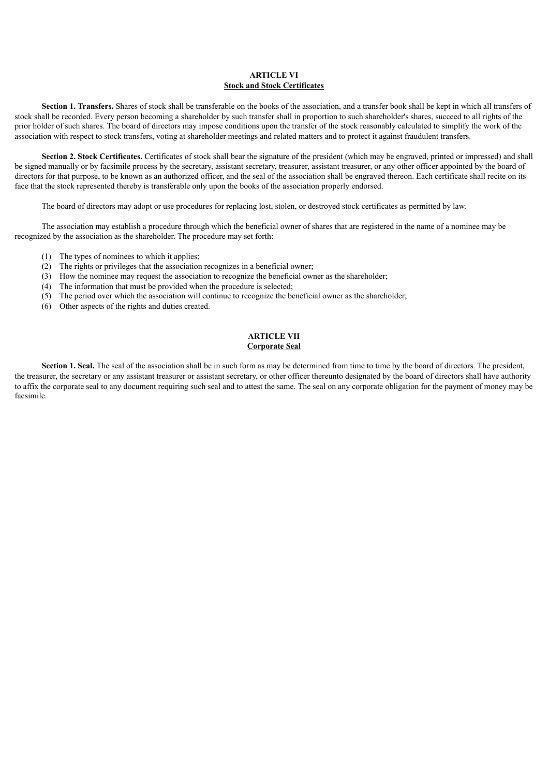## **ARTICLE VI Stock and Stock Certificates**

**Section 1. Transfers.** Shares of stock shall be transferable on the books of the association, and a transfer book shall be kept in which all transfers of stock shall be recorded. Every person becoming a shareholder by such transfer shall in proportion to such shareholder's shares, succeed to all rights of the prior holder of such shares. The board of directors may impose conditions upon the transfer of the stock reasonably calculated to simplify the work of the association with respect to stock transfers, voting at shareholder meetings and related matters and to protect it against fraudulent transfers.

**Section 2. Stock Certificates.** Certificates of stock shall bear the signature of the president (which may be engraved, printed or impressed) and shall be signed manually or by facsimile process by the secretary, assistant secretary, treasurer, assistant treasurer, or any other officer appointed by the board of directors for that purpose, to be known as an authorized officer, and the seal of the association shall be engraved thereon. Each certificate shall recite on its face that the stock represented thereby is transferable only upon the books of the association properly endorsed.

The board of directors may adopt or use procedures for replacing lost, stolen, or destroyed stock certificates as permitted by law.

The association may establish a procedure through which the beneficial owner of shares that are registered in the name of a nominee may be recognized by the association as the shareholder. The procedure may set forth:

- (1) The types of nominees to which it applies;
- (2) The rights or privileges that the association recognizes in a beneficial owner;
- (3) How the nominee may request the association to recognize the beneficial owner as the shareholder;
- (4) The information that must be provided when the procedure is selected;
- (5) The period over which the association will continue to recognize the beneficial owner as the shareholder;
- (6) Other aspects of the rights and duties created.

#### **ARTICLE VII Corporate Seal**

**Section 1. Seal.** The seal of the association shall be in such form as may be determined from time to time by the board of directors. The president, the treasurer, the secretary or any assistant treasurer or assistant secretary, or other officer thereunto designated by the board of directors shall have authority to affix the corporate seal to any document requiring such seal and to attest the same. The seal on any corporate obligation for the payment of money may be facsimile.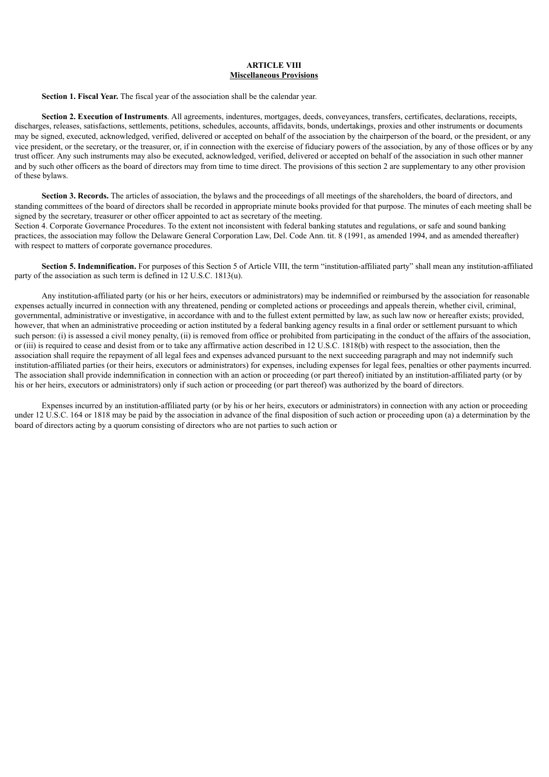## **ARTICLE VIII Miscellaneous Provisions**

**Section 1. Fiscal Year.** The fiscal year of the association shall be the calendar year.

**Section 2. Execution of Instruments**. All agreements, indentures, mortgages, deeds, conveyances, transfers, certificates, declarations, receipts, discharges, releases, satisfactions, settlements, petitions, schedules, accounts, affidavits, bonds, undertakings, proxies and other instruments or documents may be signed, executed, acknowledged, verified, delivered or accepted on behalf of the association by the chairperson of the board, or the president, or any vice president, or the secretary, or the treasurer, or, if in connection with the exercise of fiduciary powers of the association, by any of those offices or by any trust officer. Any such instruments may also be executed, acknowledged, verified, delivered or accepted on behalf of the association in such other manner and by such other officers as the board of directors may from time to time direct. The provisions of this section 2 are supplementary to any other provision of these bylaws.

**Section 3. Records.** The articles of association, the bylaws and the proceedings of all meetings of the shareholders, the board of directors, and standing committees of the board of directors shall be recorded in appropriate minute books provided for that purpose. The minutes of each meeting shall be signed by the secretary, treasurer or other officer appointed to act as secretary of the meeting.

Section 4. Corporate Governance Procedures. To the extent not inconsistent with federal banking statutes and regulations, or safe and sound banking practices, the association may follow the Delaware General Corporation Law, Del. Code Ann. tit. 8 (1991, as amended 1994, and as amended thereafter) with respect to matters of corporate governance procedures.

**Section 5. Indemnification.** For purposes of this Section 5 of Article VIII, the term "institution-affiliated party" shall mean any institution-affiliated party of the association as such term is defined in 12 U.S.C. 1813(u).

Any institution-affiliated party (or his or her heirs, executors or administrators) may be indemnified or reimbursed by the association for reasonable expenses actually incurred in connection with any threatened, pending or completed actions or proceedings and appeals therein, whether civil, criminal, governmental, administrative or investigative, in accordance with and to the fullest extent permitted by law, as such law now or hereafter exists; provided, however, that when an administrative proceeding or action instituted by a federal banking agency results in a final order or settlement pursuant to which such person: (i) is assessed a civil money penalty, (ii) is removed from office or prohibited from participating in the conduct of the affairs of the association, or (iii) is required to cease and desist from or to take any affirmative action described in 12 U.S.C. 1818(b) with respect to the association, then the association shall require the repayment of all legal fees and expenses advanced pursuant to the next succeeding paragraph and may not indemnify such institution-affiliated parties (or their heirs, executors or administrators) for expenses, including expenses for legal fees, penalties or other payments incurred. The association shall provide indemnification in connection with an action or proceeding (or part thereof) initiated by an institution-affiliated party (or by his or her heirs, executors or administrators) only if such action or proceeding (or part thereof) was authorized by the board of directors.

Expenses incurred by an institution-affiliated party (or by his or her heirs, executors or administrators) in connection with any action or proceeding under 12 U.S.C. 164 or 1818 may be paid by the association in advance of the final disposition of such action or proceeding upon (a) a determination by the board of directors acting by a quorum consisting of directors who are not parties to such action or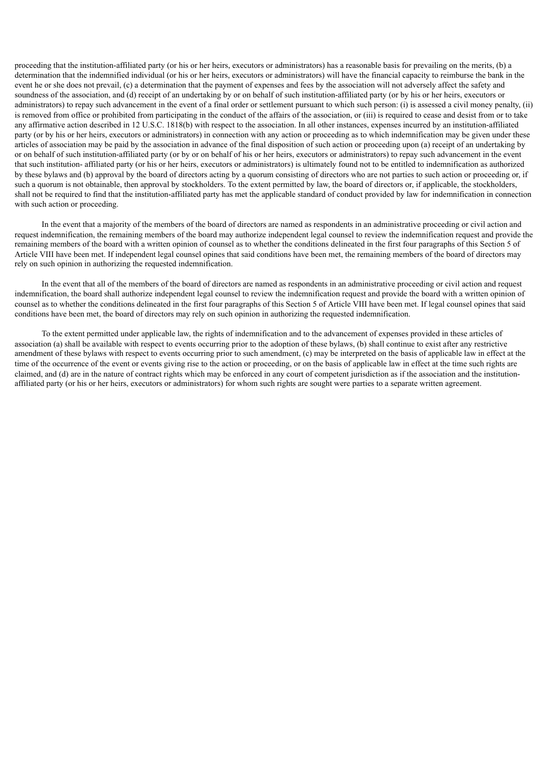proceeding that the institution-affiliated party (or his or her heirs, executors or administrators) has a reasonable basis for prevailing on the merits, (b) a determination that the indemnified individual (or his or her heirs, executors or administrators) will have the financial capacity to reimburse the bank in the event he or she does not prevail, (c) a determination that the payment of expenses and fees by the association will not adversely affect the safety and soundness of the association, and (d) receipt of an undertaking by or on behalf of such institution-affiliated party (or by his or her heirs, executors or administrators) to repay such advancement in the event of a final order or settlement pursuant to which such person: (i) is assessed a civil money penalty, (ii) is removed from office or prohibited from participating in the conduct of the affairs of the association, or (iii) is required to cease and desist from or to take any affirmative action described in 12 U.S.C. 1818(b) with respect to the association. In all other instances, expenses incurred by an institution-affiliated party (or by his or her heirs, executors or administrators) in connection with any action or proceeding as to which indemnification may be given under these articles of association may be paid by the association in advance of the final disposition of such action or proceeding upon (a) receipt of an undertaking by or on behalf of such institution-affiliated party (or by or on behalf of his or her heirs, executors or administrators) to repay such advancement in the event that such institution- affiliated party (or his or her heirs, executors or administrators) is ultimately found not to be entitled to indemnification as authorized by these bylaws and (b) approval by the board of directors acting by a quorum consisting of directors who are not parties to such action or proceeding or, if such a quorum is not obtainable, then approval by stockholders. To the extent permitted by law, the board of directors or, if applicable, the stockholders, shall not be required to find that the institution-affiliated party has met the applicable standard of conduct provided by law for indemnification in connection with such action or proceeding.

In the event that a majority of the members of the board of directors are named as respondents in an administrative proceeding or civil action and request indemnification, the remaining members of the board may authorize independent legal counsel to review the indemnification request and provide the remaining members of the board with a written opinion of counsel as to whether the conditions delineated in the first four paragraphs of this Section 5 of Article VIII have been met. If independent legal counsel opines that said conditions have been met, the remaining members of the board of directors may rely on such opinion in authorizing the requested indemnification.

In the event that all of the members of the board of directors are named as respondents in an administrative proceeding or civil action and request indemnification, the board shall authorize independent legal counsel to review the indemnification request and provide the board with a written opinion of counsel as to whether the conditions delineated in the first four paragraphs of this Section 5 of Article VIII have been met. If legal counsel opines that said conditions have been met, the board of directors may rely on such opinion in authorizing the requested indemnification.

To the extent permitted under applicable law, the rights of indemnification and to the advancement of expenses provided in these articles of association (a) shall be available with respect to events occurring prior to the adoption of these bylaws, (b) shall continue to exist after any restrictive amendment of these bylaws with respect to events occurring prior to such amendment, (c) may be interpreted on the basis of applicable law in effect at the time of the occurrence of the event or events giving rise to the action or proceeding, or on the basis of applicable law in effect at the time such rights are claimed, and (d) are in the nature of contract rights which may be enforced in any court of competent jurisdiction as if the association and the institutionaffiliated party (or his or her heirs, executors or administrators) for whom such rights are sought were parties to a separate written agreement.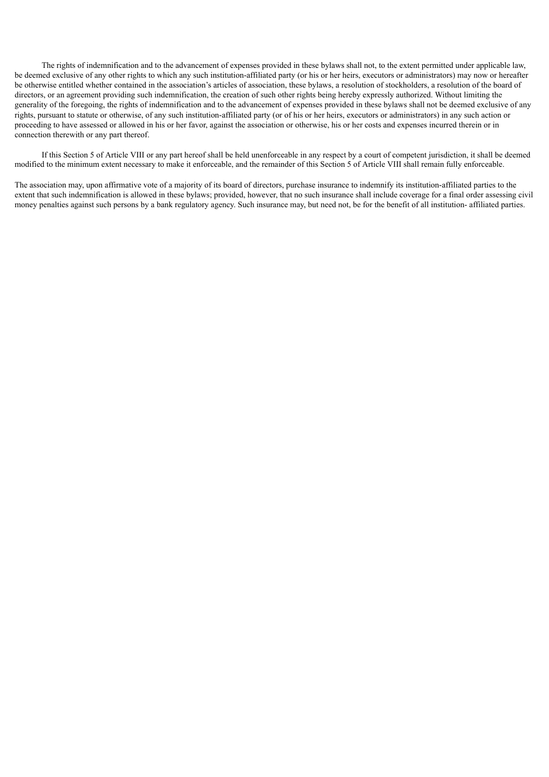The rights of indemnification and to the advancement of expenses provided in these bylaws shall not, to the extent permitted under applicable law, be deemed exclusive of any other rights to which any such institution-affiliated party (or his or her heirs, executors or administrators) may now or hereafter be otherwise entitled whether contained in the association's articles of association, these bylaws, a resolution of stockholders, a resolution of the board of directors, or an agreement providing such indemnification, the creation of such other rights being hereby expressly authorized. Without limiting the generality of the foregoing, the rights of indemnification and to the advancement of expenses provided in these bylaws shall not be deemed exclusive of any rights, pursuant to statute or otherwise, of any such institution-affiliated party (or of his or her heirs, executors or administrators) in any such action or proceeding to have assessed or allowed in his or her favor, against the association or otherwise, his or her costs and expenses incurred therein or in connection therewith or any part thereof.

If this Section 5 of Article VIII or any part hereof shall be held unenforceable in any respect by a court of competent jurisdiction, it shall be deemed modified to the minimum extent necessary to make it enforceable, and the remainder of this Section 5 of Article VIII shall remain fully enforceable.

The association may, upon affirmative vote of a majority of its board of directors, purchase insurance to indemnify its institution-affiliated parties to the extent that such indemnification is allowed in these bylaws; provided, however, that no such insurance shall include coverage for a final order assessing civil money penalties against such persons by a bank regulatory agency. Such insurance may, but need not, be for the benefit of all institution- affiliated parties.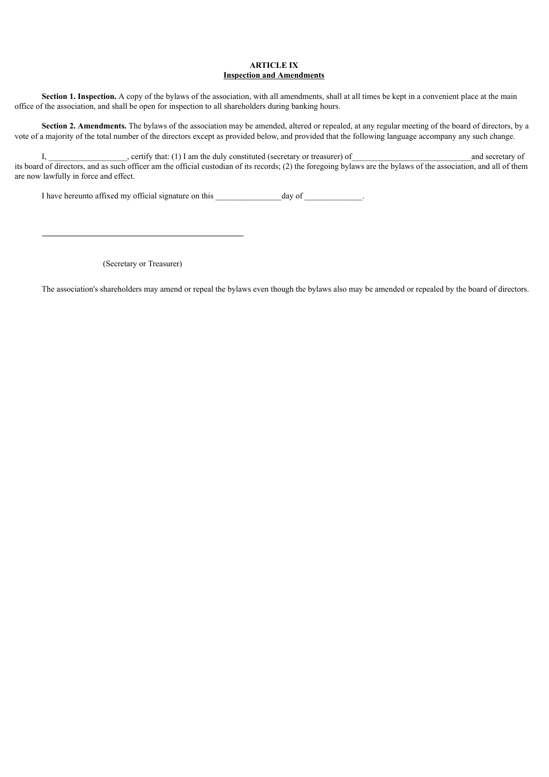## **ARTICLE IX Inspection and Amendments**

**Section 1. Inspection.** A copy of the bylaws of the association, with all amendments, shall at all times be kept in a convenient place at the main office of the association, and shall be open for inspection to all shareholders during banking hours.

**Section 2. Amendments.** The bylaws of the association may be amended, altered or repealed, at any regular meeting of the board of directors, by a vote of a majority of the total number of the directors except as provided below, and provided that the following language accompany any such change.

I, extrify that: (1) I am the duly constituted (secretary or treasurer) of and secretary of and secretary of its board of directors, and as such officer am the official custodian of its records; (2) the foregoing bylaws are the bylaws of the association, and all of them are now lawfully in force and effect.

I have hereunto affixed my official signature on this \_\_\_\_\_\_\_\_\_\_\_\_\_\_\_\_day of \_\_\_\_\_\_\_\_\_\_\_\_\_\_.

(Secretary or Treasurer)

The association's shareholders may amend or repeal the bylaws even though the bylaws also may be amended or repealed by the board of directors.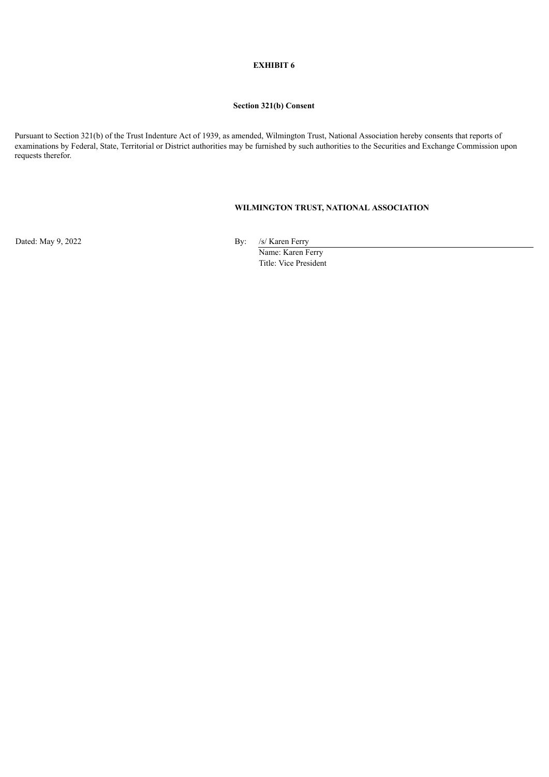### **EXHIBIT 6**

## **Section 321(b) Consent**

Pursuant to Section 321(b) of the Trust Indenture Act of 1939, as amended, Wilmington Trust, National Association hereby consents that reports of examinations by Federal, State, Territorial or District authorities may be furnished by such authorities to the Securities and Exchange Commission upon requests therefor.

# **WILMINGTON TRUST, NATIONAL ASSOCIATION**

Dated: May 9, 2022 By: /s/ Karen Ferry

Name: Karen Ferry Title: Vice President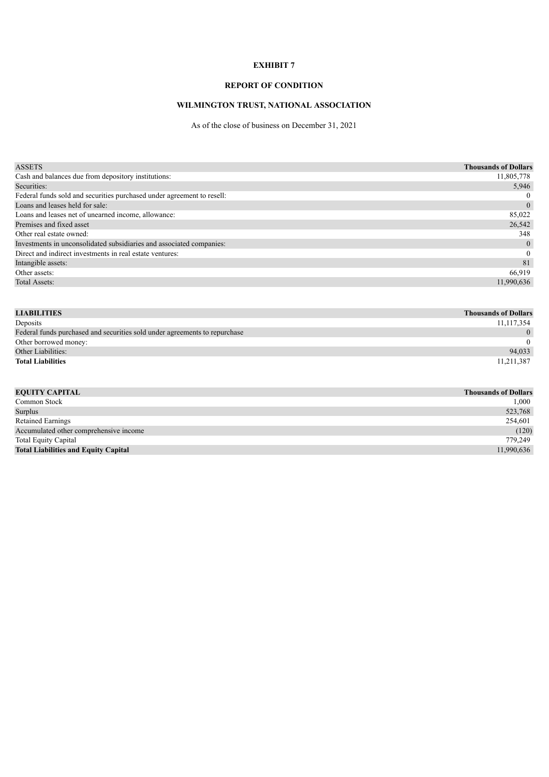## **EXHIBIT 7**

## **REPORT OF CONDITION**

# **WILMINGTON TRUST, NATIONAL ASSOCIATION**

As of the close of business on December 31, 2021

| <b>ASSETS</b>                                                          | <b>Thousands of Dollars</b> |
|------------------------------------------------------------------------|-----------------------------|
| Cash and balances due from depository institutions:                    | 11,805,778                  |
| Securities:                                                            | 5,946                       |
| Federal funds sold and securities purchased under agreement to resell: | $\Omega$                    |
| Loans and leases held for sale:                                        | $\overline{0}$              |
| Loans and leases net of unearned income, allowance:                    | 85,022                      |
| Premises and fixed asset                                               | 26,542                      |
| Other real estate owned:                                               | 348                         |
| Investments in unconsolidated subsidiaries and associated companies:   | $\overline{0}$              |
| Direct and indirect investments in real estate ventures:               | $\mathbf{0}$                |
| Intangible assets:                                                     | 81                          |
| Other assets:                                                          | 66,919                      |
| Total Assets:                                                          | 11.990.636                  |

| <b>LIABILITIES</b>                                                         | <b>Thousands of Dollars</b> |
|----------------------------------------------------------------------------|-----------------------------|
| Deposits                                                                   | 11,117,354                  |
| Federal funds purchased and securities sold under agreements to repurchase | $\overline{0}$              |
| Other borrowed money:                                                      | $\Omega$                    |
| Other Liabilities:                                                         | 94,033                      |
| <b>Total Liabilities</b>                                                   | 11,211,387                  |

| <b>Thousands of Dollars</b> |
|-----------------------------|
| 1,000                       |
| 523,768                     |
| 254,601                     |
| (120)                       |
| 779.249                     |
| 11,990,636                  |
|                             |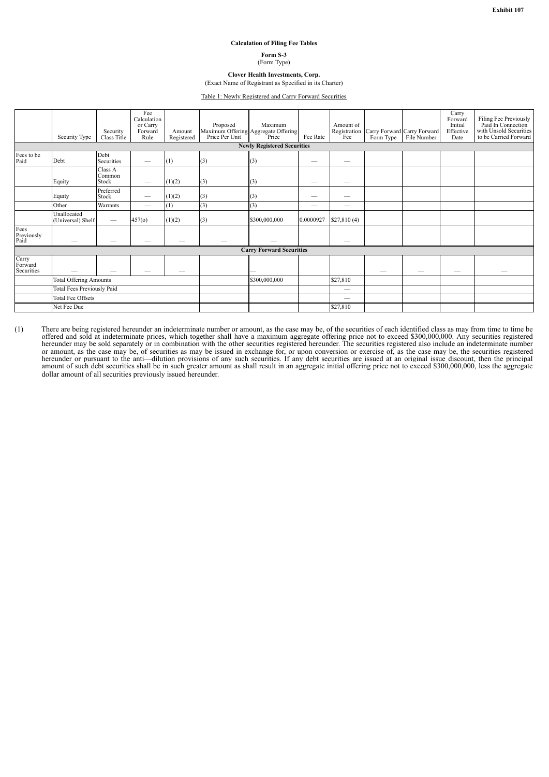#### **Calculation of Filing Fee Tables**

**Form S-3** (Form Type)

**Clover Health Investments, Corp.** (Exact Name of Registrant as Specified in its Charter)

Table 1: Newly Registered and Carry Forward Securities

|                                   | Security Type                    | Security<br>Class Title         | Fee<br>Calculation<br>or Carry<br>Forward<br>Rule | Amount<br>Registered | Proposed | Maximum<br>Maximum Offering Aggregate Offering<br>Price Per Unit Price | Fee Rate  | Amount of   | Form Type | Registration Carry Forward Carry Forward<br>Fee Form Type File Number<br>File Number | Carry<br>Forward<br>Initial<br>Effective<br>Date | Filing Fee Previously<br>Paid In Connection<br>with Unsold Securities<br>to be Carried Forward |
|-----------------------------------|----------------------------------|---------------------------------|---------------------------------------------------|----------------------|----------|------------------------------------------------------------------------|-----------|-------------|-----------|--------------------------------------------------------------------------------------|--------------------------------------------------|------------------------------------------------------------------------------------------------|
|                                   |                                  |                                 |                                                   |                      |          | <b>Newly Registered Securities</b>                                     |           |             |           |                                                                                      |                                                  |                                                                                                |
| Fees to be<br>Paid                | Debt                             | Debt<br>Securities              | -                                                 | (1)                  | (3)      | (3)                                                                    |           | –           |           |                                                                                      |                                                  |                                                                                                |
|                                   | Equity                           | Class A<br>Common<br>Stock      |                                                   | (1)(2)               | (3)      | (3)                                                                    | –         | –           |           |                                                                                      |                                                  |                                                                                                |
|                                   | Equity                           | Preferred<br>Stock              | —                                                 | (1)(2)               | (3)      | (3)                                                                    | --        |             |           |                                                                                      |                                                  |                                                                                                |
|                                   | Other                            | Warrants                        |                                                   | (1)                  | (3)      | (3)                                                                    |           |             |           |                                                                                      |                                                  |                                                                                                |
|                                   | Unallocated<br>(Universal) Shelf | $\hspace{0.1mm}-\hspace{0.1mm}$ | 457(0)                                            | (1)(2)               | (3)      | \$300,000,000                                                          | 0.0000927 | \$27,810(4) |           |                                                                                      |                                                  |                                                                                                |
| Fees<br>Previously<br>Paid        |                                  |                                 |                                                   |                      |          |                                                                        |           |             |           |                                                                                      |                                                  |                                                                                                |
|                                   |                                  |                                 |                                                   |                      |          | <b>Carry Forward Securities</b>                                        |           |             |           |                                                                                      |                                                  |                                                                                                |
| Carry<br>Forward<br>Securities    |                                  |                                 |                                                   |                      |          |                                                                        |           |             |           |                                                                                      |                                                  |                                                                                                |
| <b>Total Offering Amounts</b>     |                                  |                                 |                                                   | \$300,000,000        |          | \$27,810                                                               |           |             |           |                                                                                      |                                                  |                                                                                                |
| <b>Total Fees Previously Paid</b> |                                  |                                 |                                                   |                      |          |                                                                        |           |             |           |                                                                                      |                                                  |                                                                                                |
| <b>Total Fee Offsets</b>          |                                  |                                 |                                                   |                      |          |                                                                        |           |             |           |                                                                                      |                                                  |                                                                                                |
|                                   | Net Fee Due                      |                                 |                                                   |                      |          |                                                                        |           | \$27,810    |           |                                                                                      |                                                  |                                                                                                |

(1) There are being registered hereunder an indeterminate number or amount, as the case may be, of the securities of each identified class as may from time to time be offered and sold at indeterminate prices, which togethe or amount, as the case may be, of securities as may be issued in exchange for, or upon conversion or exercise of, as the case may be, the securities registered hereunder or pursuant to the anti—dilution provisions of any s dollar amount of all securities previously issued hereunder.